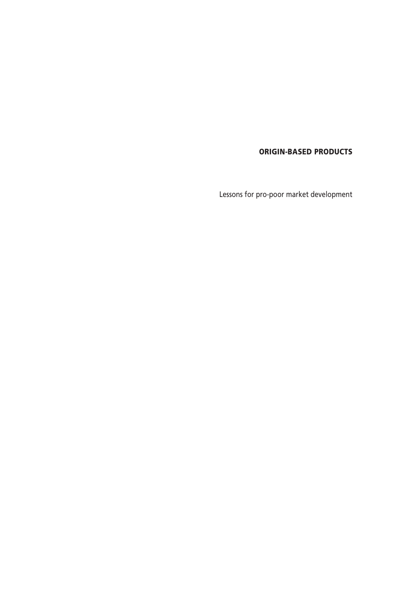**ORIGIN-BASED PRODUCTS**

Lessons for pro-poor market development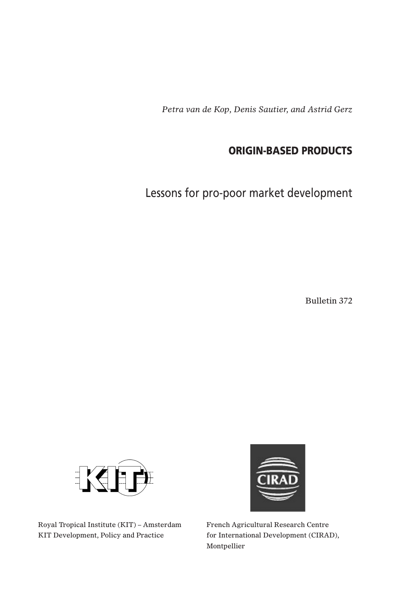*Petra van de Kop, Denis Sautier, and Astrid Gerz*

## **ORIGIN-BASED PRODUCTS**

Lessons for pro-poor market development

Bulletin 372





Royal Tropical Institute (KIT) – Amsterdam French Agricultural Research Centre KIT Development, Policy and Practice for International Development (CIRAD),

Montpellier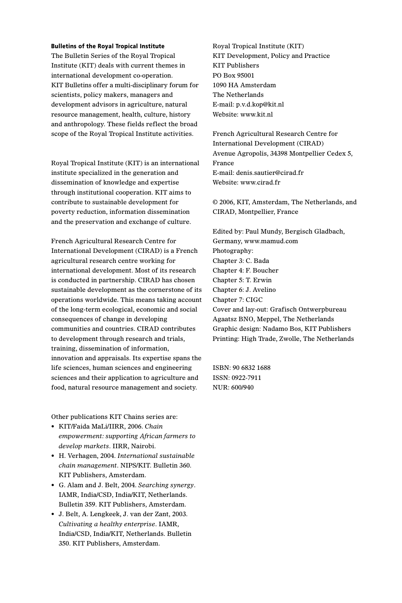#### **Bulletins of the Royal Tropical Institute**

The Bulletin Series of the Royal Tropical Institute (KIT) deals with current themes in international development co-operation. KIT Bulletins offer a multi-disciplinary forum for scientists, policy makers, managers and development advisors in agriculture, natural resource management, health, culture, history and anthropology. These fields reflect the broad scope of the Royal Tropical Institute activities.

Royal Tropical Institute (KIT) is an international institute specialized in the generation and dissemination of knowledge and expertise through institutional cooperation. KIT aims to contribute to sustainable development for poverty reduction, information dissemination and the preservation and exchange of culture.

French Agricultural Research Centre for International Development (CIRAD) is a French agricultural research centre working for international development. Most of its research is conducted in partnership. CIRAD has chosen sustainable development as the cornerstone of its operations worldwide. This means taking account of the long-term ecological, economic and social consequences of change in developing communities and countries. CIRAD contributes to development through research and trials, training, dissemination of information, innovation and appraisals. Its expertise spans the life sciences, human sciences and engineering sciences and their application to agriculture and food, natural resource management and society.

Other publications KIT Chains series are:

- KIT/Faida MaLi/IIRR, 2006. *Chain empowerment: supporting African farmers to develop markets*. IIRR, Nairobi.
- H. Verhagen, 2004. *International sustainable chain management*. NIPS/KIT. Bulletin 360. KIT Publishers, Amsterdam.
- G. Alam and J. Belt, 2004. *Searching synergy*. IAMR, India/CSD, India/KIT, Netherlands. Bulletin 359. KIT Publishers, Amsterdam.
- J. Belt, A. Lengkeek, J. van der Zant, 2003. *Cultivating a healthy enterprise*. IAMR, India/CSD, India/KIT, Netherlands. Bulletin 350. KIT Publishers, Amsterdam.

Royal Tropical Institute (KIT) KIT Development, Policy and Practice KIT Publishers PO Box 95001 1090 HA Amsterdam The Netherlands E-mail: p.v.d.kop@kit.nl Website: www.kit.nl

French Agricultural Research Centre for International Development (CIRAD) Avenue Agropolis, 34398 Montpellier Cedex 5, France E-mail: denis.sautier@cirad.fr Website: www.cirad.fr

© 2006, KIT, Amsterdam, The Netherlands, and CIRAD, Montpellier, France

Edited by: Paul Mundy, Bergisch Gladbach, Germany, www.mamud.com Photography: Chapter 3: C. Bada Chapter 4: F. Boucher Chapter 5: T. Erwin Chapter 6: J. Avelino Chapter 7: CIGC Cover and lay-out: Grafisch Ontwerpbureau Agaatsz BNO, Meppel, The Netherlands Graphic design: Nadamo Bos, KIT Publishers Printing: High Trade, Zwolle, The Netherlands

ISBN: 90 6832 1688 ISSN: 0922-7911 NUR: 600/940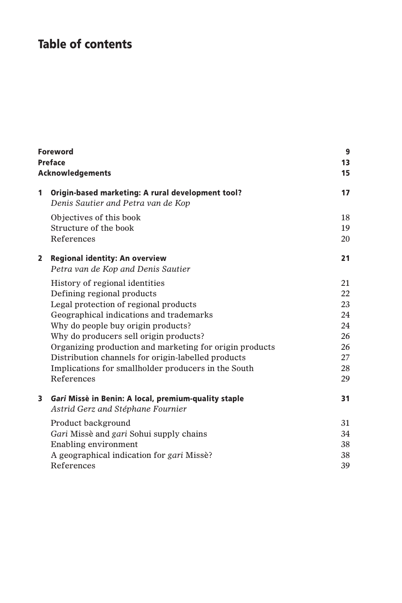# **Table of contents**

| Foreword<br><b>Preface</b><br><b>Acknowledgements</b> |                                                                                                                                                  |                            |
|-------------------------------------------------------|--------------------------------------------------------------------------------------------------------------------------------------------------|----------------------------|
| 1                                                     | Origin-based marketing: A rural development tool?<br>Denis Sautier and Petra van de Kop                                                          | 17                         |
|                                                       | Objectives of this book<br>Structure of the book<br>References                                                                                   | 18<br>19<br>20             |
| $\mathbf{2}$                                          | <b>Regional identity: An overview</b><br>Petra van de Kop and Denis Sautier                                                                      | 21                         |
|                                                       | History of regional identities<br>Defining regional products                                                                                     | 21<br>22                   |
|                                                       | Legal protection of regional products<br>Geographical indications and trademarks                                                                 | 23<br>24                   |
|                                                       | Why do people buy origin products?<br>Why do producers sell origin products?                                                                     | 24<br>26                   |
|                                                       | Organizing production and marketing for origin products<br>Distribution channels for origin-labelled products                                    | 26<br>27                   |
|                                                       | Implications for smallholder producers in the South<br>References                                                                                | 28<br>29                   |
| 3                                                     | Gari Missè in Benin: A local, premium-quality staple<br>Astrid Gerz and Stéphane Fournier                                                        | 31                         |
|                                                       | Product background<br>Gari Missè and gari Sohui supply chains<br>Enabling environment<br>A geographical indication for gari Missè?<br>References | 31<br>34<br>38<br>38<br>39 |
|                                                       |                                                                                                                                                  |                            |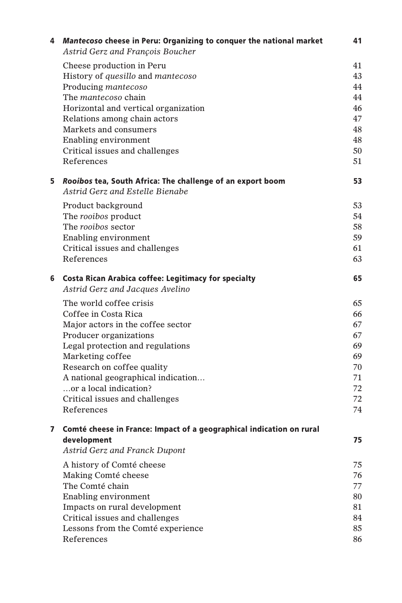| 4 | Mantecoso cheese in Peru: Organizing to conquer the national market<br>Astrid Gerz and François Boucher | 41       |
|---|---------------------------------------------------------------------------------------------------------|----------|
|   | Cheese production in Peru                                                                               | 41       |
|   | History of quesillo and mantecoso                                                                       | 43       |
|   | Producing mantecoso                                                                                     | 44       |
|   | The <i>mantecoso</i> chain                                                                              | 44       |
|   | Horizontal and vertical organization                                                                    | 46       |
|   | Relations among chain actors                                                                            | 47       |
|   | Markets and consumers                                                                                   | 48       |
|   | Enabling environment                                                                                    | 48       |
|   | Critical issues and challenges                                                                          | 50       |
|   | References                                                                                              | 51       |
| 5 | Rooibos tea, South Africa: The challenge of an export boom<br>Astrid Gerz and Estelle Bienabe           | 53       |
|   | Product background                                                                                      | 53       |
|   | The rooibos product                                                                                     | 54       |
|   | The rooibos sector                                                                                      | 58       |
|   | Enabling environment                                                                                    | 59       |
|   | Critical issues and challenges                                                                          | 61       |
|   | References                                                                                              | 63       |
| 6 | <b>Costa Rican Arabica coffee: Legitimacy for specialty</b><br>Astrid Gerz and Jacques Avelino          | 65       |
|   | The world coffee crisis                                                                                 | 65       |
|   | Coffee in Costa Rica                                                                                    | 66       |
|   | Major actors in the coffee sector                                                                       | 67       |
|   | Producer organizations                                                                                  | 67       |
|   | Legal protection and regulations                                                                        | 69       |
|   | Marketing coffee                                                                                        | 69       |
|   | Research on coffee quality                                                                              | 70       |
|   | A national geographical indication                                                                      | 71       |
|   | or a local indication?                                                                                  | 72       |
|   | Critical issues and challenges                                                                          | 72       |
|   | References                                                                                              | 74       |
| 7 | Comté cheese in France: Impact of a geographical indication on rural                                    |          |
|   | development<br>Astrid Gerz and Franck Dupont                                                            | 75       |
|   |                                                                                                         |          |
|   | A history of Comté cheese                                                                               | 75       |
|   | Making Comté cheese                                                                                     | 76       |
|   | The Comté chain                                                                                         | 77       |
|   | Enabling environment                                                                                    | 80       |
|   | Impacts on rural development                                                                            | 81       |
|   | Critical issues and challenges                                                                          | 84       |
|   | Lessons from the Comté experience<br>References                                                         | 85<br>86 |
|   |                                                                                                         |          |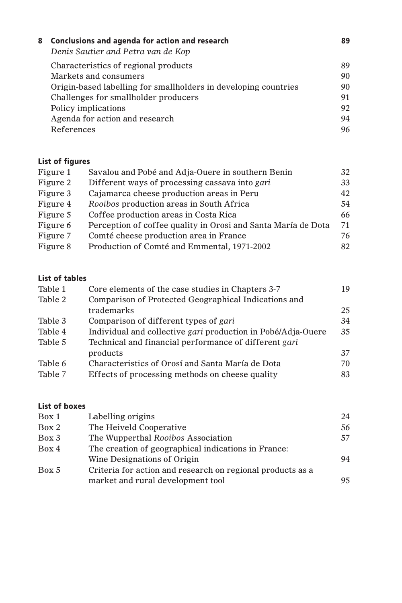| 89 |
|----|
|    |
| 90 |
| 90 |
| 91 |
| 92 |
| 94 |
| 96 |
|    |

## **List of figures**

| Figure 1 | Savalou and Pobé and Adja-Ouere in southern Benin             | 32 |
|----------|---------------------------------------------------------------|----|
| Figure 2 | Different ways of processing cassava into gari                | 33 |
| Figure 3 | Cajamarca cheese production areas in Peru                     | 42 |
| Figure 4 | Rooibos production areas in South Africa                      | 54 |
| Figure 5 | Coffee production areas in Costa Rica                         | 66 |
| Figure 6 | Perception of coffee quality in Orosi and Santa María de Dota | 71 |
| Figure 7 | Comté cheese production area in France                        | 76 |
| Figure 8 | Production of Comté and Emmental, 1971-2002                   | 82 |
|          |                                                               |    |

## **List of tables**

| Table 1 | Core elements of the case studies in Chapters 3-7            | 19 |
|---------|--------------------------------------------------------------|----|
| Table 2 | Comparison of Protected Geographical Indications and         |    |
|         | trademarks                                                   | 25 |
| Table 3 | Comparison of different types of gari                        | 34 |
| Table 4 | Individual and collective gari production in Pobé/Adja-Ouere | 35 |
| Table 5 | Technical and financial performance of different gari        |    |
|         | products                                                     | 37 |
| Table 6 | Characteristics of Orosí and Santa María de Dota             | 70 |
| Table 7 | Effects of processing methods on cheese quality              | 83 |
|         |                                                              |    |

## **List of boxes**

| Labelling origins                                          | 24 |
|------------------------------------------------------------|----|
| The Heiveld Cooperative                                    | 56 |
| The Wupperthal Rooibos Association                         | 57 |
| The creation of geographical indications in France:        |    |
| Wine Designations of Origin                                | 94 |
| Criteria for action and research on regional products as a |    |
| market and rural development tool                          | 95 |
|                                                            |    |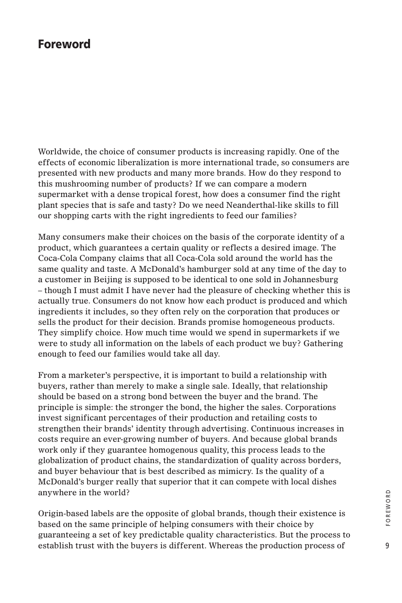## **Foreword**

Worldwide, the choice of consumer products is increasing rapidly. One of the effects of economic liberalization is more international trade, so consumers are presented with new products and many more brands. How do they respond to this mushrooming number of products? If we can compare a modern supermarket with a dense tropical forest, how does a consumer find the right plant species that is safe and tasty? Do we need Neanderthal-like skills to fill our shopping carts with the right ingredients to feed our families?

Many consumers make their choices on the basis of the corporate identity of a product, which guarantees a certain quality or reflects a desired image. The Coca-Cola Company claims that all Coca-Cola sold around the world has the same quality and taste. A McDonald's hamburger sold at any time of the day to a customer in Beijing is supposed to be identical to one sold in Johannesburg – though I must admit I have never had the pleasure of checking whether this is actually true. Consumers do not know how each product is produced and which ingredients it includes, so they often rely on the corporation that produces or sells the product for their decision. Brands promise homogeneous products. They simplify choice. How much time would we spend in supermarkets if we were to study all information on the labels of each product we buy? Gathering enough to feed our families would take all day.

From a marketer's perspective, it is important to build a relationship with buyers, rather than merely to make a single sale. Ideally, that relationship should be based on a strong bond between the buyer and the brand. The principle is simple: the stronger the bond, the higher the sales. Corporations invest significant percentages of their production and retailing costs to strengthen their brands' identity through advertising. Continuous increases in costs require an ever-growing number of buyers. And because global brands work only if they guarantee homogenous quality, this process leads to the globalization of product chains, the standardization of quality across borders, and buyer behaviour that is best described as mimicry. Is the quality of a McDonald's burger really that superior that it can compete with local dishes anywhere in the world?

Origin-based labels are the opposite of global brands, though their existence is based on the same principle of helping consumers with their choice by guaranteeing a set of key predictable quality characteristics. But the process to establish trust with the buyers is different. Whereas the production process of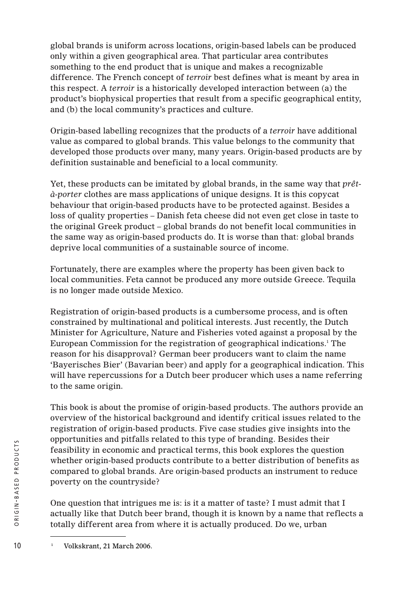global brands is uniform across locations, origin-based labels can be produced only within a given geographical area. That particular area contributes something to the end product that is unique and makes a recognizable difference. The French concept of *terroir* best defines what is meant by area in this respect. A *terroir* is a historically developed interaction between (a) the product's biophysical properties that result from a specific geographical entity, and (b) the local community's practices and culture.

Origin-based labelling recognizes that the products of a *terroir* have additional value as compared to global brands. This value belongs to the community that developed those products over many, many years. Origin-based products are by definition sustainable and beneficial to a local community.

Yet, these products can be imitated by global brands, in the same way that *prêtà-porter* clothes are mass applications of unique designs. It is this copycat behaviour that origin-based products have to be protected against. Besides a loss of quality properties – Danish feta cheese did not even get close in taste to the original Greek product – global brands do not benefit local communities in the same way as origin-based products do. It is worse than that: global brands deprive local communities of a sustainable source of income.

Fortunately, there are examples where the property has been given back to local communities. Feta cannot be produced any more outside Greece. Tequila is no longer made outside Mexico.

Registration of origin-based products is a cumbersome process, and is often constrained by multinational and political interests. Just recently, the Dutch Minister for Agriculture, Nature and Fisheries voted against a proposal by the European Commission for the registration of geographical indications.<sup>1</sup> The reason for his disapproval? German beer producers want to claim the name 'Bayerisches Bier' (Bavarian beer) and apply for a geographical indication. This will have repercussions for a Dutch beer producer which uses a name referring to the same origin.

This book is about the promise of origin-based products. The authors provide an overview of the historical background and identify critical issues related to the registration of origin-based products. Five case studies give insights into the opportunities and pitfalls related to this type of branding. Besides their feasibility in economic and practical terms, this book explores the question whether origin-based products contribute to a better distribution of benefits as compared to global brands. Are origin-based products an instrument to reduce poverty on the countryside?

One question that intrigues me is: is it a matter of taste? I must admit that I actually like that Dutch beer brand, though it is known by a name that reflects a totally different area from where it is actually produced. Do we, urban

<sup>10</sup> <sup>1</sup> Volkskrant, 21 March 2006.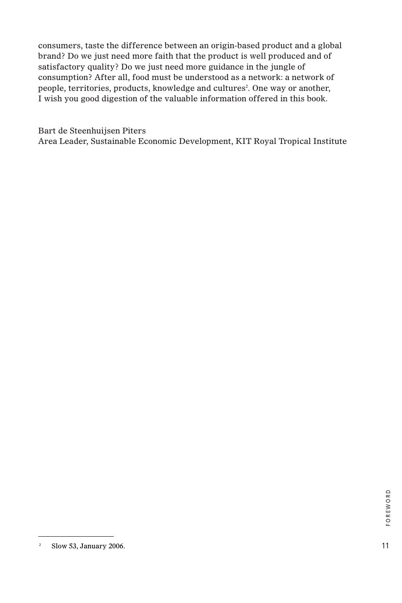consumers, taste the difference between an origin-based product and a global brand? Do we just need more faith that the product is well produced and of satisfactory quality? Do we just need more guidance in the jungle of consumption? After all, food must be understood as a network: a network of people, territories, products, knowledge and cultures<sup>2</sup>. One way or another, I wish you good digestion of the valuable information offered in this book.

Bart de Steenhuijsen Piters Area Leader, Sustainable Economic Development, KIT Royal Tropical Institute

<sup>&</sup>lt;sup>2</sup> Slow 53, January 2006.  $11$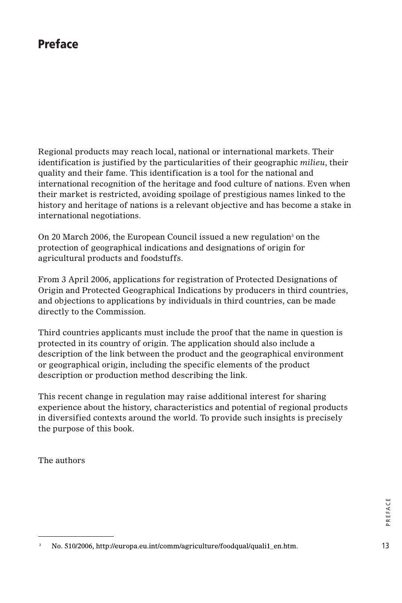## **Preface**

Regional products may reach local, national or international markets. Their identification is justified by the particularities of their geographic *milieu*, their quality and their fame. This identification is a tool for the national and international recognition of the heritage and food culture of nations. Even when their market is restricted, avoiding spoilage of prestigious names linked to the history and heritage of nations is a relevant objective and has become a stake in international negotiations.

On 20 March 2006, the European Council issued a new regulation<sup>3</sup> on the protection of geographical indications and designations of origin for agricultural products and foodstuffs.

From 3 April 2006, applications for registration of Protected Designations of Origin and Protected Geographical Indications by producers in third countries, and objections to applications by individuals in third countries, can be made directly to the Commission.

Third countries applicants must include the proof that the name in question is protected in its country of origin. The application should also include a description of the link between the product and the geographical environment or geographical origin, including the specific elements of the product description or production method describing the link.

This recent change in regulation may raise additional interest for sharing experience about the history, characteristics and potential of regional products in diversified contexts around the world. To provide such insights is precisely the purpose of this book.

The authors

<sup>13</sup> <sup>3</sup> No. 510/2006, http://europa.eu.int/comm/agriculture/foodqual/quali1\_en.htm.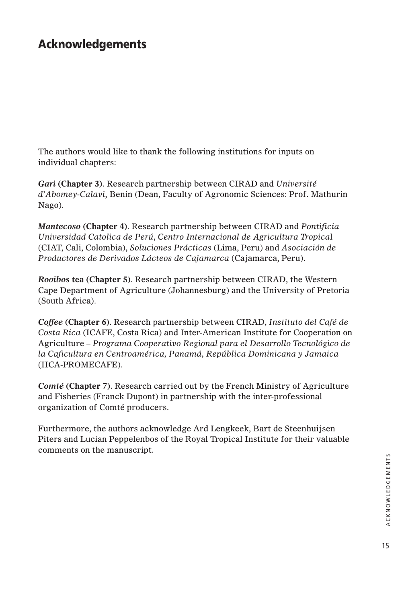## **Acknowledgements**

The authors would like to thank the following institutions for inputs on individual chapters:

*Gari* **(Chapter 3)**. Research partnership between CIRAD and *Université d'Abomey-Calavi*, Benin (Dean, Faculty of Agronomic Sciences: Prof. Mathurin Nago).

*Mantecoso* **(Chapter 4)**. Research partnership between CIRAD and *Pontificia Universidad Catolica de Perú*, *Centro Internacional de Agricultura Tropica*l (CIAT, Cali, Colombia), *Soluciones Prácticas* (Lima, Peru) and *Asociación de Productores de Derivados Lácteos de Cajamarca* (Cajamarca, Peru).

*Rooibos* **tea (Chapter 5)**. Research partnership between CIRAD, the Western Cape Department of Agriculture (Johannesburg) and the University of Pretoria (South Africa).

*Coffee* **(Chapter 6)**. Research partnership between CIRAD, *Instituto del Café de Costa Rica* (ICAFE, Costa Rica) and Inter-American Institute for Cooperation on Agriculture – *Programa Cooperativo Regional para el Desarrollo Tecnológico de la Caficultura en Centroamérica, Panamá, República Dominicana y Jamaica* (IICA-PROMECAFE).

*Comté* **(Chapter 7)**. Research carried out by the French Ministry of Agriculture and Fisheries (Franck Dupont) in partnership with the inter-professional organization of Comté producers.

Furthermore, the authors acknowledge Ard Lengkeek, Bart de Steenhuijsen Piters and Lucian Peppelenbos of the Royal Tropical Institute for their valuable comments on the manuscript.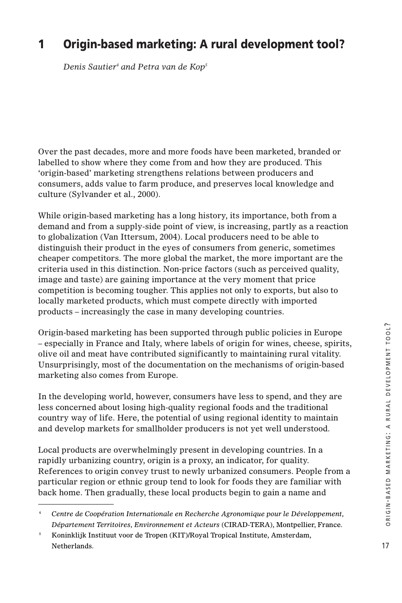## **1 Origin-based marketing: A rural development tool?**

*Denis Sautier4 and Petra van de Kop5*

Over the past decades, more and more foods have been marketed, branded or labelled to show where they come from and how they are produced. This 'origin-based' marketing strengthens relations between producers and consumers, adds value to farm produce, and preserves local knowledge and culture (Sylvander et al., 2000).

While origin-based marketing has a long history, its importance, both from a demand and from a supply-side point of view, is increasing, partly as a reaction to globalization (Van Ittersum, 2004). Local producers need to be able to distinguish their product in the eyes of consumers from generic, sometimes cheaper competitors. The more global the market, the more important are the criteria used in this distinction. Non-price factors (such as perceived quality, image and taste) are gaining importance at the very moment that price competition is becoming tougher. This applies not only to exports, but also to locally marketed products, which must compete directly with imported products – increasingly the case in many developing countries.

Origin-based marketing has been supported through public policies in Europe – especially in France and Italy, where labels of origin for wines, cheese, spirits, olive oil and meat have contributed significantly to maintaining rural vitality. Unsurprisingly, most of the documentation on the mechanisms of origin-based marketing also comes from Europe.

In the developing world, however, consumers have less to spend, and they are less concerned about losing high-quality regional foods and the traditional country way of life. Here, the potential of using regional identity to maintain and develop markets for smallholder producers is not yet well understood.

Local products are overwhelmingly present in developing countries. In a rapidly urbanizing country, origin is a proxy, an indicator, for quality. References to origin convey trust to newly urbanized consumers. People from a particular region or ethnic group tend to look for foods they are familiar with back home. Then gradually, these local products begin to gain a name and

<sup>4</sup> *Centre de Coopération Internationale en Recherche Agronomique pour le Développement, Département Territoires, Environnement et Acteurs* (CIRAD-TERA), Montpellier, France.

<sup>&</sup>lt;sup>5</sup> Koninklijk Instituut voor de Tropen (KIT)/Royal Tropical Institute, Amsterdam, Netherlands.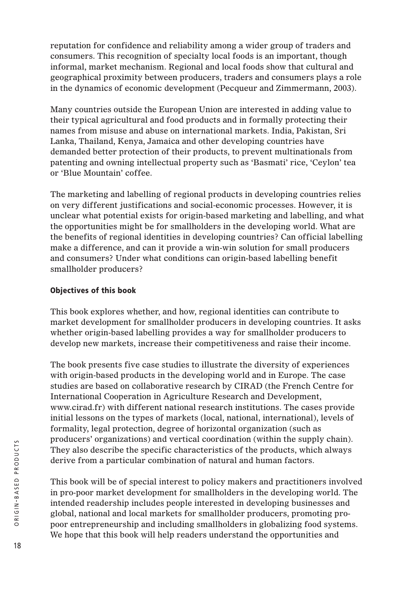reputation for confidence and reliability among a wider group of traders and consumers. This recognition of specialty local foods is an important, though informal, market mechanism. Regional and local foods show that cultural and geographical proximity between producers, traders and consumers plays a role in the dynamics of economic development (Pecqueur and Zimmermann, 2003).

Many countries outside the European Union are interested in adding value to their typical agricultural and food products and in formally protecting their names from misuse and abuse on international markets. India, Pakistan, Sri Lanka, Thailand, Kenya, Jamaica and other developing countries have demanded better protection of their products, to prevent multinationals from patenting and owning intellectual property such as 'Basmati' rice, 'Ceylon' tea or 'Blue Mountain' coffee.

The marketing and labelling of regional products in developing countries relies on very different justifications and social-economic processes. However, it is unclear what potential exists for origin-based marketing and labelling, and what the opportunities might be for smallholders in the developing world. What are the benefits of regional identities in developing countries? Can official labelling make a difference, and can it provide a win-win solution for small producers and consumers? Under what conditions can origin-based labelling benefit smallholder producers?

### **Objectives of this book**

This book explores whether, and how, regional identities can contribute to market development for smallholder producers in developing countries. It asks whether origin-based labelling provides a way for smallholder producers to develop new markets, increase their competitiveness and raise their income.

The book presents five case studies to illustrate the diversity of experiences with origin-based products in the developing world and in Europe. The case studies are based on collaborative research by CIRAD (the French Centre for International Cooperation in Agriculture Research and Development, www.cirad.fr) with different national research institutions. The cases provide initial lessons on the types of markets (local, national, international), levels of formality, legal protection, degree of horizontal organization (such as producers' organizations) and vertical coordination (within the supply chain). They also describe the specific characteristics of the products, which always derive from a particular combination of natural and human factors.

This book will be of special interest to policy makers and practitioners involved in pro-poor market development for smallholders in the developing world. The intended readership includes people interested in developing businesses and global, national and local markets for smallholder producers, promoting propoor entrepreneurship and including smallholders in globalizing food systems. We hope that this book will help readers understand the opportunities and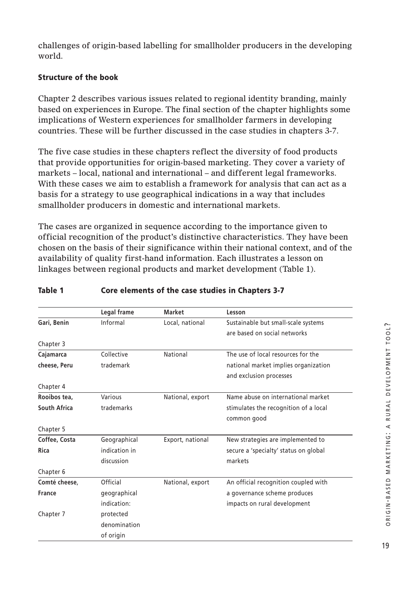challenges of origin-based labelling for smallholder producers in the developing world.

## **Structure of the book**

Chapter 2 describes various issues related to regional identity branding, mainly based on experiences in Europe. The final section of the chapter highlights some implications of Western experiences for smallholder farmers in developing countries. These will be further discussed in the case studies in chapters 3-7.

The five case studies in these chapters reflect the diversity of food products that provide opportunities for origin-based marketing. They cover a variety of markets – local, national and international – and different legal frameworks. With these cases we aim to establish a framework for analysis that can act as a basis for a strategy to use geographical indications in a way that includes smallholder producers in domestic and international markets.

The cases are organized in sequence according to the importance given to official recognition of the product's distinctive characteristics. They have been chosen on the basis of their significance within their national context, and of the availability of quality first-hand information. Each illustrates a lesson on linkages between regional products and market development (Table 1).

|               | Legal frame   | <b>Market</b>    | Lesson                                |
|---------------|---------------|------------------|---------------------------------------|
| Gari, Benin   | Informal      | Local, national  | Sustainable but small-scale systems   |
|               |               |                  | are based on social networks          |
| Chapter 3     |               |                  |                                       |
| Cajamarca     | Collective    | National         | The use of local resources for the    |
| cheese, Peru  | trademark     |                  | national market implies organization  |
|               |               |                  | and exclusion processes               |
| Chapter 4     |               |                  |                                       |
| Rooibos tea.  | Various       | National, export | Name abuse on international market    |
| South Africa  | trademarks    |                  | stimulates the recognition of a local |
|               |               |                  | common good                           |
| Chapter 5     |               |                  |                                       |
| Coffee, Costa | Geographical  | Export, national | New strategies are implemented to     |
| Rica          | indication in |                  | secure a 'specialty' status on global |
|               | discussion    |                  | markets                               |
| Chapter 6     |               |                  |                                       |
| Comté cheese. | Official      | National, export | An official recognition coupled with  |
| <b>France</b> | geographical  |                  | a governance scheme produces          |
|               | indication:   |                  | impacts on rural development          |
| Chapter 7     | protected     |                  |                                       |
|               | denomination  |                  |                                       |
|               | of origin     |                  |                                       |

### **Table 1 Core elements of the case studies in Chapters 3-7**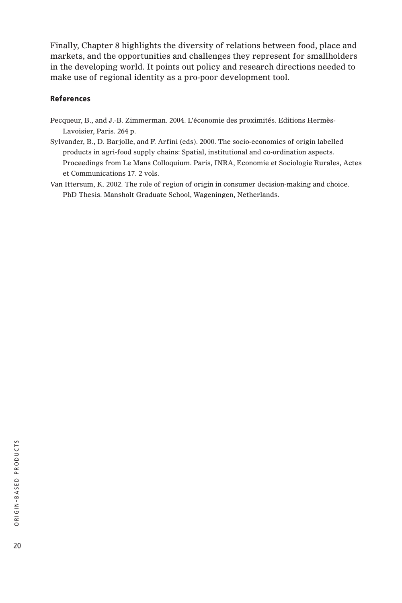Finally, Chapter 8 highlights the diversity of relations between food, place and markets, and the opportunities and challenges they represent for smallholders in the developing world. It points out policy and research directions needed to make use of regional identity as a pro-poor development tool.

### **References**

- Pecqueur, B., and J.-B. Zimmerman. 2004. L'économie des proximités. Editions Hermès-Lavoisier, Paris. 264 p.
- Sylvander, B., D. Barjolle, and F. Arfini (eds). 2000. The socio-economics of origin labelled products in agri-food supply chains: Spatial, institutional and co-ordination aspects. Proceedings from Le Mans Colloquium. Paris, INRA, Economie et Sociologie Rurales, Actes et Communications 17. 2 vols.
- Van Ittersum, K. 2002. The role of region of origin in consumer decision-making and choice. PhD Thesis. Mansholt Graduate School, Wageningen, Netherlands.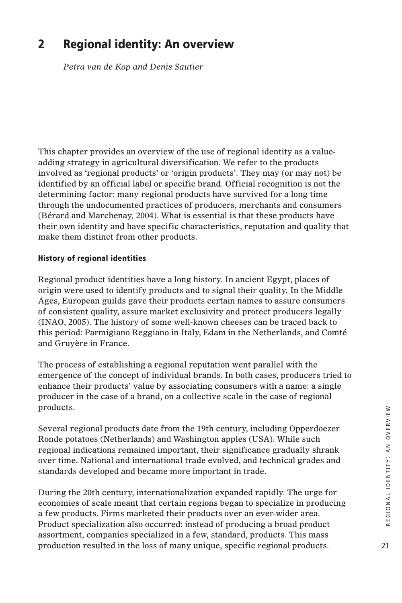## **2 Regional identity: An overview**

*Petra van de Kop and Denis Sautier*

This chapter provides an overview of the use of regional identity as a valueadding strategy in agricultural diversification. We refer to the products involved as 'regional products' or 'origin products'. They may (or may not) be identified by an official label or specific brand. Official recognition is not the determining factor: many regional products have survived for a long time through the undocumented practices of producers, merchants and consumers (Bérard and Marchenay, 2004). What is essential is that these products have their own identity and have specific characteristics, reputation and quality that make them distinct from other products.

### **History of regional identities**

Regional product identities have a long history. In ancient Egypt, places of origin were used to identify products and to signal their quality. In the Middle Ages, European guilds gave their products certain names to assure consumers of consistent quality, assure market exclusivity and protect producers legally (INAO, 2005). The history of some well-known cheeses can be traced back to this period: Parmigiano Reggiano in Italy, Edam in the Netherlands, and Comté and Gruyère in France.

The process of establishing a regional reputation went parallel with the emergence of the concept of individual brands. In both cases, producers tried to enhance their products' value by associating consumers with a name: a single producer in the case of a brand, on a collective scale in the case of regional products.

Several regional products date from the 19th century, including Opperdoezer Ronde potatoes (Netherlands) and Washington apples (USA). While such regional indications remained important, their significance gradually shrank over time. National and international trade evolved, and technical grades and standards developed and became more important in trade.

During the 20th century, internationalization expanded rapidly. The urge for economies of scale meant that certain regions began to specialize in producing a few products. Firms marketed their products over an ever-wider area. Product specialization also occurred: instead of producing a broad product assortment, companies specialized in a few, standard, products. This mass production resulted in the loss of many unique, specific regional products.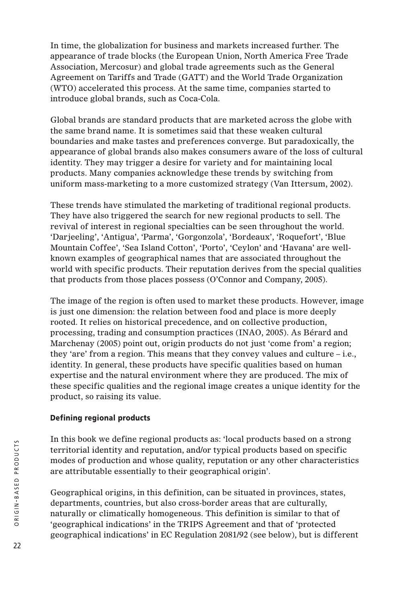In time, the globalization for business and markets increased further. The appearance of trade blocks (the European Union, North America Free Trade Association, Mercosur) and global trade agreements such as the General Agreement on Tariffs and Trade (GATT) and the World Trade Organization (WTO) accelerated this process. At the same time, companies started to introduce global brands, such as Coca-Cola.

Global brands are standard products that are marketed across the globe with the same brand name. It is sometimes said that these weaken cultural boundaries and make tastes and preferences converge. But paradoxically, the appearance of global brands also makes consumers aware of the loss of cultural identity. They may trigger a desire for variety and for maintaining local products. Many companies acknowledge these trends by switching from uniform mass-marketing to a more customized strategy (Van Ittersum, 2002).

These trends have stimulated the marketing of traditional regional products. They have also triggered the search for new regional products to sell. The revival of interest in regional specialties can be seen throughout the world. 'Darjeeling', 'Antigua', 'Parma', 'Gorgonzola', 'Bordeaux', 'Roquefort', 'Blue Mountain Coffee', 'Sea Island Cotton', 'Porto', 'Ceylon' and 'Havana' are wellknown examples of geographical names that are associated throughout the world with specific products. Their reputation derives from the special qualities that products from those places possess (O'Connor and Company, 2005).

The image of the region is often used to market these products. However, image is just one dimension: the relation between food and place is more deeply rooted. It relies on historical precedence, and on collective production, processing, trading and consumption practices (INAO, 2005). As Bérard and Marchenay (2005) point out, origin products do not just 'come from' a region; they 'are' from a region. This means that they convey values and culture – i.e., identity. In general, these products have specific qualities based on human expertise and the natural environment where they are produced. The mix of these specific qualities and the regional image creates a unique identity for the product, so raising its value.

## **Defining regional products**

In this book we define regional products as: 'local products based on a strong territorial identity and reputation, and/or typical products based on specific modes of production and whose quality, reputation or any other characteristics are attributable essentially to their geographical origin'.

Geographical origins, in this definition, can be situated in provinces, states, departments, countries, but also cross-border areas that are culturally, naturally or climatically homogeneous. This definition is similar to that of 'geographical indications' in the TRIPS Agreement and that of 'protected geographical indications' in EC Regulation 2081/92 (see below), but is different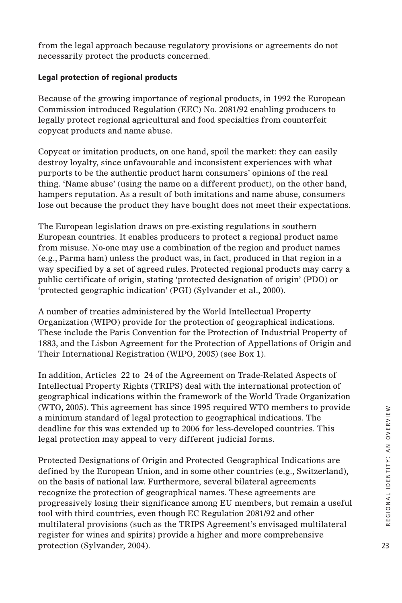from the legal approach because regulatory provisions or agreements do not necessarily protect the products concerned.

### **Legal protection of regional products**

Because of the growing importance of regional products, in 1992 the European Commission introduced Regulation (EEC) No. 2081/92 enabling producers to legally protect regional agricultural and food specialties from counterfeit copycat products and name abuse.

Copycat or imitation products, on one hand, spoil the market: they can easily destroy loyalty, since unfavourable and inconsistent experiences with what purports to be the authentic product harm consumers' opinions of the real thing. 'Name abuse' (using the name on a different product), on the other hand, hampers reputation. As a result of both imitations and name abuse, consumers lose out because the product they have bought does not meet their expectations.

The European legislation draws on pre-existing regulations in southern European countries. It enables producers to protect a regional product name from misuse. No-one may use a combination of the region and product names (e.g., Parma ham) unless the product was, in fact, produced in that region in a way specified by a set of agreed rules. Protected regional products may carry a public certificate of origin, stating 'protected designation of origin' (PDO) or 'protected geographic indication' (PGI) (Sylvander et al., 2000).

A number of treaties administered by the World Intellectual Property Organization (WIPO) provide for the protection of geographical indications. These include the Paris Convention for the Protection of Industrial Property of 1883, and the Lisbon Agreement for the Protection of Appellations of Origin and Their International Registration (WIPO, 2005) (see Box 1).

In addition, Articles 22 to 24 of the Agreement on Trade-Related Aspects of Intellectual Property Rights (TRIPS) deal with the international protection of geographical indications within the framework of the World Trade Organization (WTO, 2005). This agreement has since 1995 required WTO members to provide a minimum standard of legal protection to geographical indications. The deadline for this was extended up to 2006 for less-developed countries. This legal protection may appeal to very different judicial forms.

Protected Designations of Origin and Protected Geographical Indications are defined by the European Union, and in some other countries (e.g., Switzerland), on the basis of national law. Furthermore, several bilateral agreements recognize the protection of geographical names. These agreements are progressively losing their significance among EU members, but remain a useful tool with third countries, even though EC Regulation 2081/92 and other multilateral provisions (such as the TRIPS Agreement's envisaged multilateral register for wines and spirits) provide a higher and more comprehensive protection (Sylvander, 2004).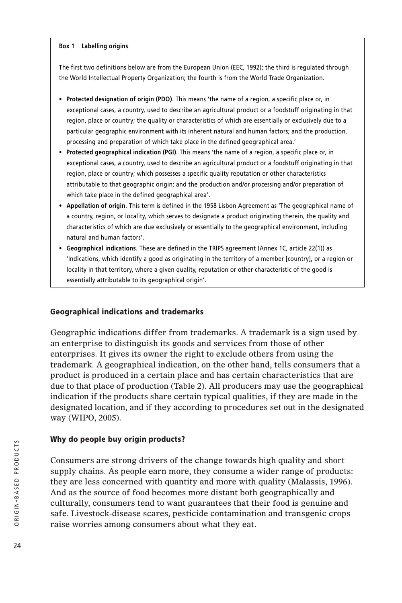#### **Box 1 Labelling origins**

The first two definitions below are from the European Union (EEC, 1992); the third is regulated through the World Intellectual Property Organization; the fourth is from the World Trade Organization.

- **Protected designation of origin (PDO)**. This means 'the name of a region, a specific place or, in exceptional cases, a country, used to describe an agricultural product or a foodstuff originating in that region, place or country; the quality or characteristics of which are essentially or exclusively due to a particular geographic environment with its inherent natural and human factors; and the production, processing and preparation of which take place in the defined geographical area.'
- **Protected geographical indication (PGI)**. This means 'the name of a region, a specific place or, in exceptional cases, a country, used to describe an agricultural product or a foodstuff originating in that region, place or country; which possesses a specific quality reputation or other characteristics attributable to that geographic origin; and the production and/or processing and/or preparation of which take place in the defined geographical area'.
- **Appellation of origin**. This term is defined in the 1958 Lisbon Agreement as 'The geographical name of a country, region, or locality, which serves to designate a product originating therein, the quality and characteristics of which are due exclusively or essentially to the geographical environment, including natural and human factors'.
- **Geographical indications**. These are defined in the TRIPS agreement (Annex 1C, article 22(1)) as 'Indications, which identify a good as originating in the territory of a member [country], or a region or locality in that territory, where a given quality, reputation or other characteristic of the good is essentially attributable to its geographical origin'.

#### **Geographical indications and trademarks**

Geographic indications differ from trademarks. A trademark is a sign used by an enterprise to distinguish its goods and services from those of other enterprises. It gives its owner the right to exclude others from using the trademark. A geographical indication, on the other hand, tells consumers that a product is produced in a certain place and has certain characteristics that are due to that place of production (Table 2). All producers may use the geographical indication if the products share certain typical qualities, if they are made in the designated location, and if they according to procedures set out in the designated way (WIPO, 2005).

#### **Why do people buy origin products?**

Consumers are strong drivers of the change towards high quality and short supply chains. As people earn more, they consume a wider range of products: they are less concerned with quantity and more with quality (Malassis, 1996). And as the source of food becomes more distant both geographically and culturally, consumers tend to want guarantees that their food is genuine and safe. Livestock-disease scares, pesticide contamination and transgenic crops raise worries among consumers about what they eat.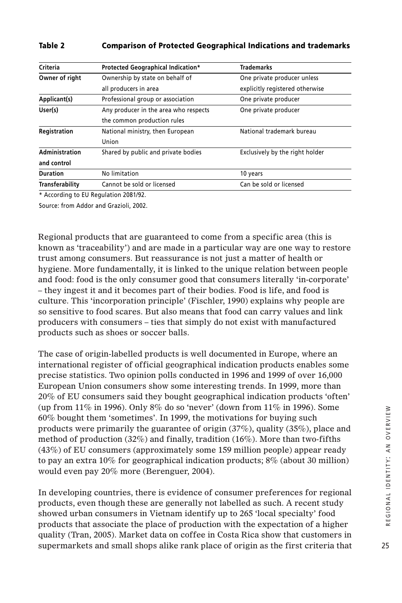| Criteria                                          | Protected Geographical Indication*                            | <b>Trademarks</b>               |
|---------------------------------------------------|---------------------------------------------------------------|---------------------------------|
| Owner of right                                    | Ownership by state on behalf of                               | One private producer unless     |
|                                                   | all producers in area                                         | explicitly registered otherwise |
| Applicant(s)<br>Professional group or association |                                                               | One private producer            |
| User(s)                                           | Any producer in the area who respects<br>One private producer |                                 |
|                                                   | the common production rules                                   |                                 |
| Registration                                      | National ministry, then European                              | National trademark bureau       |
|                                                   | Union                                                         |                                 |
| Administration                                    | Shared by public and private bodies                           | Exclusively by the right holder |
| and control                                       |                                                               |                                 |
| No limitation<br><b>Duration</b>                  |                                                               | 10 years                        |
| Transferability                                   | Cannot be sold or licensed                                    | Can be sold or licensed         |
|                                                   |                                                               |                                 |

#### **Table 2 Comparison of Protected Geographical Indications and trademarks**

\* According to EU Regulation 2081/92.

Source: from Addor and Grazioli, 2002.

Regional products that are guaranteed to come from a specific area (this is known as 'traceability') and are made in a particular way are one way to restore trust among consumers. But reassurance is not just a matter of health or hygiene. More fundamentally, it is linked to the unique relation between people and food: food is the only consumer good that consumers literally 'in-corporate' – they ingest it and it becomes part of their bodies. Food is life, and food is culture. This 'incorporation principle' (Fischler, 1990) explains why people are so sensitive to food scares. But also means that food can carry values and link producers with consumers – ties that simply do not exist with manufactured products such as shoes or soccer balls.

The case of origin-labelled products is well documented in Europe, where an international register of official geographical indication products enables some precise statistics. Two opinion polls conducted in 1996 and 1999 of over 16,000 European Union consumers show some interesting trends. In 1999, more than 20% of EU consumers said they bought geographical indication products 'often' (up from 11% in 1996). Only 8% do so 'never' (down from 11% in 1996). Some 60% bought them 'sometimes'. In 1999, the motivations for buying such products were primarily the guarantee of origin (37%), quality (35%), place and method of production  $(32\%)$  and finally, tradition  $(16\%)$ . More than two-fifths (43%) of EU consumers (approximately some 159 million people) appear ready to pay an extra 10% for geographical indication products; 8% (about 30 million) would even pay 20% more (Berenguer, 2004).

In developing countries, there is evidence of consumer preferences for regional products, even though these are generally not labelled as such. A recent study showed urban consumers in Vietnam identify up to 265 'local specialty' food products that associate the place of production with the expectation of a higher quality (Tran, 2005). Market data on coffee in Costa Rica show that customers in supermarkets and small shops alike rank place of origin as the first criteria that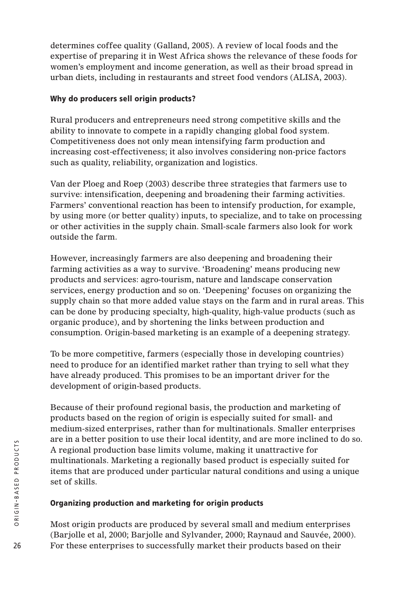determines coffee quality (Galland, 2005). A review of local foods and the expertise of preparing it in West Africa shows the relevance of these foods for women's employment and income generation, as well as their broad spread in urban diets, including in restaurants and street food vendors (ALISA, 2003).

### **Why do producers sell origin products?**

Rural producers and entrepreneurs need strong competitive skills and the ability to innovate to compete in a rapidly changing global food system. Competitiveness does not only mean intensifying farm production and increasing cost-effectiveness; it also involves considering non-price factors such as quality, reliability, organization and logistics.

Van der Ploeg and Roep (2003) describe three strategies that farmers use to survive: intensification, deepening and broadening their farming activities. Farmers' conventional reaction has been to intensify production, for example, by using more (or better quality) inputs, to specialize, and to take on processing or other activities in the supply chain. Small-scale farmers also look for work outside the farm.

However, increasingly farmers are also deepening and broadening their farming activities as a way to survive. 'Broadening' means producing new products and services: agro-tourism, nature and landscape conservation services, energy production and so on. 'Deepening' focuses on organizing the supply chain so that more added value stays on the farm and in rural areas. This can be done by producing specialty, high-quality, high-value products (such as organic produce), and by shortening the links between production and consumption. Origin-based marketing is an example of a deepening strategy.

To be more competitive, farmers (especially those in developing countries) need to produce for an identified market rather than trying to sell what they have already produced. This promises to be an important driver for the development of origin-based products.

Because of their profound regional basis, the production and marketing of products based on the region of origin is especially suited for small- and medium-sized enterprises, rather than for multinationals. Smaller enterprises are in a better position to use their local identity, and are more inclined to do so. A regional production base limits volume, making it unattractive for multinationals. Marketing a regionally based product is especially suited for items that are produced under particular natural conditions and using a unique set of skills.

## **Organizing production and marketing for origin products**

Most origin products are produced by several small and medium enterprises (Barjolle et al, 2000; Barjolle and Sylvander, 2000; Raynaud and Sauvée, 2000). For these enterprises to successfully market their products based on their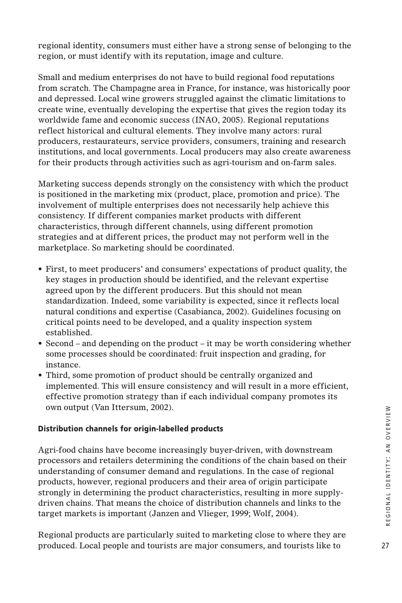regional identity, consumers must either have a strong sense of belonging to the region, or must identify with its reputation, image and culture.

Small and medium enterprises do not have to build regional food reputations from scratch. The Champagne area in France, for instance, was historically poor and depressed. Local wine growers struggled against the climatic limitations to create wine, eventually developing the expertise that gives the region today its worldwide fame and economic success (INAO, 2005). Regional reputations reflect historical and cultural elements. They involve many actors: rural producers, restaurateurs, service providers, consumers, training and research institutions, and local governments. Local producers may also create awareness for their products through activities such as agri-tourism and on-farm sales.

Marketing success depends strongly on the consistency with which the product is positioned in the marketing mix (product, place, promotion and price). The involvement of multiple enterprises does not necessarily help achieve this consistency. If different companies market products with different characteristics, through different channels, using different promotion strategies and at different prices, the product may not perform well in the marketplace. So marketing should be coordinated.

- First, to meet producers' and consumers' expectations of product quality, the key stages in production should be identified, and the relevant expertise agreed upon by the different producers. But this should not mean standardization. Indeed, some variability is expected, since it reflects local natural conditions and expertise (Casabianca, 2002). Guidelines focusing on critical points need to be developed, and a quality inspection system established.
- Second and depending on the product it may be worth considering whether some processes should be coordinated: fruit inspection and grading, for instance.
- Third, some promotion of product should be centrally organized and implemented. This will ensure consistency and will result in a more efficient, effective promotion strategy than if each individual company promotes its own output (Van Ittersum, 2002).

## **Distribution channels for origin-labelled products**

Agri-food chains have become increasingly buyer-driven, with downstream processors and retailers determining the conditions of the chain based on their understanding of consumer demand and regulations. In the case of regional products, however, regional producers and their area of origin participate strongly in determining the product characteristics, resulting in more supplydriven chains. That means the choice of distribution channels and links to the target markets is important (Janzen and Vlieger, 1999; Wolf, 2004).

Regional products are particularly suited to marketing close to where they are produced. Local people and tourists are major consumers, and tourists like to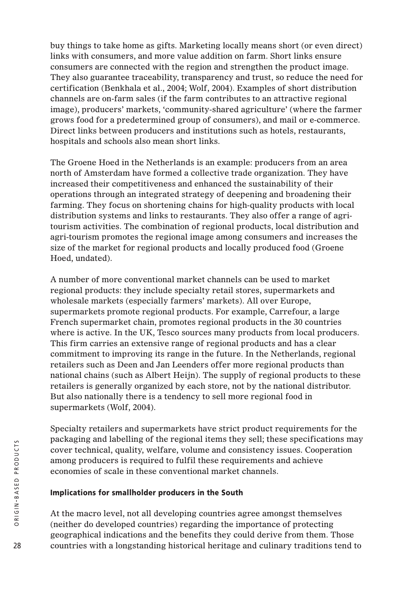buy things to take home as gifts. Marketing locally means short (or even direct) links with consumers, and more value addition on farm. Short links ensure consumers are connected with the region and strengthen the product image. They also guarantee traceability, transparency and trust, so reduce the need for certification (Benkhala et al., 2004; Wolf, 2004). Examples of short distribution channels are on-farm sales (if the farm contributes to an attractive regional image), producers' markets, 'community-shared agriculture' (where the farmer grows food for a predetermined group of consumers), and mail or e-commerce. Direct links between producers and institutions such as hotels, restaurants, hospitals and schools also mean short links.

The Groene Hoed in the Netherlands is an example: producers from an area north of Amsterdam have formed a collective trade organization. They have increased their competitiveness and enhanced the sustainability of their operations through an integrated strategy of deepening and broadening their farming. They focus on shortening chains for high-quality products with local distribution systems and links to restaurants. They also offer a range of agritourism activities. The combination of regional products, local distribution and agri-tourism promotes the regional image among consumers and increases the size of the market for regional products and locally produced food (Groene Hoed, undated).

A number of more conventional market channels can be used to market regional products: they include specialty retail stores, supermarkets and wholesale markets (especially farmers' markets). All over Europe, supermarkets promote regional products. For example, Carrefour, a large French supermarket chain, promotes regional products in the 30 countries where is active. In the UK, Tesco sources many products from local producers. This firm carries an extensive range of regional products and has a clear commitment to improving its range in the future. In the Netherlands, regional retailers such as Deen and Jan Leenders offer more regional products than national chains (such as Albert Heijn). The supply of regional products to these retailers is generally organized by each store, not by the national distributor. But also nationally there is a tendency to sell more regional food in supermarkets (Wolf, 2004).

Specialty retailers and supermarkets have strict product requirements for the packaging and labelling of the regional items they sell; these specifications may cover technical, quality, welfare, volume and consistency issues. Cooperation among producers is required to fulfil these requirements and achieve economies of scale in these conventional market channels.

### **Implications for smallholder producers in the South**

At the macro level, not all developing countries agree amongst themselves (neither do developed countries) regarding the importance of protecting geographical indications and the benefits they could derive from them. Those countries with a longstanding historical heritage and culinary traditions tend to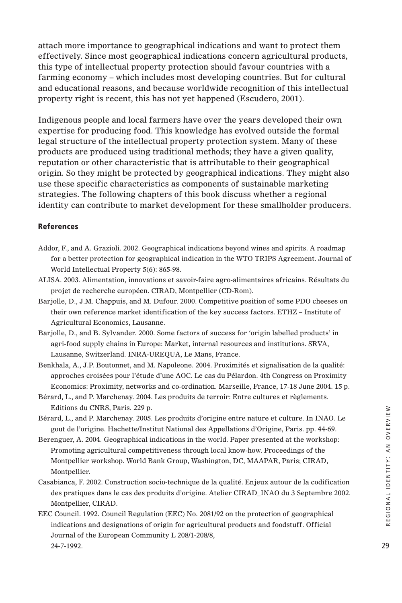attach more importance to geographical indications and want to protect them effectively. Since most geographical indications concern agricultural products, this type of intellectual property protection should favour countries with a farming economy – which includes most developing countries. But for cultural and educational reasons, and because worldwide recognition of this intellectual property right is recent, this has not yet happened (Escudero, 2001).

Indigenous people and local farmers have over the years developed their own expertise for producing food. This knowledge has evolved outside the formal legal structure of the intellectual property protection system. Many of these products are produced using traditional methods; they have a given quality, reputation or other characteristic that is attributable to their geographical origin. So they might be protected by geographical indications. They might also use these specific characteristics as components of sustainable marketing strategies. The following chapters of this book discuss whether a regional identity can contribute to market development for these smallholder producers.

#### **References**

- Addor, F., and A. Grazioli. 2002. Geographical indications beyond wines and spirits. A roadmap for a better protection for geographical indication in the WTO TRIPS Agreement. Journal of World Intellectual Property 5(6): 865-98.
- ALISA. 2003. Alimentation, innovations et savoir-faire agro-alimentaires africains. Résultats du projet de recherche européen. CIRAD, Montpellier (CD-Rom).
- Barjolle, D., J.M. Chappuis, and M. Dufour. 2000. Competitive position of some PDO cheeses on their own reference market identification of the key success factors. ETHZ – Institute of Agricultural Economics, Lausanne.
- Barjolle, D., and B. Sylvander. 2000. Some factors of success for 'origin labelled products' in agri-food supply chains in Europe: Market, internal resources and institutions. SRVA, Lausanne, Switzerland. INRA-UREQUA, Le Mans, France.
- Benkhala, A., J.P. Boutonnet, and M. Napoleone. 2004. Proximités et signalisation de la qualité: approches croisées pour l'étude d'une AOC. Le cas du Pélardon. 4th Congress on Proximity Economics: Proximity, networks and co-ordination. Marseille, France, 17-18 June 2004. 15 p.
- Bérard, L., and P. Marchenay. 2004. Les produits de terroir: Entre cultures et règlements. Editions du CNRS, Paris. 229 p.
- Bérard, L., and P. Marchenay. 2005. Les produits d'origine entre nature et culture. In INAO. Le gout de l'origine. Hachette/Institut National des Appellations d'Origine, Paris. pp. 44-69.
- Berenguer, A. 2004. Geographical indications in the world. Paper presented at the workshop: Promoting agricultural competitiveness through local know-how. Proceedings of the Montpellier workshop. World Bank Group, Washington, DC, MAAPAR, Paris; CIRAD, Montpellier.
- Casabianca, F. 2002. Construction socio-technique de la qualité. Enjeux autour de la codification des pratiques dans le cas des produits d'origine. Atelier CIRAD\_INAO du 3 Septembre 2002. Montpellier, CIRAD.
- EEC Council. 1992. Council Regulation (EEC) No. 2081/92 on the protection of geographical indications and designations of origin for agricultural products and foodstuff. Official Journal of the European Community L 208/1-208/8, 24-7-1992.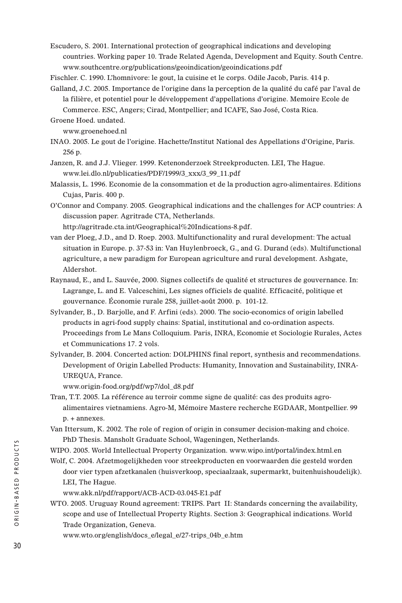Escudero, S. 2001. International protection of geographical indications and developing countries. Working paper 10. Trade Related Agenda, Development and Equity. South Centre. www.southcentre.org/publications/geoindication/geoindications.pdf

Fischler. C. 1990. L'homnivore: le gout, la cuisine et le corps. Odile Jacob, Paris. 414 p.

Galland, J.C. 2005. Importance de l'origine dans la perception de la qualité du café par l'aval de la filière, et potentiel pour le développement d'appellations d'origine. Memoire Ecole de Commerce. ESC, Angers; Cirad, Montpellier; and ICAFE, Sao José, Costa Rica.

Groene Hoed. undated.

www.groenehoed.nl

- INAO. 2005. Le gout de l'origine. Hachette/Institut National des Appellations d'Origine, Paris. 256 p.
- Janzen, R. and J.J. Vlieger. 1999. Ketenonderzoek Streekproducten. LEI, The Hague. www.lei.dlo.nl/publicaties/PDF/1999/3\_xxx/3\_99\_11.pdf
- Malassis, L. 1996. Economie de la consommation et de la production agro-alimentaires. Editions Cujas, Paris. 400 p.
- O'Connor and Company. 2005. Geographical indications and the challenges for ACP countries: A discussion paper. Agritrade CTA, Netherlands.

http://agritrade.cta.int/Geographical%20Indications-8.pdf.

- van der Ploeg, J.D., and D. Roep. 2003. Multifunctionality and rural development: The actual situation in Europe. p. 37-53 in: Van Huylenbroeck, G., and G. Durand (eds). Multifunctional agriculture, a new paradigm for European agriculture and rural development. Ashgate, Aldershot.
- Raynaud, E., and L. Sauvée, 2000. Signes collectifs de qualité et structures de gouvernance. In: Lagrange, L. and E. Valceschini, Les signes officiels de qualité. Efficacité, politique et gouvernance. Économie rurale 258, juillet-août 2000. p. 101-12.
- Sylvander, B., D. Barjolle, and F. Arfini (eds). 2000. The socio-economics of origin labelled products in agri-food supply chains: Spatial, institutional and co-ordination aspects. Proceedings from Le Mans Colloquium. Paris, INRA, Economie et Sociologie Rurales, Actes et Communications 17. 2 vols.
- Sylvander, B. 2004. Concerted action: DOLPHINS final report, synthesis and recommendations. Development of Origin Labelled Products: Humanity, Innovation and Sustainability, INRA-UREQUA, France.

www.origin-food.org/pdf/wp7/dol\_d8.pdf

- Tran, T.T. 2005. La référence au terroir comme signe de qualité: cas des produits agroalimentaires vietnamiens. Agro-M, Mémoire Mastere recherche EGDAAR, Montpellier. 99 p. + annexes.
- Van Ittersum, K. 2002. The role of region of origin in consumer decision-making and choice. PhD Thesis. Mansholt Graduate School, Wageningen, Netherlands.

WIPO. 2005. World Intellectual Property Organization. www.wipo.int/portal/index.html.en

- Wolf, C. 2004. Afzetmogelijkheden voor streekproducten en voorwaarden die gesteld worden door vier typen afzetkanalen (huisverkoop, speciaalzaak, supermarkt, buitenhuishoudelijk). LEI, The Hague.
	- www.akk.nl/pdf/rapport/ACB-ACD-03.045-E1.pdf
- WTO. 2005. Uruguay Round agreement: TRIPS. Part II: Standards concerning the availability, scope and use of Intellectual Property Rights. Section 3: Geographical indications. World Trade Organization, Geneva.

www.wto.org/english/docs\_e/legal\_e/27-trips\_04b\_e.htm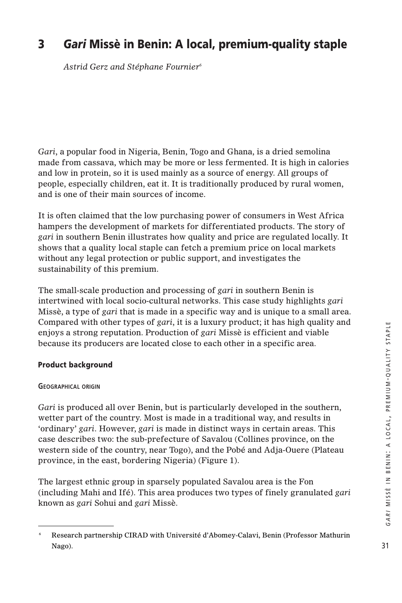## **3** *Gari* **Missè in Benin: A local, premium-quality staple**

*Astrid Gerz and Stéphane Fournier6*

*Gari*, a popular food in Nigeria, Benin, Togo and Ghana, is a dried semolina made from cassava, which may be more or less fermented. It is high in calories and low in protein, so it is used mainly as a source of energy. All groups of people, especially children, eat it. It is traditionally produced by rural women, and is one of their main sources of income.

It is often claimed that the low purchasing power of consumers in West Africa hampers the development of markets for differentiated products. The story of *gari* in southern Benin illustrates how quality and price are regulated locally. It shows that a quality local staple can fetch a premium price on local markets without any legal protection or public support, and investigates the sustainability of this premium.

The small-scale production and processing of *gari* in southern Benin is intertwined with local socio-cultural networks. This case study highlights *gari* Missè, a type of *gari* that is made in a specific way and is unique to a small area. Compared with other types of *gari*, it is a luxury product; it has high quality and enjoys a strong reputation. Production of *gari* Missè is efficient and viable because its producers are located close to each other in a specific area.

## **Product background**

### **GEOGRAPHICAL ORIGIN**

*Gari* is produced all over Benin, but is particularly developed in the southern, wetter part of the country. Most is made in a traditional way, and results in 'ordinary' *gari*. However, *gari* is made in distinct ways in certain areas. This case describes two: the sub-prefecture of Savalou (Collines province, on the western side of the country, near Togo), and the Pobé and Adja-Ouere (Plateau province, in the east, bordering Nigeria) (Figure 1).

The largest ethnic group in sparsely populated Savalou area is the Fon (including Mahi and Ifé). This area produces two types of finely granulated *gari* known as *gari* Sohui and *gari* Missè.

<sup>6</sup> Research partnership CIRAD with Université d'Abomey-Calavi, Benin (Professor Mathurin Nago).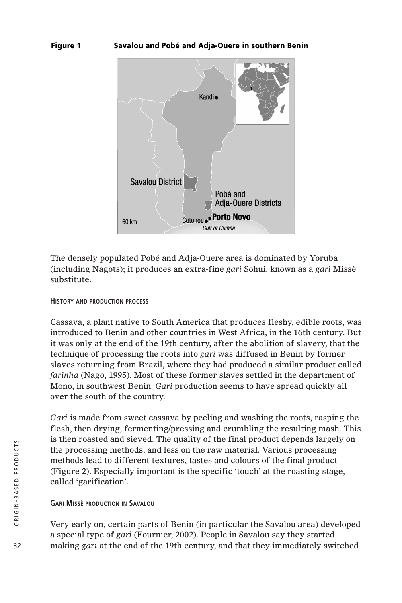#### **Figure 1 Savalou and Pobé and Adja-Ouere in southern Benin**



The densely populated Pobé and Adja-Ouere area is dominated by Yoruba (including Nagots); it produces an extra-fine *gari* Sohui, known as a *gari* Missè substitute.

#### **HISTORY AND PRODUCTION PROCESS**

Cassava, a plant native to South America that produces fleshy, edible roots, was introduced to Benin and other countries in West Africa, in the 16th century. But it was only at the end of the 19th century, after the abolition of slavery, that the technique of processing the roots into *gari* was diffused in Benin by former slaves returning from Brazil, where they had produced a similar product called *farinha* (Nago, 1995). Most of these former slaves settled in the department of Mono, in southwest Benin. *Gari* production seems to have spread quickly all over the south of the country.

*Gari* is made from sweet cassava by peeling and washing the roots, rasping the flesh, then drying, fermenting/pressing and crumbling the resulting mash. This is then roasted and sieved. The quality of the final product depends largely on the processing methods, and less on the raw material. Various processing methods lead to different textures, tastes and colours of the final product (Figure 2). Especially important is the specific 'touch' at the roasting stage, called 'garification'.

#### **GARI MISSÈ PRODUCTION IN SAVALOU**

Very early on, certain parts of Benin (in particular the Savalou area) developed a special type of *gari* (Fournier, 2002). People in Savalou say they started making *gari* at the end of the 19th century, and that they immediately switched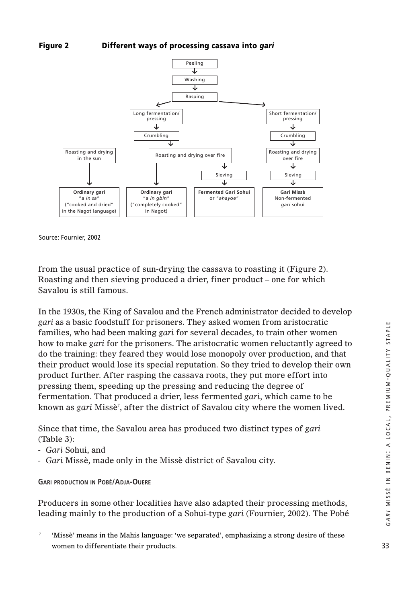### **Figure 2 Different ways of processing cassava into** *gari*



Source: Fournier, 2002

from the usual practice of sun-drying the cassava to roasting it (Figure 2). Roasting and then sieving produced a drier, finer product – one for which Savalou is still famous.

In the 1930s, the King of Savalou and the French administrator decided to develop *gari* as a basic foodstuff for prisoners. They asked women from aristocratic families, who had been making *gari* for several decades, to train other women how to make *gari* for the prisoners. The aristocratic women reluctantly agreed to do the training: they feared they would lose monopoly over production, and that their product would lose its special reputation. So they tried to develop their own product further. After rasping the cassava roots, they put more effort into pressing them, speeding up the pressing and reducing the degree of fermentation. That produced a drier, less fermented *gari*, which came to be known as *gari* Missè7 , after the district of Savalou city where the women lived.

Since that time, the Savalou area has produced two distinct types of *gari* (Table 3):

- *Gari* Sohui, and
- *Gari* Missè, made only in the Missè district of Savalou city.

#### **GARI PRODUCTION IN POBÉ/ADJA-OUERE**

Producers in some other localities have also adapted their processing methods, leading mainly to the production of a Sohui-type *gari* (Fournier, 2002). The Pobé

<sup>&#</sup>x27;Missè' means in the Mahis language: 'we separated', emphasizing a strong desire of these women to differentiate their products.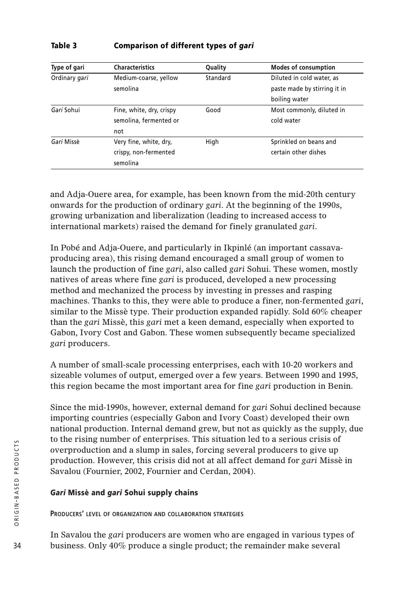#### **Table 3 Comparison of different types of** *gari*

| Type of gari  | <b>Characteristics</b>   | Quality  | <b>Modes of consumption</b>  |
|---------------|--------------------------|----------|------------------------------|
| Ordinary gari | Medium-coarse, yellow    | Standard | Diluted in cold water, as    |
|               | semolina                 |          | paste made by stirring it in |
|               |                          |          | boiling water                |
| Gari Sohui    | Fine, white, dry, crispy | Good     | Most commonly, diluted in    |
|               | semolina, fermented or   |          | cold water                   |
|               | not                      |          |                              |
| Gari Missè    | Very fine, white, dry,   | High     | Sprinkled on beans and       |
|               | crispy, non-fermented    |          | certain other dishes         |
|               | semolina                 |          |                              |

and Adja-Ouere area, for example, has been known from the mid-20th century onwards for the production of ordinary *gari*. At the beginning of the 1990s, growing urbanization and liberalization (leading to increased access to international markets) raised the demand for finely granulated *gari*.

In Pobé and Adja-Ouere, and particularly in Ikpinlé (an important cassavaproducing area), this rising demand encouraged a small group of women to launch the production of fine *gari*, also called *gari* Sohui. These women, mostly natives of areas where fine *gari* is produced, developed a new processing method and mechanized the process by investing in presses and rasping machines. Thanks to this, they were able to produce a finer, non-fermented *gari*, similar to the Missè type. Their production expanded rapidly. Sold 60% cheaper than the *gari* Missè, this *gari* met a keen demand, especially when exported to Gabon, Ivory Cost and Gabon. These women subsequently became specialized *gari* producers.

A number of small-scale processing enterprises, each with 10-20 workers and sizeable volumes of output, emerged over a few years. Between 1990 and 1995, this region became the most important area for fine *gari* production in Benin.

Since the mid-1990s, however, external demand for *gari* Sohui declined because importing countries (especially Gabon and Ivory Coast) developed their own national production. Internal demand grew, but not as quickly as the supply, due to the rising number of enterprises. This situation led to a serious crisis of overproduction and a slump in sales, forcing several producers to give up production. However, this crisis did not at all affect demand for *gari* Missè in Savalou (Fournier, 2002, Fournier and Cerdan, 2004).

### *Gari* **Missè and** *gari* **Sohui supply chains**

**PRODUCERS' LEVEL OF ORGANIZATION AND COLLABORATION STRATEGIES**

In Savalou the *gari* producers are women who are engaged in various types of business. Only 40% produce a single product; the remainder make several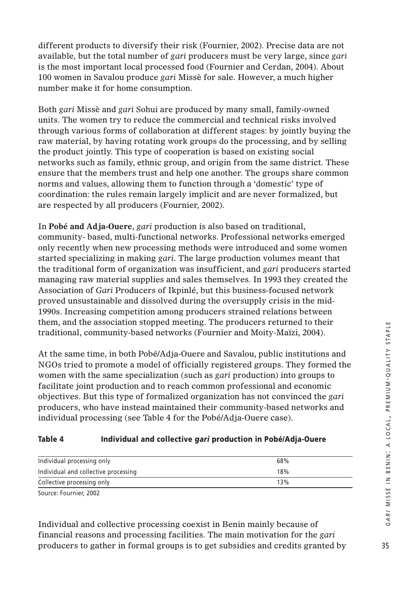different products to diversify their risk (Fournier, 2002). Precise data are not available, but the total number of *gari* producers must be very large, since *gari* is the most important local processed food (Fournier and Cerdan, 2004). About 100 women in Savalou produce *gari* Missè for sale. However, a much higher number make it for home consumption.

Both *gari* Missè and *gari* Sohui are produced by many small, family-owned units. The women try to reduce the commercial and technical risks involved through various forms of collaboration at different stages: by jointly buying the raw material, by having rotating work groups do the processing, and by selling the product jointly. This type of cooperation is based on existing social networks such as family, ethnic group, and origin from the same district. These ensure that the members trust and help one another. The groups share common norms and values, allowing them to function through a 'domestic' type of coordination: the rules remain largely implicit and are never formalized, but are respected by all producers (Fournier, 2002).

In **Pobé and Adja-Ouere**, *gari* production is also based on traditional, community- based, multi-functional networks. Professional networks emerged only recently when new processing methods were introduced and some women started specializing in making *gari*. The large production volumes meant that the traditional form of organization was insufficient, and *gari* producers started managing raw material supplies and sales themselves. In 1993 they created the Association of *Gari* Producers of Ikpinlé, but this business-focused network proved unsustainable and dissolved during the oversupply crisis in the mid-1990s. Increasing competition among producers strained relations between them, and the association stopped meeting. The producers returned to their traditional, community-based networks (Fournier and Moity-Maïzi, 2004).

At the same time, in both Pobé/Adja-Ouere and Savalou, public institutions and NGOs tried to promote a model of officially registered groups. They formed the women with the same specialization (such as *gari* production) into groups to facilitate joint production and to reach common professional and economic objectives. But this type of formalized organization has not convinced the *gari* producers, who have instead maintained their community-based networks and individual processing (see Table 4 for the Pobé/Adja-Ouere case).

## **Table 4 Individual and collective** *gari* **production in Pobé/Adja-Ouere**

| Individual processing only           | 68% |
|--------------------------------------|-----|
| Individual and collective processing | 18% |
| Collective processing only           | 13% |
|                                      |     |

Source: Fournier, 2002

Individual and collective processing coexist in Benin mainly because of financial reasons and processing facilities. The main motivation for the *gari* producers to gather in formal groups is to get subsidies and credits granted by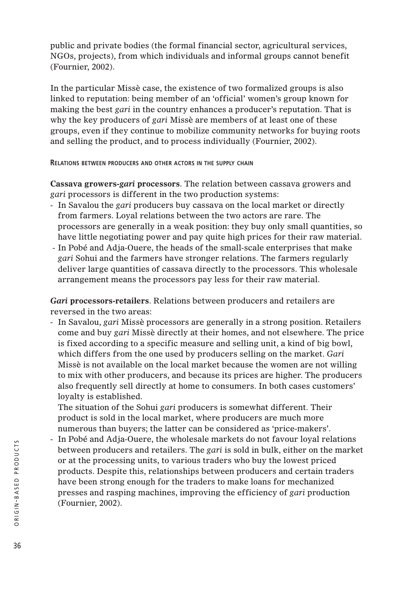public and private bodies (the formal financial sector, agricultural services, NGOs, projects), from which individuals and informal groups cannot benefit (Fournier, 2002).

In the particular Missè case, the existence of two formalized groups is also linked to reputation: being member of an 'official' women's group known for making the best *gari* in the country enhances a producer's reputation. That is why the key producers of *gari* Missè are members of at least one of these groups, even if they continue to mobilize community networks for buying roots and selling the product, and to process individually (Fournier, 2002).

**RELATIONS BETWEEN PRODUCERS AND OTHER ACTORS IN THE SUPPLY CHAIN**

**Cassava growers-***gari* **processors**. The relation between cassava growers and *gari* processors is different in the two production systems:

- In Savalou the *gari* producers buy cassava on the local market or directly from farmers. Loyal relations between the two actors are rare. The processors are generally in a weak position: they buy only small quantities, so have little negotiating power and pay quite high prices for their raw material.
- In Pobé and Adja-Ouere, the heads of the small-scale enterprises that make *gari* Sohui and the farmers have stronger relations. The farmers regularly deliver large quantities of cassava directly to the processors. This wholesale arrangement means the processors pay less for their raw material.

*Gari* **processors-retailers**. Relations between producers and retailers are reversed in the two areas:

- In Savalou, *gari* Missè processors are generally in a strong position. Retailers come and buy *gari* Missè directly at their homes, and not elsewhere. The price is fixed according to a specific measure and selling unit, a kind of big bowl, which differs from the one used by producers selling on the market. *Gari* Missè is not available on the local market because the women are not willing to mix with other producers, and because its prices are higher. The producers also frequently sell directly at home to consumers. In both cases customers' loyalty is established.

The situation of the Sohui *gari* producers is somewhat different. Their product is sold in the local market, where producers are much more numerous than buyers; the latter can be considered as 'price-makers'.

- In Pobé and Adja-Ouere, the wholesale markets do not favour loyal relations between producers and retailers. The *gari* is sold in bulk, either on the market or at the processing units, to various traders who buy the lowest priced products. Despite this, relationships between producers and certain traders have been strong enough for the traders to make loans for mechanized presses and rasping machines, improving the efficiency of *gari* production (Fournier, 2002).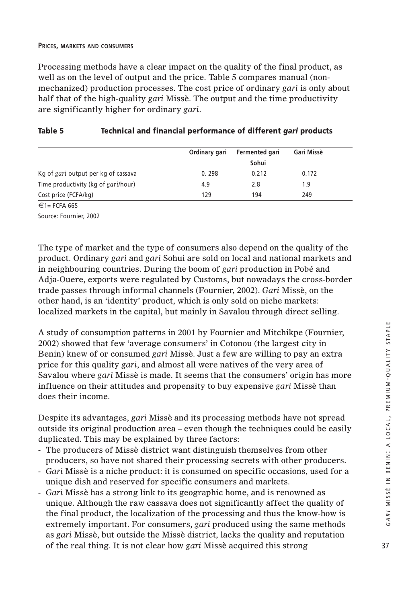#### **PRICES, MARKETS AND CONSUMERS**

Processing methods have a clear impact on the quality of the final product, as well as on the level of output and the price. Table 5 compares manual (nonmechanized) production processes. The cost price of ordinary *gari* is only about half that of the high-quality *gari* Missè. The output and the time productivity are significantly higher for ordinary *gari*.

|                                     | Ordinary gari | Fermented gari | Gari Missè |  |
|-------------------------------------|---------------|----------------|------------|--|
|                                     |               | Sohui          |            |  |
| Kg of gari output per kg of cassava | 0.298         | 0.212          | 0.172      |  |
| Time productivity (kg of gari/hour) | 4.9           | 2.8            | 1.9        |  |
| Cost price (FCFA/kg)                | 129           | 194            | 249        |  |

# **Table 5 Technical and financial performance of different** *gari* **products**

 $€1=$  FCFA 665

Source: Fournier, 2002

The type of market and the type of consumers also depend on the quality of the product. Ordinary *gari* and *gari* Sohui are sold on local and national markets and in neighbouring countries. During the boom of *gari* production in Pobé and Adja-Ouere, exports were regulated by Customs, but nowadays the cross-border trade passes through informal channels (Fournier, 2002). *Gari* Missè, on the other hand, is an 'identity' product, which is only sold on niche markets: localized markets in the capital, but mainly in Savalou through direct selling.

A study of consumption patterns in 2001 by Fournier and Mitchikpe (Fournier, 2002) showed that few 'average consumers' in Cotonou (the largest city in Benin) knew of or consumed *gari* Missè. Just a few are willing to pay an extra price for this quality *gari*, and almost all were natives of the very area of Savalou where *gari* Missè is made. It seems that the consumers' origin has more influence on their attitudes and propensity to buy expensive *gari* Missè than does their income.

Despite its advantages, *gari* Missè and its processing methods have not spread outside its original production area – even though the techniques could be easily duplicated. This may be explained by three factors:

- The producers of Missè district want distinguish themselves from other producers, so have not shared their processing secrets with other producers.
- *Gari* Missè is a niche product: it is consumed on specific occasions, used for a unique dish and reserved for specific consumers and markets.
- *Gari* Missè has a strong link to its geographic home, and is renowned as unique. Although the raw cassava does not significantly affect the quality of the final product, the localization of the processing and thus the know-how is extremely important. For consumers, *gari* produced using the same methods as *gari* Missè, but outside the Missè district, lacks the quality and reputation of the real thing. It is not clear how *gari* Missè acquired this strong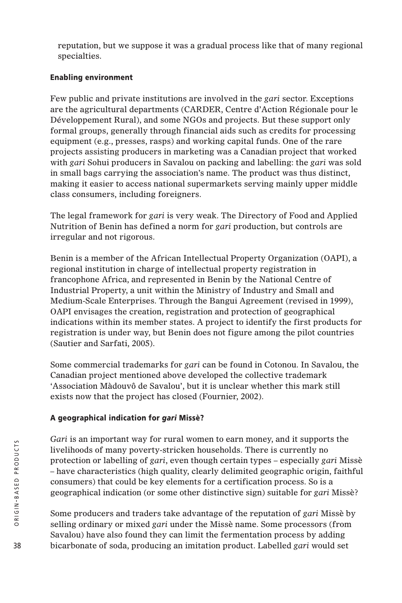reputation, but we suppose it was a gradual process like that of many regional specialties.

# **Enabling environment**

Few public and private institutions are involved in the *gari* sector. Exceptions are the agricultural departments (CARDER, Centre d'Action Régionale pour le Développement Rural), and some NGOs and projects. But these support only formal groups, generally through financial aids such as credits for processing equipment (e.g., presses, rasps) and working capital funds. One of the rare projects assisting producers in marketing was a Canadian project that worked with *gari* Sohui producers in Savalou on packing and labelling: the *gari* was sold in small bags carrying the association's name. The product was thus distinct, making it easier to access national supermarkets serving mainly upper middle class consumers, including foreigners.

The legal framework for *gari* is very weak. The Directory of Food and Applied Nutrition of Benin has defined a norm for *gari* production, but controls are irregular and not rigorous.

Benin is a member of the African Intellectual Property Organization (OAPI), a regional institution in charge of intellectual property registration in francophone Africa, and represented in Benin by the National Centre of Industrial Property, a unit within the Ministry of Industry and Small and Medium-Scale Enterprises. Through the Bangui Agreement (revised in 1999), OAPI envisages the creation, registration and protection of geographical indications within its member states. A project to identify the first products for registration is under way, but Benin does not figure among the pilot countries (Sautier and Sarfati, 2005).

Some commercial trademarks for *gari* can be found in Cotonou. In Savalou, the Canadian project mentioned above developed the collective trademark 'Association Màdouvô de Savalou', but it is unclear whether this mark still exists now that the project has closed (Fournier, 2002).

# **A geographical indication for** *gari* **Missè?**

*Gari* is an important way for rural women to earn money, and it supports the livelihoods of many poverty-stricken households. There is currently no protection or labelling of *gari*, even though certain types – especially *gari* Missè – have characteristics (high quality, clearly delimited geographic origin, faithful consumers) that could be key elements for a certification process. So is a geographical indication (or some other distinctive sign) suitable for *gari* Missè?

Some producers and traders take advantage of the reputation of *gari* Missè by selling ordinary or mixed *gari* under the Missè name. Some processors (from Savalou) have also found they can limit the fermentation process by adding bicarbonate of soda, producing an imitation product. Labelled *gari* would set

38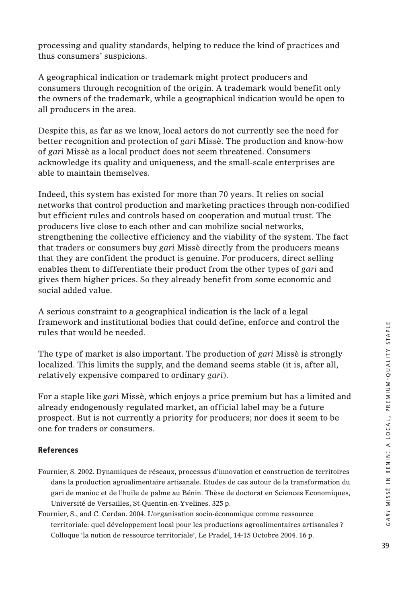processing and quality standards, helping to reduce the kind of practices and thus consumers' suspicions.

A geographical indication or trademark might protect producers and consumers through recognition of the origin. A trademark would benefit only the owners of the trademark, while a geographical indication would be open to all producers in the area.

Despite this, as far as we know, local actors do not currently see the need for better recognition and protection of *gari* Missè. The production and know-how of *gari* Missè as a local product does not seem threatened. Consumers acknowledge its quality and uniqueness, and the small-scale enterprises are able to maintain themselves.

Indeed, this system has existed for more than 70 years. It relies on social networks that control production and marketing practices through non-codified but efficient rules and controls based on cooperation and mutual trust. The producers live close to each other and can mobilize social networks, strengthening the collective efficiency and the viability of the system. The fact that traders or consumers buy *gari* Missè directly from the producers means that they are confident the product is genuine. For producers, direct selling enables them to differentiate their product from the other types of *gari* and gives them higher prices. So they already benefit from some economic and social added value.

A serious constraint to a geographical indication is the lack of a legal framework and institutional bodies that could define, enforce and control the rules that would be needed.

The type of market is also important. The production of *gari* Missè is strongly localized. This limits the supply, and the demand seems stable (it is, after all, relatively expensive compared to ordinary *gari*).

For a staple like *gari* Missè, which enjoys a price premium but has a limited and already endogenously regulated market, an official label may be a future prospect. But is not currently a priority for producers; nor does it seem to be one for traders or consumers.

# **References**

- Fournier, S. 2002. Dynamiques de réseaux, processus d'innovation et construction de territoires dans la production agroalimentaire artisanale. Etudes de cas autour de la transformation du gari de manioc et de l'huile de palme au Bénin. Thèse de doctorat en Sciences Economiques, Université de Versailles, St-Quentin-en-Yvelines. 325 p.
- Fournier, S., and C. Cerdan. 2004. L'organisation socio-économique comme ressource territoriale: quel développement local pour les productions agroalimentaires artisanales ? Colloque 'la notion de ressource territoriale', Le Pradel, 14-15 Octobre 2004. 16 p.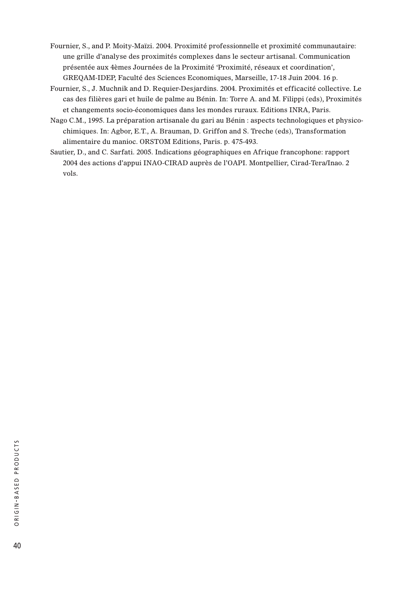- Fournier, S., and P. Moity-Maïzi. 2004. Proximité professionnelle et proximité communautaire: une grille d'analyse des proximités complexes dans le secteur artisanal. Communication présentée aux 4èmes Journées de la Proximité 'Proximité, réseaux et coordination', GREQAM-IDEP, Faculté des Sciences Economiques, Marseille, 17-18 Juin 2004. 16 p.
- Fournier, S., J. Muchnik and D. Requier-Desjardins. 2004. Proximités et efficacité collective. Le cas des filières gari et huile de palme au Bénin. In: Torre A. and M. Filippi (eds), Proximités et changements socio-économiques dans les mondes ruraux. Editions INRA, Paris.
- Nago C.M., 1995. La préparation artisanale du gari au Bénin : aspects technologiques et physicochimiques. In: Agbor, E.T., A. Brauman, D. Griffon and S. Treche (eds), Transformation alimentaire du manioc. ORSTOM Editions, Paris. p. 475-493.
- Sautier, D., and C. Sarfati. 2005. Indications géographiques en Afrique francophone: rapport 2004 des actions d'appui INAO-CIRAD auprès de l'OAPI. Montpellier, Cirad-Tera/Inao. 2 vols.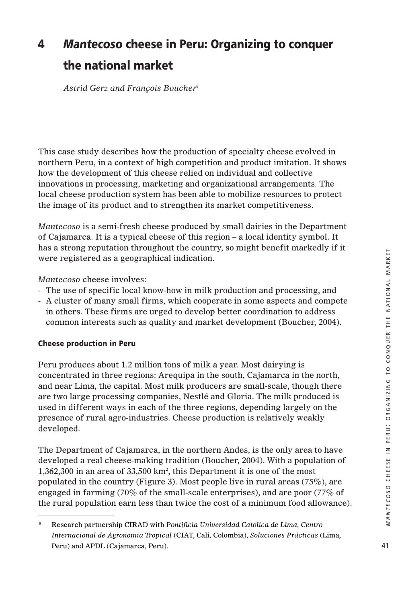# **4** *Mantecoso* **cheese in Peru: Organizing to conquer the national market**

*Astrid Gerz and François Boucher8*

This case study describes how the production of specialty cheese evolved in northern Peru, in a context of high competition and product imitation. It shows how the development of this cheese relied on individual and collective innovations in processing, marketing and organizational arrangements. The local cheese production system has been able to mobilize resources to protect the image of its product and to strengthen its market competitiveness.

*Mantecoso* is a semi-fresh cheese produced by small dairies in the Department of Cajamarca. It is a typical cheese of this region – a local identity symbol. It has a strong reputation throughout the country, so might benefit markedly if it were registered as a geographical indication.

*Mantecoso* cheese involves:

- The use of specific local know-how in milk production and processing, and
- A cluster of many small firms, which cooperate in some aspects and compete in others. These firms are urged to develop better coordination to address common interests such as quality and market development (Boucher, 2004).

# **Cheese production in Peru**

Peru produces about 1.2 million tons of milk a year. Most dairying is concentrated in three regions: Arequipa in the south, Cajamarca in the north, and near Lima, the capital. Most milk producers are small-scale, though there are two large processing companies, Nestlé and Gloria. The milk produced is used in different ways in each of the three regions, depending largely on the presence of rural agro-industries. Cheese production is relatively weakly developed.

The Department of Cajamarca, in the northern Andes, is the only area to have developed a real cheese-making tradition (Boucher, 2004). With a population of 1,362,300 in an area of 33,500 km2 , this Department it is one of the most populated in the country (Figure 3). Most people live in rural areas  $(75\%)$ , are engaged in farming (70% of the small-scale enterprises), and are poor (77% of the rural population earn less than twice the cost of a minimum food allowance).

<sup>8</sup> Research partnership CIRAD with *Pontificia Universidad Catolica de Lima, Centro Internacional de Agronomia Tropical* (CIAT, Cali, Colombia), *Soluciones Prácticas* (Lima, Peru) and APDL (Cajamarca, Peru).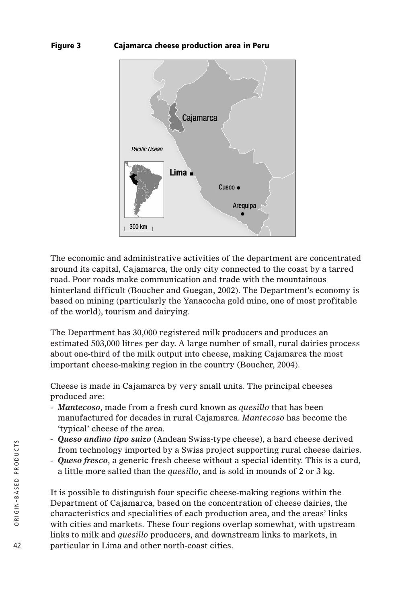## **Figure 3 Cajamarca cheese production area in Peru**



The economic and administrative activities of the department are concentrated around its capital, Cajamarca, the only city connected to the coast by a tarred road. Poor roads make communication and trade with the mountainous hinterland difficult (Boucher and Guegan, 2002). The Department's economy is based on mining (particularly the Yanacocha gold mine, one of most profitable of the world), tourism and dairying.

The Department has 30,000 registered milk producers and produces an estimated 503,000 litres per day. A large number of small, rural dairies process about one-third of the milk output into cheese, making Cajamarca the most important cheese-making region in the country (Boucher, 2004).

Cheese is made in Cajamarca by very small units. The principal cheeses produced are:

- *Mantecoso*, made from a fresh curd known as *quesillo* that has been manufactured for decades in rural Cajamarca. *Mantecoso* has become the 'typical' cheese of the area.
- *Queso andino tipo suizo* (Andean Swiss-type cheese), a hard cheese derived from technology imported by a Swiss project supporting rural cheese dairies.
- *Queso fresco*, a generic fresh cheese without a special identity. This is a curd, a little more salted than the *quesillo*, and is sold in mounds of 2 or 3 kg.

It is possible to distinguish four specific cheese-making regions within the Department of Cajamarca, based on the concentration of cheese dairies, the characteristics and specialities of each production area, and the areas' links with cities and markets. These four regions overlap somewhat, with upstream links to milk and *quesillo* producers, and downstream links to markets, in particular in Lima and other north-coast cities.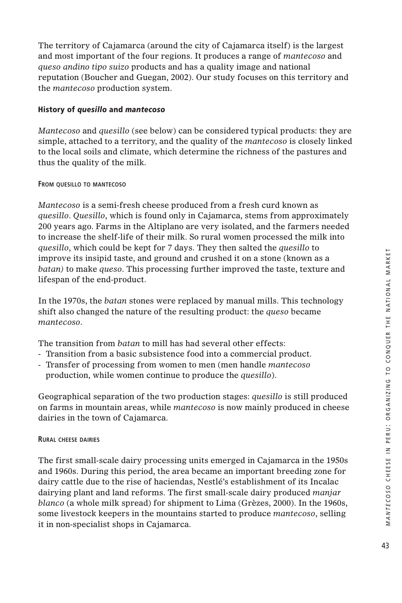The territory of Cajamarca (around the city of Cajamarca itself) is the largest and most important of the four regions. It produces a range of *mantecoso* and *queso andino tipo suizo* products and has a quality image and national reputation (Boucher and Guegan, 2002). Our study focuses on this territory and the *mantecoso* production system.

# **History of** *quesillo* **and** *mantecoso*

*Mantecoso* and *quesillo* (see below) can be considered typical products: they are simple, attached to a territory, and the quality of the *mantecoso* is closely linked to the local soils and climate, which determine the richness of the pastures and thus the quality of the milk.

# **FROM QUESILLO TO MANTECOSO**

*Mantecoso* is a semi-fresh cheese produced from a fresh curd known as *quesillo*. *Quesillo*, which is found only in Cajamarca, stems from approximately 200 years ago. Farms in the Altiplano are very isolated, and the farmers needed to increase the shelf-life of their milk. So rural women processed the milk into *quesillo*, which could be kept for 7 days. They then salted the *quesillo* to improve its insipid taste, and ground and crushed it on a stone (known as a *batan)* to make *queso*. This processing further improved the taste, texture and lifespan of the end-product.

In the 1970s, the *batan* stones were replaced by manual mills. This technology shift also changed the nature of the resulting product: the *queso* became *mantecoso*.

The transition from *batan* to mill has had several other effects:

- Transition from a basic subsistence food into a commercial product.
- Transfer of processing from women to men (men handle *mantecoso* production, while women continue to produce the *quesillo*).

Geographical separation of the two production stages: *quesillo* is still produced on farms in mountain areas, while *mantecoso* is now mainly produced in cheese dairies in the town of Cajamarca.

#### **RURAL CHEESE DAIRIES**

The first small-scale dairy processing units emerged in Cajamarca in the 1950s and 1960s. During this period, the area became an important breeding zone for dairy cattle due to the rise of haciendas, Nestlé's establishment of its Incalac dairying plant and land reforms. The first small-scale dairy produced *manjar blanco* (a whole milk spread) for shipment to Lima (Grèzes, 2000). In the 1960s, some livestock keepers in the mountains started to produce *mantecoso*, selling it in non-specialist shops in Cajamarca.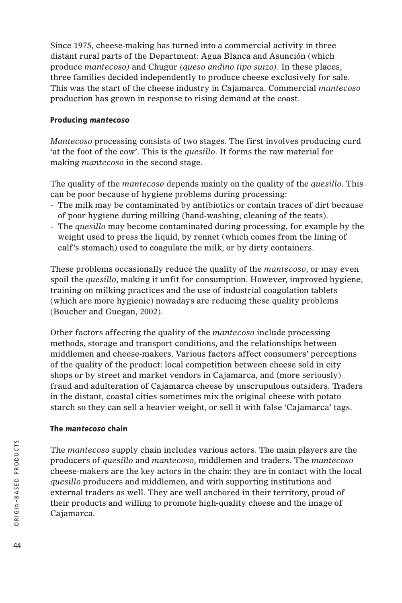Since 1975, cheese-making has turned into a commercial activity in three distant rural parts of the Department: Agua Blanca and Asunción (which produce *mantecoso)* and Chugur *(queso andino tipo suizo)*. In these places, three families decided independently to produce cheese exclusively for sale. This was the start of the cheese industry in Cajamarca. Commercial *mantecoso* production has grown in response to rising demand at the coast.

# **Producing** *mantecoso*

*Mantecoso* processing consists of two stages. The first involves producing curd 'at the foot of the cow'. This is the *quesillo*. It forms the raw material for making *mantecoso* in the second stage.

The quality of the *mantecoso* depends mainly on the quality of the *quesillo*. This can be poor because of hygiene problems during processing:

- The milk may be contaminated by antibiotics or contain traces of dirt because of poor hygiene during milking (hand-washing, cleaning of the teats).
- The *quesillo* may become contaminated during processing, for example by the weight used to press the liquid, by rennet (which comes from the lining of calf's stomach) used to coagulate the milk, or by dirty containers.

These problems occasionally reduce the quality of the *mantecoso*, or may even spoil the *quesillo*, making it unfit for consumption. However, improved hygiene, training on milking practices and the use of industrial coagulation tablets (which are more hygienic) nowadays are reducing these quality problems (Boucher and Guegan, 2002).

Other factors affecting the quality of the *mantecoso* include processing methods, storage and transport conditions, and the relationships between middlemen and cheese-makers. Various factors affect consumers' perceptions of the quality of the product: local competition between cheese sold in city shops or by street and market vendors in Cajamarca, and (more seriously) fraud and adulteration of Cajamarca cheese by unscrupulous outsiders. Traders in the distant, coastal cities sometimes mix the original cheese with potato starch so they can sell a heavier weight, or sell it with false 'Cajamarca' tags.

# **The** *mantecoso* **chain**

The *mantecoso* supply chain includes various actors. The main players are the producers of *quesillo* and *mantecoso*, middlemen and traders. The *mantecoso* cheese-makers are the key actors in the chain: they are in contact with the local *quesillo* producers and middlemen, and with supporting institutions and external traders as well. They are well anchored in their territory, proud of their products and willing to promote high-quality cheese and the image of Cajamarca.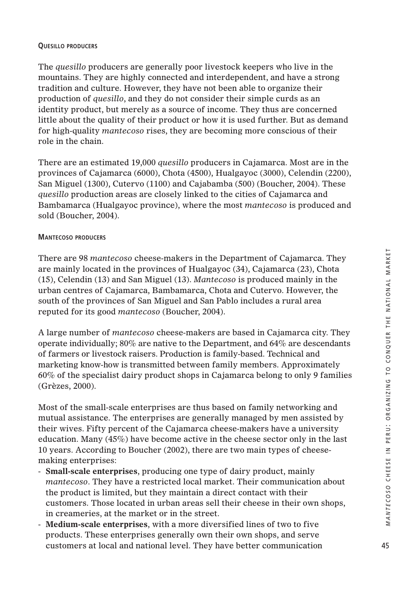#### **QUESILLO PRODUCERS**

The *quesillo* producers are generally poor livestock keepers who live in the mountains. They are highly connected and interdependent, and have a strong tradition and culture. However, they have not been able to organize their production of *quesillo*, and they do not consider their simple curds as an identity product, but merely as a source of income. They thus are concerned little about the quality of their product or how it is used further. But as demand for high-quality *mantecoso* rises, they are becoming more conscious of their role in the chain.

There are an estimated 19,000 *quesillo* producers in Cajamarca. Most are in the provinces of Cajamarca (6000), Chota (4500), Hualgayoc (3000), Celendin (2200), San Miguel (1300), Cutervo (1100) and Cajabamba (500) (Boucher, 2004). These *quesillo* production areas are closely linked to the cities of Cajamarca and Bambamarca (Hualgayoc province), where the most *mantecoso* is produced and sold (Boucher, 2004).

#### **MANTECOSO PRODUCERS**

There are 98 *mantecoso* cheese-makers in the Department of Cajamarca. They are mainly located in the provinces of Hualgayoc (34), Cajamarca (23), Chota (15), Celendin (13) and San Miguel (13). *Mantecoso* is produced mainly in the urban centres of Cajamarca, Bambamarca, Chota and Cutervo. However, the south of the provinces of San Miguel and San Pablo includes a rural area reputed for its good *mantecoso* (Boucher, 2004).

A large number of *mantecoso* cheese-makers are based in Cajamarca city. They operate individually; 80% are native to the Department, and 64% are descendants of farmers or livestock raisers. Production is family-based. Technical and marketing know-how is transmitted between family members. Approximately 60% of the specialist dairy product shops in Cajamarca belong to only 9 families (Grèzes, 2000).

Most of the small-scale enterprises are thus based on family networking and mutual assistance. The enterprises are generally managed by men assisted by their wives. Fifty percent of the Cajamarca cheese-makers have a university education. Many (45%) have become active in the cheese sector only in the last 10 years. According to Boucher (2002), there are two main types of cheesemaking enterprises:

- **Small-scale enterprises**, producing one type of dairy product, mainly *mantecoso*. They have a restricted local market. Their communication about the product is limited, but they maintain a direct contact with their customers. Those located in urban areas sell their cheese in their own shops, in creameries, at the market or in the street.
- **Medium-scale enterprises**, with a more diversified lines of two to five products. These enterprises generally own their own shops, and serve customers at local and national level. They have better communication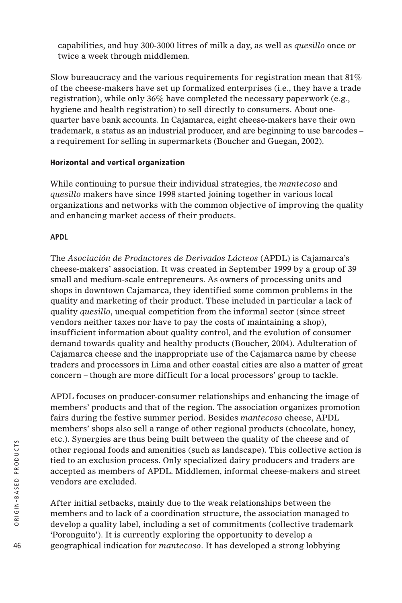capabilities, and buy 300-3000 litres of milk a day, as well as *quesillo* once or twice a week through middlemen.

Slow bureaucracy and the various requirements for registration mean that 81% of the cheese-makers have set up formalized enterprises (i.e., they have a trade registration), while only 36% have completed the necessary paperwork (e.g., hygiene and health registration) to sell directly to consumers. About onequarter have bank accounts. In Cajamarca, eight cheese-makers have their own trademark, a status as an industrial producer, and are beginning to use barcodes – a requirement for selling in supermarkets (Boucher and Guegan, 2002).

# **Horizontal and vertical organization**

While continuing to pursue their individual strategies, the *mantecoso* and *quesillo* makers have since 1998 started joining together in various local organizations and networks with the common objective of improving the quality and enhancing market access of their products.

# **APDL**

The *Asociación de Productores de Derivados Lácteos* (APDL) is Cajamarca's cheese-makers' association. It was created in September 1999 by a group of 39 small and medium-scale entrepreneurs. As owners of processing units and shops in downtown Cajamarca, they identified some common problems in the quality and marketing of their product. These included in particular a lack of quality *quesillo*, unequal competition from the informal sector (since street vendors neither taxes nor have to pay the costs of maintaining a shop), insufficient information about quality control, and the evolution of consumer demand towards quality and healthy products (Boucher, 2004). Adulteration of Cajamarca cheese and the inappropriate use of the Cajamarca name by cheese traders and processors in Lima and other coastal cities are also a matter of great concern – though are more difficult for a local processors' group to tackle.

APDL focuses on producer-consumer relationships and enhancing the image of members' products and that of the region. The association organizes promotion fairs during the festive summer period. Besides *mantecoso* cheese, APDL members' shops also sell a range of other regional products (chocolate, honey, etc.). Synergies are thus being built between the quality of the cheese and of other regional foods and amenities (such as landscape). This collective action is tied to an exclusion process. Only specialized dairy producers and traders are accepted as members of APDL. Middlemen, informal cheese-makers and street vendors are excluded.

After initial setbacks, mainly due to the weak relationships between the members and to lack of a coordination structure, the association managed to develop a quality label, including a set of commitments (collective trademark 'Poronguito'). It is currently exploring the opportunity to develop a geographical indication for *mantecoso*. It has developed a strong lobbying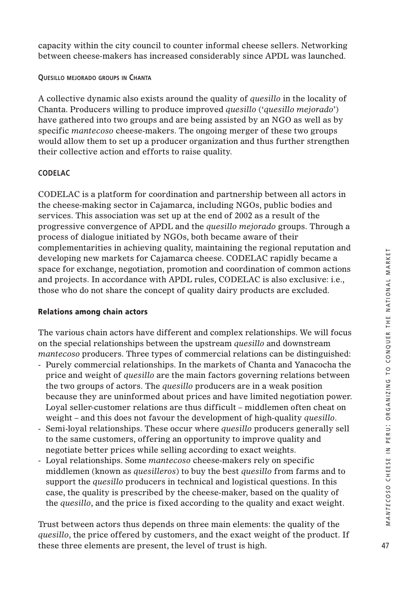capacity within the city council to counter informal cheese sellers. Networking between cheese-makers has increased considerably since APDL was launched.

**QUESILLO MEJORADO GROUPS IN CHANTA**

A collective dynamic also exists around the quality of *quesillo* in the locality of Chanta. Producers willing to produce improved *quesillo* ('*quesillo mejorado*') have gathered into two groups and are being assisted by an NGO as well as by specific *mantecoso* cheese-makers. The ongoing merger of these two groups would allow them to set up a producer organization and thus further strengthen their collective action and efforts to raise quality.

#### **CODELAC**

CODELAC is a platform for coordination and partnership between all actors in the cheese-making sector in Cajamarca, including NGOs, public bodies and services. This association was set up at the end of 2002 as a result of the progressive convergence of APDL and the *quesillo mejorado* groups. Through a process of dialogue initiated by NGOs, both became aware of their complementarities in achieving quality, maintaining the regional reputation and developing new markets for Cajamarca cheese. CODELAC rapidly became a space for exchange, negotiation, promotion and coordination of common actions and projects. In accordance with APDL rules, CODELAC is also exclusive: i.e., those who do not share the concept of quality dairy products are excluded.

#### **Relations among chain actors**

The various chain actors have different and complex relationships. We will focus on the special relationships between the upstream *quesillo* and downstream *mantecoso* producers. Three types of commercial relations can be distinguished:

- Purely commercial relationships. In the markets of Chanta and Yanacocha the price and weight of *quesillo* are the main factors governing relations between the two groups of actors. The *quesillo* producers are in a weak position because they are uninformed about prices and have limited negotiation power. Loyal seller-customer relations are thus difficult – middlemen often cheat on weight – and this does not favour the development of high-quality *quesillo*.
- Semi-loyal relationships. These occur where *quesillo* producers generally sell to the same customers, offering an opportunity to improve quality and negotiate better prices while selling according to exact weights.
- Loyal relationships. Some *mantecoso* cheese-makers rely on specific middlemen (known as *quesilleros*) to buy the best *quesillo* from farms and to support the *quesillo* producers in technical and logistical questions. In this case, the quality is prescribed by the cheese-maker, based on the quality of the *quesillo*, and the price is fixed according to the quality and exact weight.

Trust between actors thus depends on three main elements: the quality of the *quesillo*, the price offered by customers, and the exact weight of the product. If these three elements are present, the level of trust is high.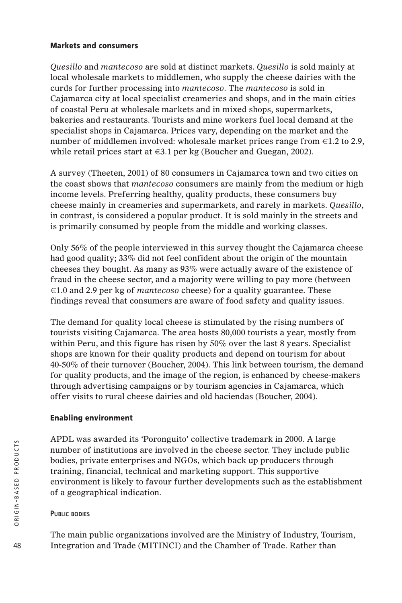## **Markets and consumers**

*Quesillo* and *mantecoso* are sold at distinct markets. *Quesillo* is sold mainly at local wholesale markets to middlemen, who supply the cheese dairies with the curds for further processing into *mantecoso*. The *mantecoso* is sold in Cajamarca city at local specialist creameries and shops, and in the main cities of coastal Peru at wholesale markets and in mixed shops, supermarkets, bakeries and restaurants. Tourists and mine workers fuel local demand at the specialist shops in Cajamarca. Prices vary, depending on the market and the number of middlemen involved: wholesale market prices range from €1.2 to 2.9, while retail prices start at €3.1 per kg (Boucher and Guegan, 2002).

A survey (Theeten, 2001) of 80 consumers in Cajamarca town and two cities on the coast shows that *mantecoso* consumers are mainly from the medium or high income levels. Preferring healthy, quality products, these consumers buy cheese mainly in creameries and supermarkets, and rarely in markets. *Quesillo*, in contrast, is considered a popular product. It is sold mainly in the streets and is primarily consumed by people from the middle and working classes.

Only 56% of the people interviewed in this survey thought the Cajamarca cheese had good quality; 33% did not feel confident about the origin of the mountain cheeses they bought. As many as 93% were actually aware of the existence of fraud in the cheese sector, and a majority were willing to pay more (between €1.0 and 2.9 per kg of *mantecoso* cheese) for a quality guarantee. These findings reveal that consumers are aware of food safety and quality issues.

The demand for quality local cheese is stimulated by the rising numbers of tourists visiting Cajamarca. The area hosts 80,000 tourists a year, mostly from within Peru, and this figure has risen by 50% over the last 8 years. Specialist shops are known for their quality products and depend on tourism for about 40-50% of their turnover (Boucher, 2004). This link between tourism, the demand for quality products, and the image of the region, is enhanced by cheese-makers through advertising campaigns or by tourism agencies in Cajamarca, which offer visits to rural cheese dairies and old haciendas (Boucher, 2004).

# **Enabling environment**

APDL was awarded its 'Poronguito' collective trademark in 2000. A large number of institutions are involved in the cheese sector. They include public bodies, private enterprises and NGOs, which back up producers through training, financial, technical and marketing support. This supportive environment is likely to favour further developments such as the establishment of a geographical indication.

# **PUBLIC BODIES**

The main public organizations involved are the Ministry of Industry, Tourism, Integration and Trade (MITINCI) and the Chamber of Trade. Rather than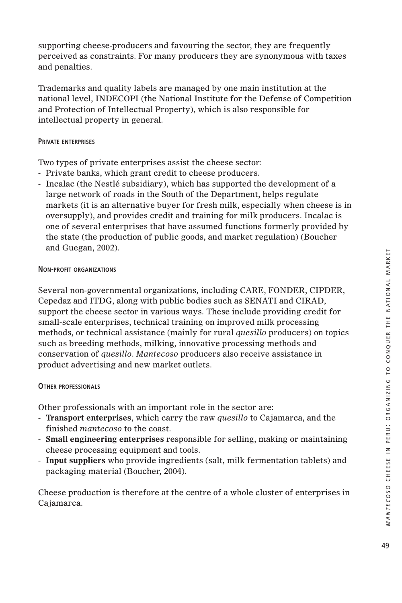supporting cheese-producers and favouring the sector, they are frequently perceived as constraints. For many producers they are synonymous with taxes and penalties.

Trademarks and quality labels are managed by one main institution at the national level, INDECOPI (the National Institute for the Defense of Competition and Protection of Intellectual Property), which is also responsible for intellectual property in general.

### **PRIVATE ENTERPRISES**

Two types of private enterprises assist the cheese sector:

- Private banks, which grant credit to cheese producers.
- Incalac (the Nestlé subsidiary), which has supported the development of a large network of roads in the South of the Department, helps regulate markets (it is an alternative buyer for fresh milk, especially when cheese is in oversupply), and provides credit and training for milk producers. Incalac is one of several enterprises that have assumed functions formerly provided by the state (the production of public goods, and market regulation) (Boucher and Guegan, 2002).

## **NON-PROFIT ORGANIZATIONS**

Several non-governmental organizations, including CARE, FONDER, CIPDER, Cepedaz and ITDG, along with public bodies such as SENATI and CIRAD, support the cheese sector in various ways. These include providing credit for small-scale enterprises, technical training on improved milk processing methods, or technical assistance (mainly for rural *quesillo* producers) on topics such as breeding methods, milking, innovative processing methods and conservation of *quesillo*. *Mantecoso* producers also receive assistance in product advertising and new market outlets.

# **OTHER PROFESSIONALS**

Other professionals with an important role in the sector are:

- **Transport enterprises**, which carry the raw *quesillo* to Cajamarca, and the finished *mantecoso* to the coast.
- **Small engineering enterprises** responsible for selling, making or maintaining cheese processing equipment and tools.
- **Input suppliers** who provide ingredients (salt, milk fermentation tablets) and packaging material (Boucher, 2004).

Cheese production is therefore at the centre of a whole cluster of enterprises in Cajamarca.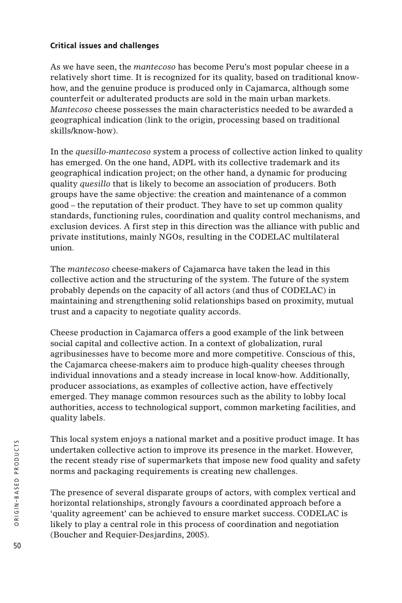# **Critical issues and challenges**

As we have seen, the *mantecoso* has become Peru's most popular cheese in a relatively short time. It is recognized for its quality, based on traditional knowhow, and the genuine produce is produced only in Cajamarca, although some counterfeit or adulterated products are sold in the main urban markets. *Mantecoso* cheese possesses the main characteristics needed to be awarded a geographical indication (link to the origin, processing based on traditional skills/know-how).

In the *quesillo*-*mantecoso* system a process of collective action linked to quality has emerged. On the one hand, ADPL with its collective trademark and its geographical indication project; on the other hand, a dynamic for producing quality *quesillo* that is likely to become an association of producers. Both groups have the same objective: the creation and maintenance of a common good – the reputation of their product. They have to set up common quality standards, functioning rules, coordination and quality control mechanisms, and exclusion devices. A first step in this direction was the alliance with public and private institutions, mainly NGOs, resulting in the CODELAC multilateral union.

The *mantecoso* cheese-makers of Cajamarca have taken the lead in this collective action and the structuring of the system. The future of the system probably depends on the capacity of all actors (and thus of CODELAC) in maintaining and strengthening solid relationships based on proximity, mutual trust and a capacity to negotiate quality accords.

Cheese production in Cajamarca offers a good example of the link between social capital and collective action. In a context of globalization, rural agribusinesses have to become more and more competitive. Conscious of this, the Cajamarca cheese-makers aim to produce high-quality cheeses through individual innovations and a steady increase in local know-how. Additionally, producer associations, as examples of collective action, have effectively emerged. They manage common resources such as the ability to lobby local authorities, access to technological support, common marketing facilities, and quality labels.

This local system enjoys a national market and a positive product image. It has undertaken collective action to improve its presence in the market. However, the recent steady rise of supermarkets that impose new food quality and safety norms and packaging requirements is creating new challenges.

The presence of several disparate groups of actors, with complex vertical and horizontal relationships, strongly favours a coordinated approach before a 'quality agreement' can be achieved to ensure market success. CODELAC is likely to play a central role in this process of coordination and negotiation (Boucher and Requier-Desjardins, 2005).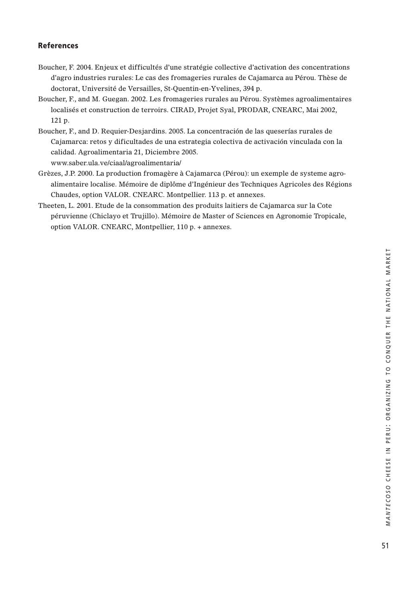### **References**

- Boucher, F. 2004. Enjeux et difficultés d'une stratégie collective d'activation des concentrations d'agro industries rurales: Le cas des fromageries rurales de Cajamarca au Pérou. Thèse de doctorat, Université de Versailles, St-Quentin-en-Yvelines, 394 p.
- Boucher, F., and M. Guegan. 2002. Les fromageries rurales au Pérou. Systèmes agroalimentaires localisés et construction de terroirs. CIRAD, Projet Syal, PRODAR, CNEARC, Mai 2002, 121 p.
- Boucher, F., and D. Requier-Desjardins. 2005. La concentración de las queserías rurales de Cajamarca: retos y dificultades de una estrategia colectiva de activación vinculada con la calidad. Agroalimentaria 21, Diciembre 2005.

www.saber.ula.ve/ciaal/agroalimentaria/

- Grèzes, J.P. 2000. La production fromagère à Cajamarca (Pérou): un exemple de systeme agroalimentaire localise. Mémoire de diplôme d'Ingénieur des Techniques Agricoles des Régions Chaudes, option VALOR. CNEARC. Montpellier. 113 p. et annexes.
- Theeten, L. 2001. Etude de la consommation des produits laitiers de Cajamarca sur la Cote péruvienne (Chiclayo et Trujillo). Mémoire de Master of Sciences en Agronomie Tropicale, option VALOR. CNEARC, Montpellier, 110 p. + annexes.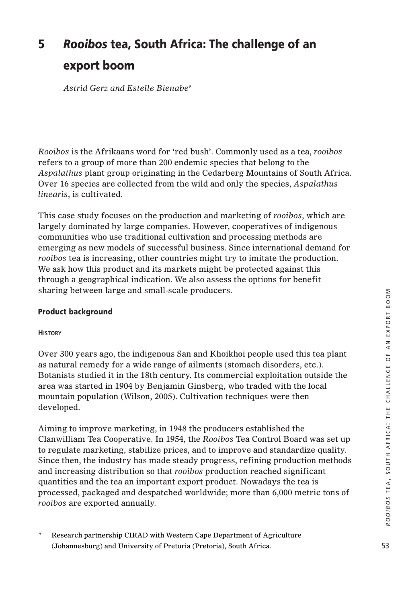# **5** *Rooibos* **tea, South Africa: The challenge of an export boom**

*Astrid Gerz and Estelle Bienabe9*

*Rooibos* is the Afrikaans word for 'red bush'. Commonly used as a tea, *rooibos* refers to a group of more than 200 endemic species that belong to the *Aspalathus* plant group originating in the Cedarberg Mountains of South Africa. Over 16 species are collected from the wild and only the species, *Aspalathus linearis*, is cultivated.

This case study focuses on the production and marketing of *rooibos*, which are largely dominated by large companies. However, cooperatives of indigenous communities who use traditional cultivation and processing methods are emerging as new models of successful business. Since international demand for *rooibos* tea is increasing, other countries might try to imitate the production. We ask how this product and its markets might be protected against this through a geographical indication. We also assess the options for benefit sharing between large and small-scale producers.

# **Product background**

#### **HISTORY**

Over 300 years ago, the indigenous San and Khoikhoi people used this tea plant as natural remedy for a wide range of ailments (stomach disorders, etc.). Botanists studied it in the 18th century. Its commercial exploitation outside the area was started in 1904 by Benjamin Ginsberg, who traded with the local mountain population (Wilson, 2005). Cultivation techniques were then developed.

Aiming to improve marketing, in 1948 the producers established the Clanwilliam Tea Cooperative. In 1954, the *Rooibos* Tea Control Board was set up to regulate marketing, stabilize prices, and to improve and standardize quality. Since then, the industry has made steady progress, refining production methods and increasing distribution so that *rooibos* production reached significant quantities and the tea an important export product. Nowadays the tea is processed, packaged and despatched worldwide; more than 6,000 metric tons of *rooibos* are exported annually.

<sup>9</sup> Research partnership CIRAD with Western Cape Department of Agriculture (Johannesburg) and University of Pretoria (Pretoria), South Africa.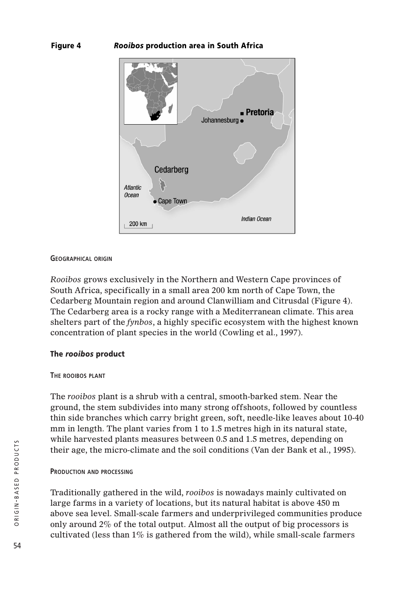## **Figure 4** *Rooibos* **production area in South Africa**



#### **GEOGRAPHICAL ORIGIN**

*Rooibos* grows exclusively in the Northern and Western Cape provinces of South Africa, specifically in a small area 200 km north of Cape Town, the Cedarberg Mountain region and around Clanwilliam and Citrusdal (Figure 4). The Cedarberg area is a rocky range with a Mediterranean climate. This area shelters part of the *fynbos*, a highly specific ecosystem with the highest known concentration of plant species in the world (Cowling et al., 1997).

#### **The** *rooibos* **product**

#### **THE ROOIBOS PLANT**

The *rooibos* plant is a shrub with a central, smooth-barked stem. Near the ground, the stem subdivides into many strong offshoots, followed by countless thin side branches which carry bright green, soft, needle-like leaves about 10-40 mm in length. The plant varies from 1 to 1.5 metres high in its natural state, while harvested plants measures between 0.5 and 1.5 metres, depending on their age, the micro-climate and the soil conditions (Van der Bank et al., 1995).

#### **PRODUCTION AND PROCESSING**

Traditionally gathered in the wild, *rooibos* is nowadays mainly cultivated on large farms in a variety of locations, but its natural habitat is above 450 m above sea level. Small-scale farmers and underprivileged communities produce only around 2% of the total output. Almost all the output of big processors is cultivated (less than  $1\%$  is gathered from the wild), while small-scale farmers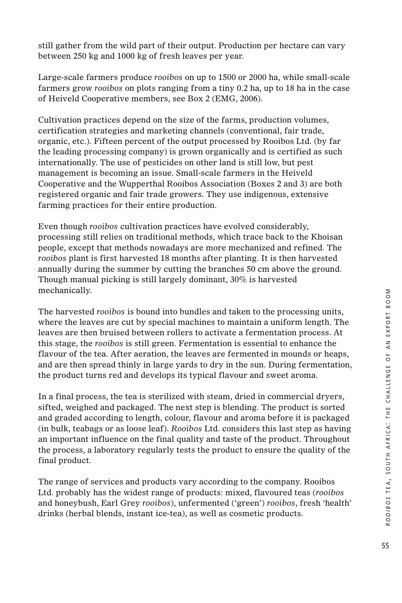still gather from the wild part of their output. Production per hectare can vary between 250 kg and 1000 kg of fresh leaves per year.

Large-scale farmers produce *rooibos* on up to 1500 or 2000 ha, while small-scale farmers grow *rooibos* on plots ranging from a tiny 0.2 ha, up to 18 ha in the case of Heiveld Cooperative members, see Box 2 (EMG, 2006).

Cultivation practices depend on the size of the farms, production volumes, certification strategies and marketing channels (conventional, fair trade, organic, etc.). Fifteen percent of the output processed by Rooibos Ltd. (by far the leading processing company) is grown organically and is certified as such internationally. The use of pesticides on other land is still low, but pest management is becoming an issue. Small-scale farmers in the Heiveld Cooperative and the Wupperthal Rooibos Association (Boxes 2 and 3) are both registered organic and fair trade growers. They use indigenous, extensive farming practices for their entire production.

Even though *rooibos* cultivation practices have evolved considerably, processing still relies on traditional methods, which trace back to the Khoisan people, except that methods nowadays are more mechanized and refined. The *rooibos* plant is first harvested 18 months after planting. It is then harvested annually during the summer by cutting the branches 50 cm above the ground. Though manual picking is still largely dominant, 30% is harvested mechanically.

The harvested *rooibos* is bound into bundles and taken to the processing units, where the leaves are cut by special machines to maintain a uniform length. The leaves are then bruised between rollers to activate a fermentation process. At this stage, the *rooibos* is still green. Fermentation is essential to enhance the flavour of the tea. After aeration, the leaves are fermented in mounds or heaps, and are then spread thinly in large yards to dry in the sun. During fermentation, the product turns red and develops its typical flavour and sweet aroma.

In a final process, the tea is sterilized with steam, dried in commercial dryers, sifted, weighed and packaged. The next step is blending. The product is sorted and graded according to length, colour, flavour and aroma before it is packaged (in bulk, teabags or as loose leaf). *Rooibos* Ltd. considers this last step as having an important influence on the final quality and taste of the product. Throughout the process, a laboratory regularly tests the product to ensure the quality of the final product.

The range of services and products vary according to the company. Rooibos Ltd. probably has the widest range of products: mixed, flavoured teas (*rooibos* and honeybush, Earl Grey *rooibos*), unfermented ('green') *rooibos*, fresh 'health' drinks (herbal blends, instant ice-tea), as well as cosmetic products.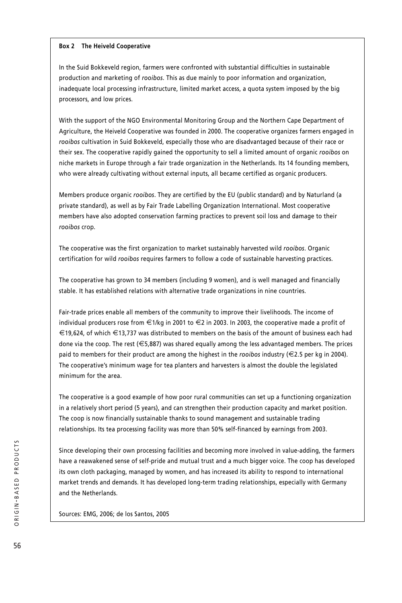#### **Box 2 The Heiveld Cooperative**

In the Suid Bokkeveld region, farmers were confronted with substantial difficulties in sustainable production and marketing of *rooibos*. This as due mainly to poor information and organization, inadequate local processing infrastructure, limited market access, a quota system imposed by the big processors, and low prices.

With the support of the NGO Environmental Monitoring Group and the Northern Cape Department of Agriculture, the Heiveld Cooperative was founded in 2000. The cooperative organizes farmers engaged in *rooibos* cultivation in Suid Bokkeveld, especially those who are disadvantaged because of their race or their sex. The cooperative rapidly gained the opportunity to sell a limited amount of organic *rooibos* on niche markets in Europe through a fair trade organization in the Netherlands. Its 14 founding members, who were already cultivating without external inputs, all became certified as organic producers.

Members produce organic *rooibos*. They are certified by the EU (public standard) and by Naturland (a private standard), as well as by Fair Trade Labelling Organization International. Most cooperative members have also adopted conservation farming practices to prevent soil loss and damage to their *rooibos* crop.

The cooperative was the first organization to market sustainably harvested wild *rooibos*. Organic certification for wild *rooibos* requires farmers to follow a code of sustainable harvesting practices.

The cooperative has grown to 34 members (including 9 women), and is well managed and financially stable. It has established relations with alternative trade organizations in nine countries.

Fair-trade prices enable all members of the community to improve their livelihoods. The income of individual producers rose from €1/kg in 2001 to €2 in 2003. In 2003, the cooperative made a profit of €19,624, of which €13,737 was distributed to members on the basis of the amount of business each had done via the coop. The rest (€5,887) was shared equally among the less advantaged members. The prices paid to members for their product are among the highest in the *rooibos* industry (€2.5 per kg in 2004). The cooperative's minimum wage for tea planters and harvesters is almost the double the legislated minimum for the area.

The cooperative is a good example of how poor rural communities can set up a functioning organization in a relatively short period (5 years), and can strengthen their production capacity and market position. The coop is now financially sustainable thanks to sound management and sustainable trading relationships. Its tea processing facility was more than 50% self-financed by earnings from 2003.

Since developing their own processing facilities and becoming more involved in value-adding, the farmers have a reawakened sense of self-pride and mutual trust and a much bigger voice. The coop has developed its own cloth packaging, managed by women, and has increased its ability to respond to international market trends and demands. It has developed long-term trading relationships, especially with Germany and the Netherlands.

Sources: EMG, 2006; de los Santos, 2005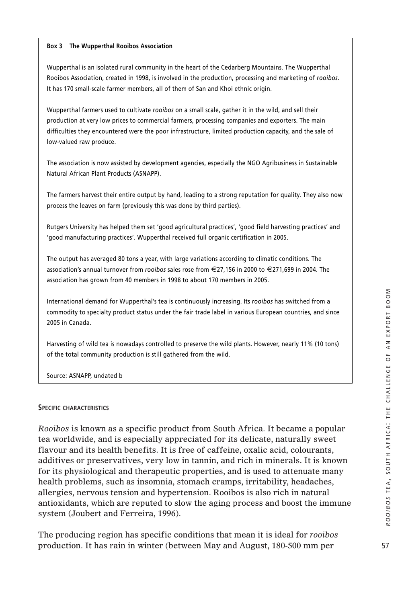#### **Box 3 The Wupperthal Rooibos Association**

Wupperthal is an isolated rural community in the heart of the Cedarberg Mountains. The Wupperthal Rooibos Association, created in 1998, is involved in the production, processing and marketing of *rooibos*. It has 170 small-scale farmer members, all of them of San and Khoi ethnic origin.

Wupperthal farmers used to cultivate *rooibos* on a small scale, gather it in the wild, and sell their production at very low prices to commercial farmers, processing companies and exporters. The main difficulties they encountered were the poor infrastructure, limited production capacity, and the sale of low-valued raw produce.

The association is now assisted by development agencies, especially the NGO Agribusiness in Sustainable Natural African Plant Products (ASNAPP).

The farmers harvest their entire output by hand, leading to a strong reputation for quality. They also now process the leaves on farm (previously this was done by third parties).

Rutgers University has helped them set 'good agricultural practices', 'good field harvesting practices' and 'good manufacturing practices'. Wupperthal received full organic certification in 2005.

The output has averaged 80 tons a year, with large variations according to climatic conditions. The association's annual turnover from *rooibos* sales rose from €27,156 in 2000 to €271,699 in 2004. The association has grown from 40 members in 1998 to about 170 members in 2005.

International demand for Wupperthal's tea is continuously increasing. Its *rooibos* has switched from a commodity to specialty product status under the fair trade label in various European countries, and since 2005 in Canada.

Harvesting of wild tea is nowadays controlled to preserve the wild plants. However, nearly 11% (10 tons) of the total community production is still gathered from the wild.

Source: ASNAPP, undated b

#### **SPECIFIC CHARACTERISTICS**

*Rooibos* is known as a specific product from South Africa. It became a popular tea worldwide, and is especially appreciated for its delicate, naturally sweet flavour and its health benefits. It is free of caffeine, oxalic acid, colourants, additives or preservatives, very low in tannin, and rich in minerals. It is known for its physiological and therapeutic properties, and is used to attenuate many health problems, such as insomnia, stomach cramps, irritability, headaches, allergies, nervous tension and hypertension. Rooibos is also rich in natural antioxidants, which are reputed to slow the aging process and boost the immune system (Joubert and Ferreira, 1996).

The producing region has specific conditions that mean it is ideal for *rooibos* production. It has rain in winter (between May and August, 180-500 mm per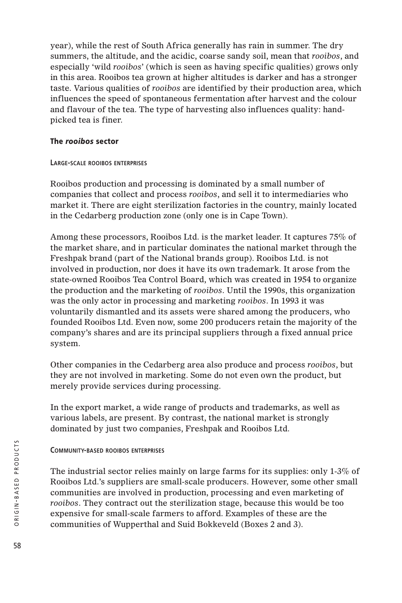year), while the rest of South Africa generally has rain in summer. The dry summers, the altitude, and the acidic, coarse sandy soil, mean that *rooibos*, and especially 'wild *rooibos*' (which is seen as having specific qualities) grows only in this area. Rooibos tea grown at higher altitudes is darker and has a stronger taste. Various qualities of *rooibos* are identified by their production area, which influences the speed of spontaneous fermentation after harvest and the colour and flavour of the tea. The type of harvesting also influences quality: handpicked tea is finer.

## **The** *rooibos* **sector**

## **LARGE-SCALE ROOIBOS ENTERPRISES**

Rooibos production and processing is dominated by a small number of companies that collect and process *rooibos*, and sell it to intermediaries who market it. There are eight sterilization factories in the country, mainly located in the Cedarberg production zone (only one is in Cape Town).

Among these processors, Rooibos Ltd. is the market leader. It captures 75% of the market share, and in particular dominates the national market through the Freshpak brand (part of the National brands group). Rooibos Ltd. is not involved in production, nor does it have its own trademark. It arose from the state-owned Rooibos Tea Control Board, which was created in 1954 to organize the production and the marketing of *rooibos*. Until the 1990s, this organization was the only actor in processing and marketing *rooibos*. In 1993 it was voluntarily dismantled and its assets were shared among the producers, who founded Rooibos Ltd. Even now, some 200 producers retain the majority of the company's shares and are its principal suppliers through a fixed annual price system.

Other companies in the Cedarberg area also produce and process *rooibos*, but they are not involved in marketing. Some do not even own the product, but merely provide services during processing.

In the export market, a wide range of products and trademarks, as well as various labels, are present. By contrast, the national market is strongly dominated by just two companies, Freshpak and Rooibos Ltd.

# **COMMUNITY-BASED ROOIBOS ENTERPRISES**

The industrial sector relies mainly on large farms for its supplies: only 1-3% of Rooibos Ltd.'s suppliers are small-scale producers. However, some other small communities are involved in production, processing and even marketing of *rooibos*. They contract out the sterilization stage, because this would be too expensive for small-scale farmers to afford. Examples of these are the communities of Wupperthal and Suid Bokkeveld (Boxes 2 and 3).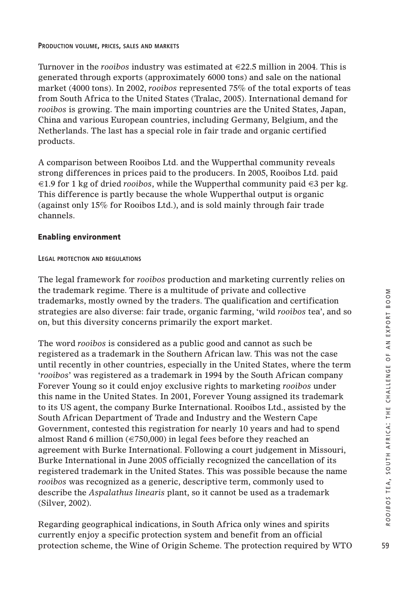Turnover in the *rooibos* industry was estimated at €22.5 million in 2004. This is generated through exports (approximately 6000 tons) and sale on the national market (4000 tons). In 2002, *rooibos* represented 75% of the total exports of teas from South Africa to the United States (Tralac, 2005). International demand for *rooibos* is growing. The main importing countries are the United States, Japan, China and various European countries, including Germany, Belgium, and the Netherlands. The last has a special role in fair trade and organic certified products.

A comparison between Rooibos Ltd. and the Wupperthal community reveals strong differences in prices paid to the producers. In 2005, Rooibos Ltd. paid €1.9 for 1 kg of dried *rooibos*, while the Wupperthal community paid €3 per kg. This difference is partly because the whole Wupperthal output is organic (against only 15% for Rooibos Ltd.), and is sold mainly through fair trade channels.

# **Enabling environment**

## **LEGAL PROTECTION AND REGULATIONS**

The legal framework for *rooibos* production and marketing currently relies on the trademark regime. There is a multitude of private and collective trademarks, mostly owned by the traders. The qualification and certification strategies are also diverse: fair trade, organic farming, 'wild *rooibos* tea', and so on, but this diversity concerns primarily the export market.

The word *rooibos* is considered as a public good and cannot as such be registered as a trademark in the Southern African law. This was not the case until recently in other countries, especially in the United States, where the term '*rooibos*' was registered as a trademark in 1994 by the South African company Forever Young so it could enjoy exclusive rights to marketing *rooibos* under this name in the United States. In 2001, Forever Young assigned its trademark to its US agent, the company Burke International. Rooibos Ltd., assisted by the South African Department of Trade and Industry and the Western Cape Government, contested this registration for nearly 10 years and had to spend almost Rand 6 million ( $\epsilon$ 750,000) in legal fees before they reached an agreement with Burke International. Following a court judgement in Missouri, Burke International in June 2005 officially recognized the cancellation of its registered trademark in the United States. This was possible because the name *rooibos* was recognized as a generic, descriptive term, commonly used to describe the *Aspalathus linearis* plant, so it cannot be used as a trademark (Silver, 2002).

Regarding geographical indications, in South Africa only wines and spirits currently enjoy a specific protection system and benefit from an official protection scheme, the Wine of Origin Scheme. The protection required by WTO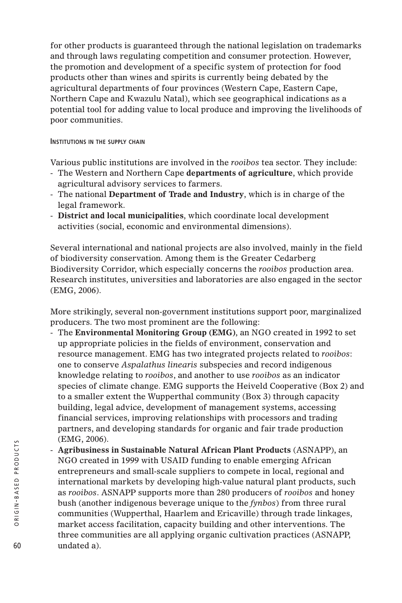for other products is guaranteed through the national legislation on trademarks and through laws regulating competition and consumer protection. However, the promotion and development of a specific system of protection for food products other than wines and spirits is currently being debated by the agricultural departments of four provinces (Western Cape, Eastern Cape, Northern Cape and Kwazulu Natal), which see geographical indications as a potential tool for adding value to local produce and improving the livelihoods of poor communities.

#### **INSTITUTIONS IN THE SUPPLY CHAIN**

Various public institutions are involved in the *rooibos* tea sector. They include:

- The Western and Northern Cape **departments of agriculture**, which provide agricultural advisory services to farmers.
- The national **Department of Trade and Industry**, which is in charge of the legal framework.
- **District and local municipalities**, which coordinate local development activities (social, economic and environmental dimensions).

Several international and national projects are also involved, mainly in the field of biodiversity conservation. Among them is the Greater Cedarberg Biodiversity Corridor, which especially concerns the *rooibos* production area. Research institutes, universities and laboratories are also engaged in the sector (EMG, 2006).

More strikingly, several non-government institutions support poor, marginalized producers. The two most prominent are the following:

- The **Environmental Monitoring Group (EMG)**, an NGO created in 1992 to set up appropriate policies in the fields of environment, conservation and resource management. EMG has two integrated projects related to *rooibos*: one to conserve *Aspalathus linearis* subspecies and record indigenous knowledge relating to *rooibos*, and another to use *rooibos* as an indicator species of climate change. EMG supports the Heiveld Cooperative (Box 2) and to a smaller extent the Wupperthal community (Box 3) through capacity building, legal advice, development of management systems, accessing financial services, improving relationships with processors and trading partners, and developing standards for organic and fair trade production (EMG, 2006).
- **Agribusiness in Sustainable Natural African Plant Products** (ASNAPP), an NGO created in 1999 with USAID funding to enable emerging African entrepreneurs and small-scale suppliers to compete in local, regional and international markets by developing high-value natural plant products, such as *rooibos*. ASNAPP supports more than 280 producers of *rooibos* and honey bush (another indigenous beverage unique to the *fynbos*) from three rural communities (Wupperthal, Haarlem and Ericaville) through trade linkages, market access facilitation, capacity building and other interventions. The three communities are all applying organic cultivation practices (ASNAPP, undated a).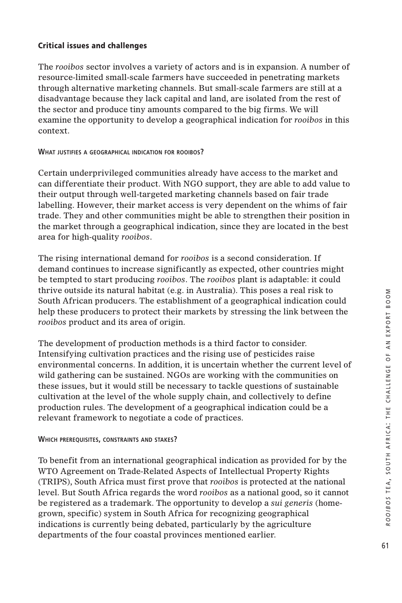## **Critical issues and challenges**

The *rooibos* sector involves a variety of actors and is in expansion. A number of resource-limited small-scale farmers have succeeded in penetrating markets through alternative marketing channels. But small-scale farmers are still at a disadvantage because they lack capital and land, are isolated from the rest of the sector and produce tiny amounts compared to the big firms. We will examine the opportunity to develop a geographical indication for *rooibos* in this context.

#### **WHAT JUSTIFIES A GEOGRAPHICAL INDICATION FOR ROOIBOS?**

Certain underprivileged communities already have access to the market and can differentiate their product. With NGO support, they are able to add value to their output through well-targeted marketing channels based on fair trade labelling. However, their market access is very dependent on the whims of fair trade. They and other communities might be able to strengthen their position in the market through a geographical indication, since they are located in the best area for high-quality *rooibos*.

The rising international demand for *rooibos* is a second consideration. If demand continues to increase significantly as expected, other countries might be tempted to start producing *rooibos*. The *rooibos* plant is adaptable: it could thrive outside its natural habitat (e.g. in Australia). This poses a real risk to South African producers. The establishment of a geographical indication could help these producers to protect their markets by stressing the link between the *rooibos* product and its area of origin.

The development of production methods is a third factor to consider. Intensifying cultivation practices and the rising use of pesticides raise environmental concerns. In addition, it is uncertain whether the current level of wild gathering can be sustained. NGOs are working with the communities on these issues, but it would still be necessary to tackle questions of sustainable cultivation at the level of the whole supply chain, and collectively to define production rules. The development of a geographical indication could be a relevant framework to negotiate a code of practices.

#### **WHICH PREREQUISITES, CONSTRAINTS AND STAKES?**

To benefit from an international geographical indication as provided for by the WTO Agreement on Trade-Related Aspects of Intellectual Property Rights (TRIPS), South Africa must first prove that *rooibos* is protected at the national level. But South Africa regards the word *rooibos* as a national good, so it cannot be registered as a trademark. The opportunity to develop a *sui generis* (homegrown, specific) system in South Africa for recognizing geographical indications is currently being debated, particularly by the agriculture departments of the four coastal provinces mentioned earlier.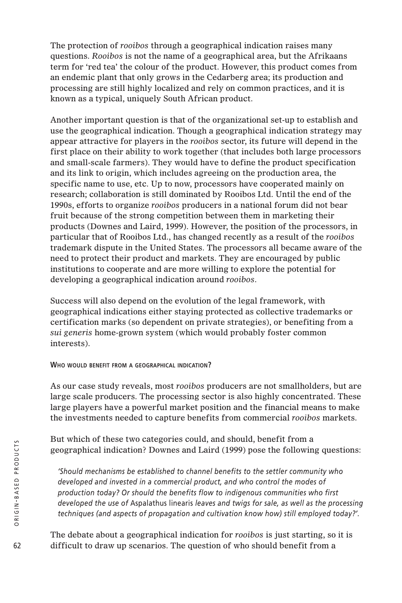The protection of *rooibos* through a geographical indication raises many questions. *Rooibos* is not the name of a geographical area, but the Afrikaans term for 'red tea' the colour of the product. However, this product comes from an endemic plant that only grows in the Cedarberg area; its production and processing are still highly localized and rely on common practices, and it is known as a typical, uniquely South African product.

Another important question is that of the organizational set-up to establish and use the geographical indication. Though a geographical indication strategy may appear attractive for players in the *rooibos* sector, its future will depend in the first place on their ability to work together (that includes both large processors and small-scale farmers). They would have to define the product specification and its link to origin, which includes agreeing on the production area, the specific name to use, etc. Up to now, processors have cooperated mainly on research; collaboration is still dominated by Rooibos Ltd. Until the end of the 1990s, efforts to organize *rooibos* producers in a national forum did not bear fruit because of the strong competition between them in marketing their products (Downes and Laird, 1999). However, the position of the processors, in particular that of Rooibos Ltd., has changed recently as a result of the *rooibos* trademark dispute in the United States. The processors all became aware of the need to protect their product and markets. They are encouraged by public institutions to cooperate and are more willing to explore the potential for developing a geographical indication around *rooibos*.

Success will also depend on the evolution of the legal framework, with geographical indications either staying protected as collective trademarks or certification marks (so dependent on private strategies), or benefiting from a *sui generis* home-grown system (which would probably foster common interests).

#### **WHO WOULD BENEFIT FROM A GEOGRAPHICAL INDICATION?**

As our case study reveals, most *rooibos* producers are not smallholders, but are large scale producers. The processing sector is also highly concentrated. These large players have a powerful market position and the financial means to make the investments needed to capture benefits from commercial *rooibos* markets.

But which of these two categories could, and should, benefit from a geographical indication? Downes and Laird (1999) pose the following questions:

*'Should mechanisms be established to channel benefits to the settler community who developed and invested in a commercial product, and who control the modes of production today? Or should the benefits flow to indigenous communities who first developed the use of* Aspalathus linearis *leaves and twigs for sale, as well as the processing techniques (and aspects of propagation and cultivation know how) still employed today?'.* 

The debate about a geographical indication for *rooibos* is just starting, so it is difficult to draw up scenarios. The question of who should benefit from a

62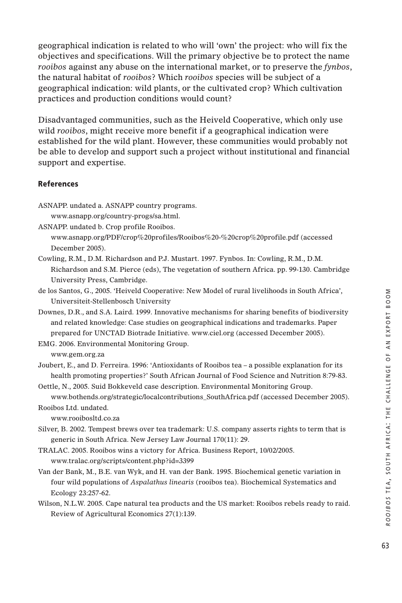geographical indication is related to who will 'own' the project: who will fix the objectives and specifications. Will the primary objective be to protect the name *rooibos* against any abuse on the international market, or to preserve the *fynbos*, the natural habitat of *rooibos*? Which *rooibos* species will be subject of a geographical indication: wild plants, or the cultivated crop? Which cultivation practices and production conditions would count?

Disadvantaged communities, such as the Heiveld Cooperative, which only use wild *rooibos*, might receive more benefit if a geographical indication were established for the wild plant. However, these communities would probably not be able to develop and support such a project without institutional and financial support and expertise.

#### **References**

- ASNAPP. undated a. ASNAPP country programs.
	- www.asnapp.org/country-progs/sa.html.
- ASNAPP. undated b. Crop profile Rooibos.
	- www.asnapp.org/PDF/crop%20profiles/Rooibos%20-%20crop%20profile.pdf (accessed December 2005).
- Cowling, R.M., D.M. Richardson and P.J. Mustart. 1997. Fynbos. In: Cowling, R.M., D.M. Richardson and S.M. Pierce (eds), The vegetation of southern Africa. pp. 99-130. Cambridge University Press, Cambridge.
- de los Santos, G., 2005. 'Heiveld Cooperative: New Model of rural livelihoods in South Africa', Universiteit-Stellenbosch University
- Downes, D.R., and S.A. Laird. 1999. Innovative mechanisms for sharing benefits of biodiversity and related knowledge: Case studies on geographical indications and trademarks. Paper prepared for UNCTAD Biotrade Initiative. www.ciel.org (accessed December 2005).
- EMG. 2006. Environmental Monitoring Group.

www.gem.org.za

- Joubert, E., and D. Ferreira. 1996: 'Antioxidants of Rooibos tea a possible explanation for its health promoting properties?' South African Journal of Food Science and Nutrition 8:79-83.
- Oettle, N., 2005. Suid Bokkeveld case description. Environmental Monitoring Group. www.bothends.org/strategic/localcontributions\_SouthAfrica.pdf (accessed December 2005).
- Rooibos Ltd. undated.

www.rooibosltd.co.za

- Silver, B. 2002. Tempest brews over tea trademark: U.S. company asserts rights to term that is generic in South Africa. New Jersey Law Journal 170(11): 29.
- TRALAC. 2005. Rooibos wins a victory for Africa. Business Report, 10/02/2005. www.tralac.org/scripts/content.php?id=3399
- Van der Bank, M., B.E. van Wyk, and H. van der Bank. 1995. Biochemical genetic variation in four wild populations of *Aspalathus linearis* (rooibos tea). Biochemical Systematics and Ecology 23:257-62.
- Wilson, N.L.W. 2005. Cape natural tea products and the US market: Rooibos rebels ready to raid. Review of Agricultural Economics 27(1):139.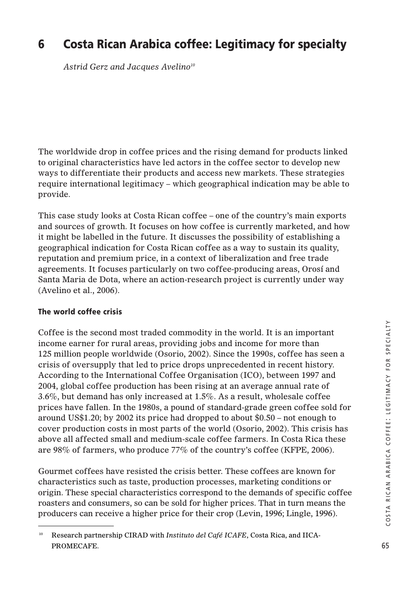# **6 Costa Rican Arabica coffee: Legitimacy for specialty**

*Astrid Gerz and Jacques Avelino10*

The worldwide drop in coffee prices and the rising demand for products linked to original characteristics have led actors in the coffee sector to develop new ways to differentiate their products and access new markets. These strategies require international legitimacy – which geographical indication may be able to provide.

This case study looks at Costa Rican coffee – one of the country's main exports and sources of growth. It focuses on how coffee is currently marketed, and how it might be labelled in the future. It discusses the possibility of establishing a geographical indication for Costa Rican coffee as a way to sustain its quality, reputation and premium price, in a context of liberalization and free trade agreements. It focuses particularly on two coffee-producing areas, Orosí and Santa Maria de Dota, where an action-research project is currently under way (Avelino et al., 2006).

# **The world coffee crisis**

Coffee is the second most traded commodity in the world. It is an important income earner for rural areas, providing jobs and income for more than 125 million people worldwide (Osorio, 2002). Since the 1990s, coffee has seen a crisis of oversupply that led to price drops unprecedented in recent history. According to the International Coffee Organisation (ICO), between 1997 and 2004, global coffee production has been rising at an average annual rate of 3.6%, but demand has only increased at 1.5%. As a result, wholesale coffee prices have fallen. In the 1980s, a pound of standard-grade green coffee sold for around US\$1.20; by 2002 its price had dropped to about \$0.50 – not enough to cover production costs in most parts of the world (Osorio, 2002). This crisis has above all affected small and medium-scale coffee farmers. In Costa Rica these are 98% of farmers, who produce 77% of the country's coffee (KFPE, 2006).

Gourmet coffees have resisted the crisis better. These coffees are known for characteristics such as taste, production processes, marketing conditions or origin. These special characteristics correspond to the demands of specific coffee roasters and consumers, so can be sold for higher prices. That in turn means the producers can receive a higher price for their crop (Levin, 1996; Lingle, 1996).

<sup>&</sup>lt;sup>10</sup> Research partnership CIRAD with *Instituto del Café ICAFE*, Costa Rica, and IICA-PROMECAFE.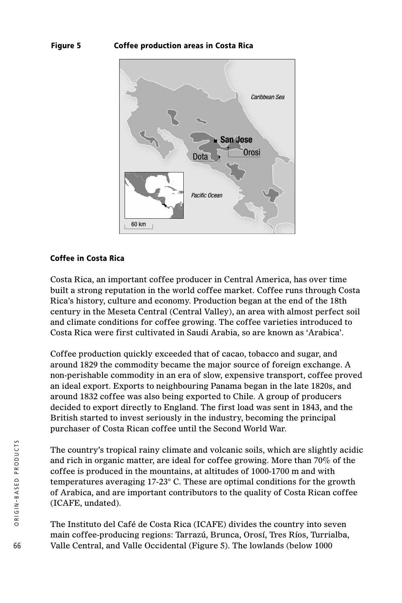# **Figure 5 Coffee production areas in Costa Rica**



#### **Coffee in Costa Rica**

Costa Rica, an important coffee producer in Central America, has over time built a strong reputation in the world coffee market. Coffee runs through Costa Rica's history, culture and economy. Production began at the end of the 18th century in the Meseta Central (Central Valley), an area with almost perfect soil and climate conditions for coffee growing. The coffee varieties introduced to Costa Rica were first cultivated in Saudi Arabia, so are known as 'Arabica'.

Coffee production quickly exceeded that of cacao, tobacco and sugar, and around 1829 the commodity became the major source of foreign exchange. A non-perishable commodity in an era of slow, expensive transport, coffee proved an ideal export. Exports to neighbouring Panama began in the late 1820s, and around 1832 coffee was also being exported to Chile. A group of producers decided to export directly to England. The first load was sent in 1843, and the British started to invest seriously in the industry, becoming the principal purchaser of Costa Rican coffee until the Second World War.

The country's tropical rainy climate and volcanic soils, which are slightly acidic and rich in organic matter, are ideal for coffee growing. More than 70% of the coffee is produced in the mountains, at altitudes of 1000-1700 m and with temperatures averaging 17-23° C. These are optimal conditions for the growth of Arabica, and are important contributors to the quality of Costa Rican coffee (ICAFE, undated).

The Instituto del Café de Costa Rica (ICAFE) divides the country into seven main coffee-producing regions: Tarrazú, Brunca, Orosí, Tres Ríos, Turrialba, Valle Central, and Valle Occidental (Figure 5). The lowlands (below 1000

66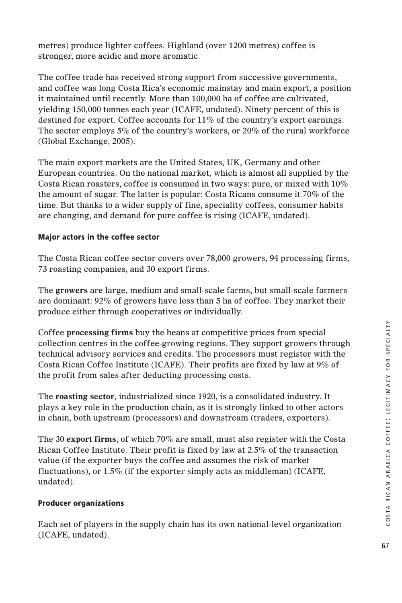metres) produce lighter coffees. Highland (over 1200 metres) coffee is stronger, more acidic and more aromatic.

The coffee trade has received strong support from successive governments, and coffee was long Costa Rica's economic mainstay and main export, a position it maintained until recently. More than 100,000 ha of coffee are cultivated, yielding 150,000 tonnes each year (ICAFE, undated). Ninety percent of this is destined for export. Coffee accounts for 11% of the country's export earnings. The sector employs 5% of the country's workers, or 20% of the rural workforce (Global Exchange, 2005).

The main export markets are the United States, UK, Germany and other European countries. On the national market, which is almost all supplied by the Costa Rican roasters, coffee is consumed in two ways: pure, or mixed with 10% the amount of sugar. The latter is popular: Costa Ricans consume it 70% of the time. But thanks to a wider supply of fine, speciality coffees, consumer habits are changing, and demand for pure coffee is rising (ICAFE, undated).

# **Major actors in the coffee sector**

The Costa Rican coffee sector covers over 78,000 growers, 94 processing firms, 73 roasting companies, and 30 export firms.

The **growers** are large, medium and small-scale farms, but small-scale farmers are dominant: 92% of growers have less than 5 ha of coffee. They market their produce either through cooperatives or individually.

Coffee **processing firms** buy the beans at competitive prices from special collection centres in the coffee-growing regions. They support growers through technical advisory services and credits. The processors must register with the Costa Rican Coffee Institute (ICAFE). Their profits are fixed by law at 9% of the profit from sales after deducting processing costs.

The **roasting sector**, industrialized since 1920, is a consolidated industry. It plays a key role in the production chain, as it is strongly linked to other actors in chain, both upstream (processors) and downstream (traders, exporters).

The 30 **export firms**, of which 70% are small, must also register with the Costa Rican Coffee Institute. Their profit is fixed by law at 2.5% of the transaction value (if the exporter buys the coffee and assumes the risk of market fluctuations), or 1.5% (if the exporter simply acts as middleman) (ICAFE, undated).

# **Producer organizations**

Each set of players in the supply chain has its own national-level organization (ICAFE, undated).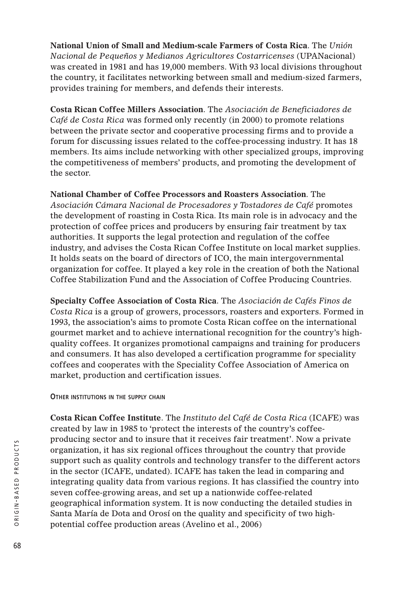**National Union of Small and Medium-scale Farmers of Costa Rica**. The *Unión Nacional de Pequeños y Medianos Agricultores Costarricenses* (UPANacional) was created in 1981 and has 19,000 members. With 93 local divisions throughout the country, it facilitates networking between small and medium-sized farmers, provides training for members, and defends their interests.

**Costa Rican Coffee Millers Association**. The *Asociación de Beneficiadores de Café de Costa Rica* was formed only recently (in 2000) to promote relations between the private sector and cooperative processing firms and to provide a forum for discussing issues related to the coffee-processing industry. It has 18 members. Its aims include networking with other specialized groups, improving the competitiveness of members' products, and promoting the development of the sector.

**National Chamber of Coffee Processors and Roasters Association**. The *Asociación Cámara Nacional de Procesadores y Tostadores de Café* promotes the development of roasting in Costa Rica. Its main role is in advocacy and the protection of coffee prices and producers by ensuring fair treatment by tax authorities. It supports the legal protection and regulation of the coffee industry, and advises the Costa Rican Coffee Institute on local market supplies. It holds seats on the board of directors of ICO, the main intergovernmental organization for coffee. It played a key role in the creation of both the National Coffee Stabilization Fund and the Association of Coffee Producing Countries.

**Specialty Coffee Association of Costa Rica**. The *Asociación de Cafés Finos de Costa Rica* is a group of growers, processors, roasters and exporters. Formed in 1993, the association's aims to promote Costa Rican coffee on the international gourmet market and to achieve international recognition for the country's highquality coffees. It organizes promotional campaigns and training for producers and consumers. It has also developed a certification programme for speciality coffees and cooperates with the Speciality Coffee Association of America on market, production and certification issues.

**OTHER INSTITUTIONS IN THE SUPPLY CHAIN** 

**Costa Rican Coffee Institute**. The *Instituto del Café de Costa Rica* (ICAFE) was created by law in 1985 to 'protect the interests of the country's coffeeproducing sector and to insure that it receives fair treatment'. Now a private organization, it has six regional offices throughout the country that provide support such as quality controls and technology transfer to the different actors in the sector (ICAFE, undated). ICAFE has taken the lead in comparing and integrating quality data from various regions. It has classified the country into seven coffee-growing areas, and set up a nationwide coffee-related geographical information system. It is now conducting the detailed studies in Santa María de Dota and Orosí on the quality and specificity of two highpotential coffee production areas (Avelino et al., 2006)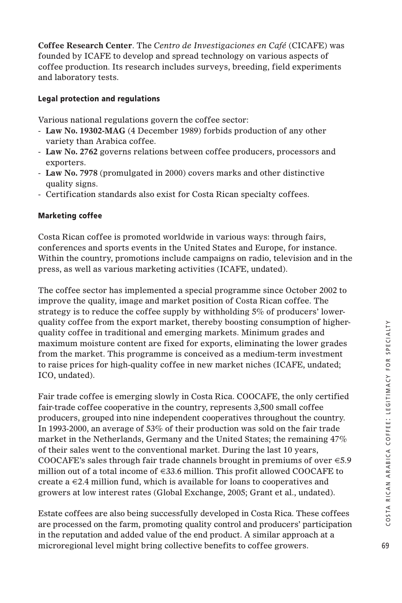**Coffee Research Center**. The *Centro de Investigaciones en Café* (CICAFE) was founded by ICAFE to develop and spread technology on various aspects of coffee production. Its research includes surveys, breeding, field experiments and laboratory tests.

# **Legal protection and regulations**

Various national regulations govern the coffee sector:

- **Law No. 19302-MAG** (4 December 1989) forbids production of any other variety than Arabica coffee.
- **Law No. 2762** governs relations between coffee producers, processors and exporters.
- **Law No. 7978** (promulgated in 2000) covers marks and other distinctive quality signs.
- Certification standards also exist for Costa Rican specialty coffees.

# **Marketing coffee**

Costa Rican coffee is promoted worldwide in various ways: through fairs, conferences and sports events in the United States and Europe, for instance. Within the country, promotions include campaigns on radio, television and in the press, as well as various marketing activities (ICAFE, undated).

The coffee sector has implemented a special programme since October 2002 to improve the quality, image and market position of Costa Rican coffee. The strategy is to reduce the coffee supply by withholding 5% of producers' lowerquality coffee from the export market, thereby boosting consumption of higherquality coffee in traditional and emerging markets. Minimum grades and maximum moisture content are fixed for exports, eliminating the lower grades from the market. This programme is conceived as a medium-term investment to raise prices for high-quality coffee in new market niches (ICAFE, undated; ICO, undated).

Fair trade coffee is emerging slowly in Costa Rica. COOCAFE, the only certified fair-trade coffee cooperative in the country, represents 3,500 small coffee producers, grouped into nine independent cooperatives throughout the country. In 1993-2000, an average of 53% of their production was sold on the fair trade market in the Netherlands, Germany and the United States; the remaining 47% of their sales went to the conventional market. During the last 10 years, COOCAFE's sales through fair trade channels brought in premiums of over  $\epsilon$ 5.9 million out of a total income of  $\in$ 33.6 million. This profit allowed COOCAFE to create a  $\in 2.4$  million fund, which is available for loans to cooperatives and growers at low interest rates (Global Exchange, 2005; Grant et al., undated).

Estate coffees are also being successfully developed in Costa Rica. These coffees are processed on the farm, promoting quality control and producers' participation in the reputation and added value of the end product. A similar approach at a microregional level might bring collective benefits to coffee growers.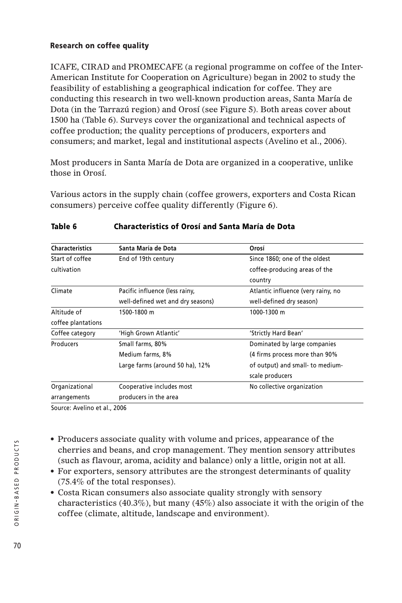# **Research on coffee quality**

ICAFE, CIRAD and PROMECAFE (a regional programme on coffee of the Inter-American Institute for Cooperation on Agriculture) began in 2002 to study the feasibility of establishing a geographical indication for coffee. They are conducting this research in two well-known production areas, Santa María de Dota (in the Tarrazú region) and Orosí (see Figure 5). Both areas cover about 1500 ha (Table 6). Surveys cover the organizational and technical aspects of coffee production; the quality perceptions of producers, exporters and consumers; and market, legal and institutional aspects (Avelino et al., 2006).

Most producers in Santa María de Dota are organized in a cooperative, unlike those in Orosí.

Various actors in the supply chain (coffee growers, exporters and Costa Rican consumers) perceive coffee quality differently (Figure 6).

| <b>Characteristics</b> | Santa María de Dota               | Orosí                              |  |
|------------------------|-----------------------------------|------------------------------------|--|
| Start of coffee        | End of 19th century               | Since 1860; one of the oldest      |  |
| cultivation            |                                   | coffee-producing areas of the      |  |
|                        |                                   | country                            |  |
| Climate                | Pacific influence (less rainy,    | Atlantic influence (very rainy, no |  |
|                        | well-defined wet and dry seasons) | well-defined dry season)           |  |
| Altitude of            | 1500-1800 m                       | 1000-1300 m                        |  |
| coffee plantations     |                                   |                                    |  |
| Coffee category        | 'High Grown Atlantic'             | 'Strictly Hard Bean'               |  |
| Producers              | Small farms, 80%                  | Dominated by large companies       |  |
|                        | Medium farms, 8%                  | (4 firms process more than 90%)    |  |
|                        | Large farms (around 50 ha), 12%   | of output) and small- to medium-   |  |
|                        |                                   | scale producers                    |  |
| Organizational         | Cooperative includes most         | No collective organization         |  |
| arrangements           | producers in the area             |                                    |  |

## **Table 6 Characteristics of Orosí and Santa María de Dota**

Source: Avelino et al., 2006

- Producers associate quality with volume and prices, appearance of the cherries and beans, and crop management. They mention sensory attributes (such as flavour, aroma, acidity and balance) only a little, origin not at all.
- For exporters, sensory attributes are the strongest determinants of quality (75.4% of the total responses).
- Costa Rican consumers also associate quality strongly with sensory characteristics (40.3%), but many (45%) also associate it with the origin of the coffee (climate, altitude, landscape and environment).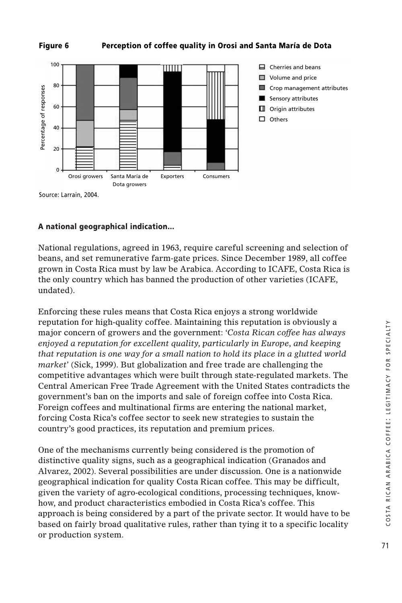



Source: Larrain, 2004.

# **A national geographical indication…**

National regulations, agreed in 1963, require careful screening and selection of beans, and set remunerative farm-gate prices. Since December 1989, all coffee grown in Costa Rica must by law be Arabica. According to ICAFE, Costa Rica is the only country which has banned the production of other varieties (ICAFE, undated).

Enforcing these rules means that Costa Rica enjoys a strong worldwide reputation for high-quality coffee. Maintaining this reputation is obviously a major concern of growers and the government: *'Costa Rican coffee has always enjoyed a reputation for excellent quality, particularly in Europe, and keeping that reputation is one way for a small nation to hold its place in a glutted world market'* (Sick, 1999). But globalization and free trade are challenging the competitive advantages which were built through state-regulated markets. The Central American Free Trade Agreement with the United States contradicts the government's ban on the imports and sale of foreign coffee into Costa Rica. Foreign coffees and multinational firms are entering the national market, forcing Costa Rica's coffee sector to seek new strategies to sustain the country's good practices, its reputation and premium prices.

One of the mechanisms currently being considered is the promotion of distinctive quality signs, such as a geographical indication (Granados and Alvarez, 2002). Several possibilities are under discussion. One is a nationwide geographical indication for quality Costa Rican coffee. This may be difficult, given the variety of agro-ecological conditions, processing techniques, knowhow, and product characteristics embodied in Costa Rica's coffee. This approach is being considered by a part of the private sector. It would have to be based on fairly broad qualitative rules, rather than tying it to a specific locality or production system.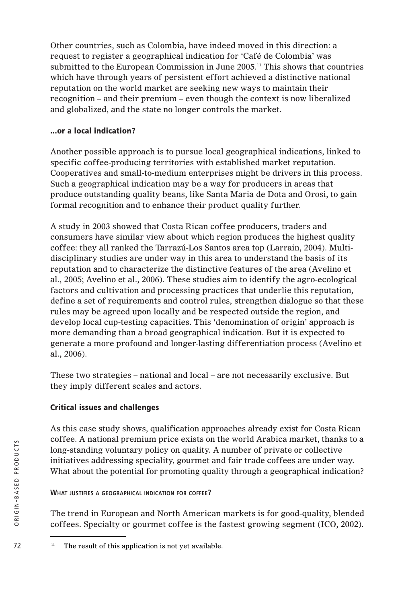Other countries, such as Colombia, have indeed moved in this direction: a request to register a geographical indication for 'Café de Colombia' was submitted to the European Commission in June 2005.11 This shows that countries which have through years of persistent effort achieved a distinctive national reputation on the world market are seeking new ways to maintain their recognition – and their premium – even though the context is now liberalized and globalized, and the state no longer controls the market.

# **…or a local indication?**

Another possible approach is to pursue local geographical indications, linked to specific coffee-producing territories with established market reputation. Cooperatives and small-to-medium enterprises might be drivers in this process. Such a geographical indication may be a way for producers in areas that produce outstanding quality beans, like Santa Maria de Dota and Orosi, to gain formal recognition and to enhance their product quality further.

A study in 2003 showed that Costa Rican coffee producers, traders and consumers have similar view about which region produces the highest quality coffee: they all ranked the Tarrazú-Los Santos area top (Larrain, 2004). Multidisciplinary studies are under way in this area to understand the basis of its reputation and to characterize the distinctive features of the area (Avelino et al., 2005; Avelino et al., 2006). These studies aim to identify the agro-ecological factors and cultivation and processing practices that underlie this reputation, define a set of requirements and control rules, strengthen dialogue so that these rules may be agreed upon locally and be respected outside the region, and develop local cup-testing capacities. This 'denomination of origin' approach is more demanding than a broad geographical indication. But it is expected to generate a more profound and longer-lasting differentiation process (Avelino et al., 2006).

These two strategies – national and local – are not necessarily exclusive. But they imply different scales and actors.

# **Critical issues and challenges**

As this case study shows, qualification approaches already exist for Costa Rican coffee. A national premium price exists on the world Arabica market, thanks to a long-standing voluntary policy on quality. A number of private or collective initiatives addressing speciality, gourmet and fair trade coffees are under way. What about the potential for promoting quality through a geographical indication?

# **WHAT JUSTIFIES A GEOGRAPHICAL INDICATION FOR COFFEE?**

The trend in European and North American markets is for good-quality, blended coffees. Specialty or gourmet coffee is the fastest growing segment (ICO, 2002).

 $72$  <sup>11</sup> The result of this application is not yet available.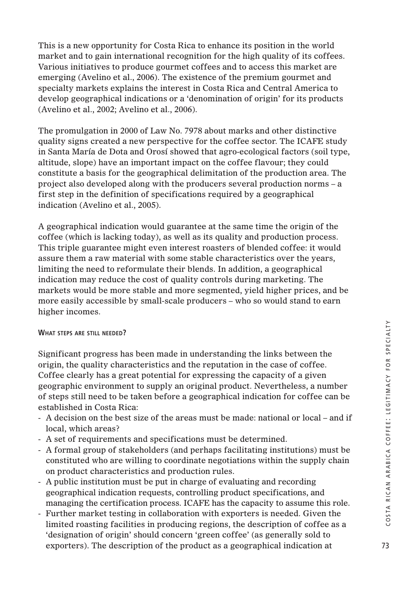This is a new opportunity for Costa Rica to enhance its position in the world market and to gain international recognition for the high quality of its coffees. Various initiatives to produce gourmet coffees and to access this market are emerging (Avelino et al., 2006). The existence of the premium gourmet and specialty markets explains the interest in Costa Rica and Central America to develop geographical indications or a 'denomination of origin' for its products (Avelino et al., 2002; Avelino et al., 2006).

The promulgation in 2000 of Law No. 7978 about marks and other distinctive quality signs created a new perspective for the coffee sector. The ICAFE study in Santa María de Dota and Orosí showed that agro-ecological factors (soil type, altitude, slope) have an important impact on the coffee flavour; they could constitute a basis for the geographical delimitation of the production area. The project also developed along with the producers several production norms – a first step in the definition of specifications required by a geographical indication (Avelino et al., 2005).

A geographical indication would guarantee at the same time the origin of the coffee (which is lacking today), as well as its quality and production process. This triple guarantee might even interest roasters of blended coffee: it would assure them a raw material with some stable characteristics over the years, limiting the need to reformulate their blends. In addition, a geographical indication may reduce the cost of quality controls during marketing. The markets would be more stable and more segmented, yield higher prices, and be more easily accessible by small-scale producers – who so would stand to earn higher incomes.

#### **WHAT STEPS ARE STILL NEEDED?**

Significant progress has been made in understanding the links between the origin, the quality characteristics and the reputation in the case of coffee. Coffee clearly has a great potential for expressing the capacity of a given geographic environment to supply an original product. Nevertheless, a number of steps still need to be taken before a geographical indication for coffee can be established in Costa Rica:

- A decision on the best size of the areas must be made: national or local and if local, which areas?
- A set of requirements and specifications must be determined.
- A formal group of stakeholders (and perhaps facilitating institutions) must be constituted who are willing to coordinate negotiations within the supply chain on product characteristics and production rules.
- A public institution must be put in charge of evaluating and recording geographical indication requests, controlling product specifications, and managing the certification process. ICAFE has the capacity to assume this role.
- Further market testing in collaboration with exporters is needed. Given the limited roasting facilities in producing regions, the description of coffee as a 'designation of origin' should concern 'green coffee' (as generally sold to exporters). The description of the product as a geographical indication at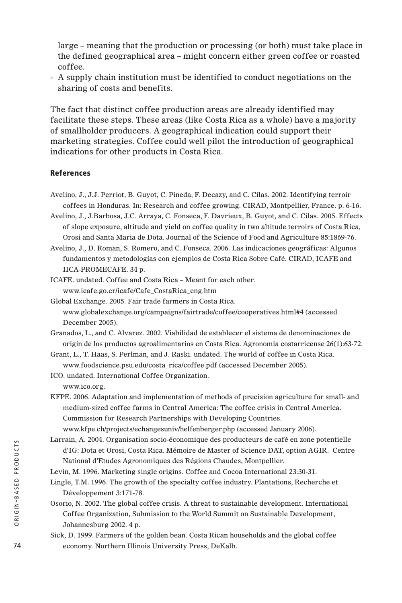large – meaning that the production or processing (or both) must take place in the defined geographical area – might concern either green coffee or roasted coffee.

- A supply chain institution must be identified to conduct negotiations on the sharing of costs and benefits.

The fact that distinct coffee production areas are already identified may facilitate these steps. These areas (like Costa Rica as a whole) have a majority of smallholder producers. A geographical indication could support their marketing strategies. Coffee could well pilot the introduction of geographical indications for other products in Costa Rica.

#### **References**

- Avelino, J., J.J. Perriot, B. Guyot, C. Pineda, F. Decazy, and C. Cilas. 2002. Identifying terroir coffees in Honduras. In: Research and coffee growing. CIRAD, Montpellier, France. p. 6-16.
- Avelino, J., J.Barbosa, J.C. Arraya, C. Fonseca, F. Davrieux, B. Guyot, and C. Cilas. 2005. Effects of slope exposure, altitude and yield on coffee quality in two altitude terroirs of Costa Rica, Orosi and Santa Maria de Dota. Journal of the Science of Food and Agriculture 85:1869-76.
- Avelino, J., D. Roman, S. Romero, and C. Fonseca. 2006. Las indicaciones geográficas: Algunos fundamentos y metodologías con ejemplos de Costa Rica Sobre Café. CIRAD, ICAFE and IICA-PROMECAFE. 34 p.
- ICAFE. undated. Coffee and Costa Rica Meant for each other. www.icafe.go.cr/icafe/Cafe\_CostaRica\_eng.htm
- Global Exchange. 2005. Fair trade farmers in Costa Rica. www.globalexchange.org/campaigns/fairtrade/coffee/cooperatives.html#4 (accessed December 2005).
- Granados, L., and C. Alvarez. 2002. Viabilidad de establecer el sistema de denominaciones de origin de los productos agroalimentarios en Costa Rica. Agronomia costarricense 26(1):63-72.
- Grant, L., T. Haas, S. Perlman, and J. Raski. undated. The world of coffee in Costa Rica. www.foodscience.psu.edu/costa\_rica/coffee.pdf (accessed December 2005).
- ICO. undated. International Coffee Organization. www.ico.org.
- KFPE. 2006. Adaptation and implementation of methods of precision agriculture for small- and medium-sized coffee farms in Central America: The coffee crisis in Central America. Commission for Research Partnerships with Developing Countries. www.kfpe.ch/projects/echangesuniv/helfenberger.php (accessed January 2006).
- Larrain, A. 2004. Organisation socio-économique des producteurs de café en zone potentielle d'IG: Dota et Orosi, Costa Rica. Mémoire de Master of Science DAT, option AGIR. Centre National d'Etudes Agronomiques des Régions Chaudes, Montpellier.
- Levin, M. 1996. Marketing single origins. Coffee and Cocoa International 23:30-31.
- Lingle, T.M. 1996. The growth of the specialty coffee industry. Plantations, Recherche et Développement 3:171-78.
- Osorio, N. 2002. The global coffee crisis. A threat to sustainable development. International Coffee Organization, Submission to the World Summit on Sustainable Development, Johannesburg 2002. 4 p.
- Sick, D. 1999. Farmers of the golden bean. Costa Rican households and the global coffee economy. Northern Illinois University Press, DeKalb.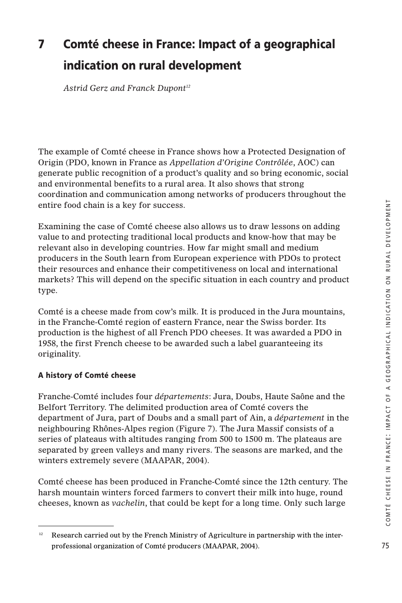# **7 Comté cheese in France: Impact of a geographical indication on rural development**

*Astrid Gerz and Franck Dupont12*

The example of Comté cheese in France shows how a Protected Designation of Origin (PDO, known in France as *Appellation d'Origine Contrôlée*, AOC) can generate public recognition of a product's quality and so bring economic, social and environmental benefits to a rural area. It also shows that strong coordination and communication among networks of producers throughout the entire food chain is a key for success.

Examining the case of Comté cheese also allows us to draw lessons on adding value to and protecting traditional local products and know-how that may be relevant also in developing countries. How far might small and medium producers in the South learn from European experience with PDOs to protect their resources and enhance their competitiveness on local and international markets? This will depend on the specific situation in each country and product type.

Comté is a cheese made from cow's milk. It is produced in the Jura mountains, in the Franche-Comté region of eastern France, near the Swiss border. Its production is the highest of all French PDO cheeses. It was awarded a PDO in 1958, the first French cheese to be awarded such a label guaranteeing its originality.

# **A history of Comté cheese**

Franche-Comté includes four *départements*: Jura, Doubs, Haute Saône and the Belfort Territory. The delimited production area of Comté covers the department of Jura, part of Doubs and a small part of Ain, a *département* in the neighbouring Rhônes-Alpes region (Figure 7). The Jura Massif consists of a series of plateaus with altitudes ranging from 500 to 1500 m. The plateaus are separated by green valleys and many rivers. The seasons are marked, and the winters extremely severe (MAAPAR, 2004).

Comté cheese has been produced in Franche-Comté since the 12th century. The harsh mountain winters forced farmers to convert their milk into huge, round cheeses, known as *vachelin*, that could be kept for a long time. Only such large

<sup>&</sup>lt;sup>12</sup> Research carried out by the French Ministry of Agriculture in partnership with the interprofessional organization of Comté producers (MAAPAR, 2004).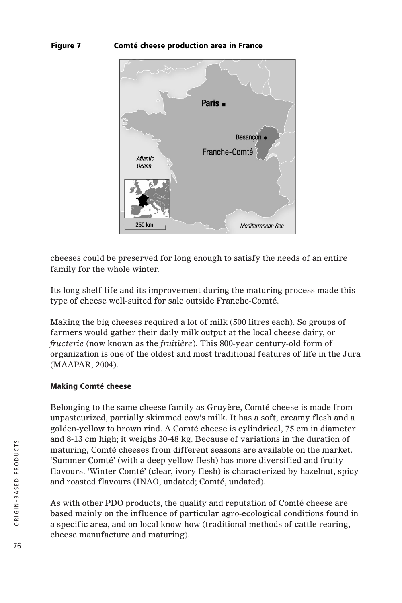# **Figure 7 Comté cheese production area in France**



cheeses could be preserved for long enough to satisfy the needs of an entire family for the whole winter.

Its long shelf-life and its improvement during the maturing process made this type of cheese well-suited for sale outside Franche-Comté.

Making the big cheeses required a lot of milk (500 litres each). So groups of farmers would gather their daily milk output at the local cheese dairy, or *fructerie* (now known as the *fruitière*). This 800-year century-old form of organization is one of the oldest and most traditional features of life in the Jura (MAAPAR, 2004).

#### **Making Comté cheese**

Belonging to the same cheese family as Gruyère, Comté cheese is made from unpasteurized, partially skimmed cow's milk. It has a soft, creamy flesh and a golden-yellow to brown rind. A Comté cheese is cylindrical, 75 cm in diameter and 8-13 cm high; it weighs 30-48 kg. Because of variations in the duration of maturing, Comté cheeses from different seasons are available on the market. 'Summer Comté' (with a deep yellow flesh) has more diversified and fruity flavours. 'Winter Comté' (clear, ivory flesh) is characterized by hazelnut, spicy and roasted flavours (INAO, undated; Comté, undated).

As with other PDO products, the quality and reputation of Comté cheese are based mainly on the influence of particular agro-ecological conditions found in a specific area, and on local know-how (traditional methods of cattle rearing, cheese manufacture and maturing).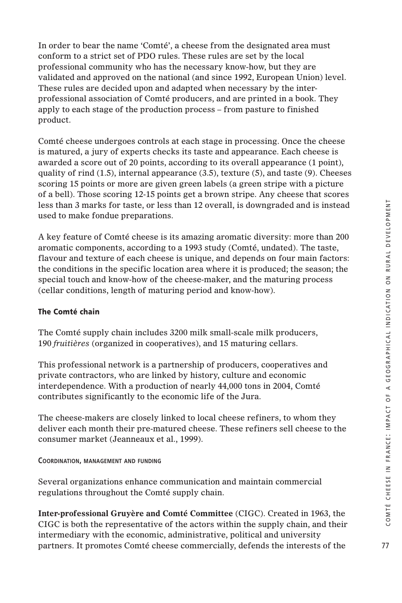In order to bear the name 'Comté', a cheese from the designated area must conform to a strict set of PDO rules. These rules are set by the local professional community who has the necessary know-how, but they are validated and approved on the national (and since 1992, European Union) level. These rules are decided upon and adapted when necessary by the interprofessional association of Comté producers, and are printed in a book. They apply to each stage of the production process – from pasture to finished product.

Comté cheese undergoes controls at each stage in processing. Once the cheese is matured, a jury of experts checks its taste and appearance. Each cheese is awarded a score out of 20 points, according to its overall appearance (1 point), quality of rind  $(1.5)$ , internal appearance  $(3.5)$ , texture  $(5)$ , and taste  $(9)$ . Cheeses scoring 15 points or more are given green labels (a green stripe with a picture of a bell). Those scoring 12-15 points get a brown stripe. Any cheese that scores less than 3 marks for taste, or less than 12 overall, is downgraded and is instead used to make fondue preparations.

A key feature of Comté cheese is its amazing aromatic diversity: more than 200 aromatic components, according to a 1993 study (Comté, undated). The taste, flavour and texture of each cheese is unique, and depends on four main factors: the conditions in the specific location area where it is produced; the season; the special touch and know-how of the cheese-maker, and the maturing process (cellar conditions, length of maturing period and know-how).

# **The Comté chain**

The Comté supply chain includes 3200 milk small-scale milk producers, 190 *fruitières* (organized in cooperatives), and 15 maturing cellars.

This professional network is a partnership of producers, cooperatives and private contractors, who are linked by history, culture and economic interdependence. With a production of nearly 44,000 tons in 2004, Comté contributes significantly to the economic life of the Jura.

The cheese-makers are closely linked to local cheese refiners, to whom they deliver each month their pre-matured cheese. These refiners sell cheese to the consumer market (Jeanneaux et al., 1999).

# **COORDINATION, MANAGEMENT AND FUNDING**

Several organizations enhance communication and maintain commercial regulations throughout the Comté supply chain.

**Inter-professional Gruyère and Comté Committee** (CIGC). Created in 1963, the CIGC is both the representative of the actors within the supply chain, and their intermediary with the economic, administrative, political and university partners. It promotes Comté cheese commercially, defends the interests of the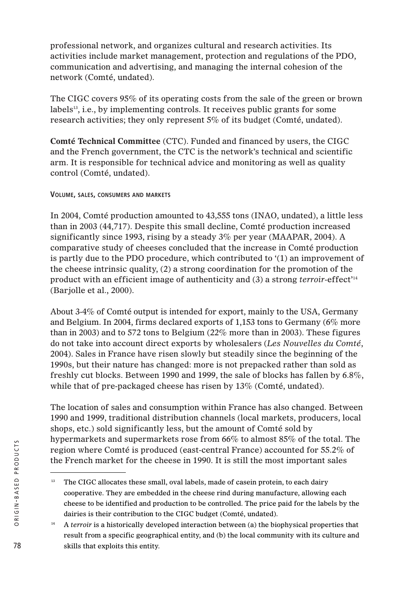professional network, and organizes cultural and research activities. Its activities include market management, protection and regulations of the PDO, communication and advertising, and managing the internal cohesion of the network (Comté, undated).

The CIGC covers 95% of its operating costs from the sale of the green or brown labels $^{13}$ , i.e., by implementing controls. It receives public grants for some research activities; they only represent 5% of its budget (Comté, undated).

**Comté Technical Committee** (CTC). Funded and financed by users, the CIGC and the French government, the CTC is the network's technical and scientific arm. It is responsible for technical advice and monitoring as well as quality control (Comté, undated).

# **VOLUME, SALES, CONSUMERS AND MARKETS**

In 2004, Comté production amounted to 43,555 tons (INAO, undated), a little less than in 2003 (44,717). Despite this small decline, Comté production increased significantly since 1993, rising by a steady 3% per year (MAAPAR, 2004). A comparative study of cheeses concluded that the increase in Comté production is partly due to the PDO procedure, which contributed to '(1) an improvement of the cheese intrinsic quality, (2) a strong coordination for the promotion of the product with an efficient image of authenticity and (3) a strong *terroir*-effect'14 (Barjolle et al., 2000).

About 3-4% of Comté output is intended for export, mainly to the USA, Germany and Belgium. In 2004, firms declared exports of 1,153 tons to Germany (6% more than in 2003) and to 572 tons to Belgium (22% more than in 2003). These figures do not take into account direct exports by wholesalers (*Les Nouvelles du Comté*, 2004). Sales in France have risen slowly but steadily since the beginning of the 1990s, but their nature has changed: more is not prepacked rather than sold as freshly cut blocks. Between 1990 and 1999, the sale of blocks has fallen by 6.8%, while that of pre-packaged cheese has risen by 13% (Comté, undated).

The location of sales and consumption within France has also changed. Between 1990 and 1999, traditional distribution channels (local markets, producers, local shops, etc.) sold significantly less, but the amount of Comté sold by hypermarkets and supermarkets rose from 66% to almost 85% of the total. The region where Comté is produced (east-central France) accounted for 55.2% of the French market for the cheese in 1990. It is still the most important sales

<sup>&</sup>lt;sup>13</sup> The CIGC allocates these small, oval labels, made of casein protein, to each dairy cooperative. They are embedded in the cheese rind during manufacture, allowing each cheese to be identified and production to be controlled. The price paid for the labels by the dairies is their contribution to the CIGC budget (Comté, undated).

<sup>&</sup>lt;sup>14</sup> A *terroir* is a historically developed interaction between (a) the biophysical properties that result from a specific geographical entity, and (b) the local community with its culture and skills that exploits this entity.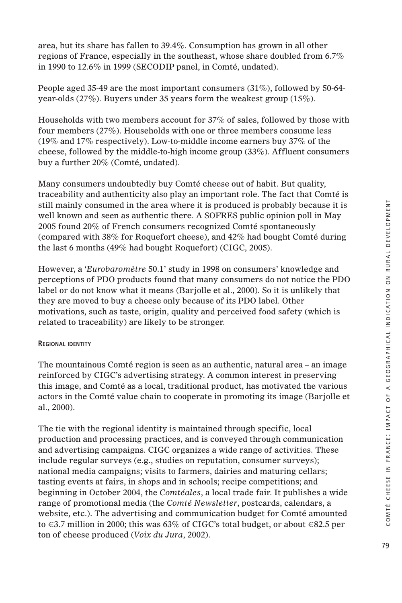area, but its share has fallen to 39.4%. Consumption has grown in all other regions of France, especially in the southeast, whose share doubled from 6.7% in 1990 to 12.6% in 1999 (SECODIP panel, in Comté, undated).

People aged 35-49 are the most important consumers (31%), followed by 50-64 year-olds (27%). Buyers under 35 years form the weakest group (15%).

Households with two members account for 37% of sales, followed by those with four members (27%). Households with one or three members consume less (19% and 17% respectively). Low-to-middle income earners buy 37% of the cheese, followed by the middle-to-high income group (33%). Affluent consumers buy a further 20% (Comté, undated).

Many consumers undoubtedly buy Comté cheese out of habit. But quality, traceability and authenticity also play an important role. The fact that Comté is still mainly consumed in the area where it is produced is probably because it is well known and seen as authentic there. A SOFRES public opinion poll in May 2005 found 20% of French consumers recognized Comté spontaneously (compared with 38% for Roquefort cheese), and 42% had bought Comté during the last 6 months (49% had bought Roquefort) (CIGC, 2005).

However, a '*Eurobaromètre* 50.1' study in 1998 on consumers' knowledge and perceptions of PDO products found that many consumers do not notice the PDO label or do not know what it means (Barjolle et al., 2000). So it is unlikely that they are moved to buy a cheese only because of its PDO label. Other motivations, such as taste, origin, quality and perceived food safety (which is related to traceability) are likely to be stronger.

#### **REGIONAL IDENTITY**

The mountainous Comté region is seen as an authentic, natural area – an image reinforced by CIGC's advertising strategy. A common interest in preserving this image, and Comté as a local, traditional product, has motivated the various actors in the Comté value chain to cooperate in promoting its image (Barjolle et al., 2000).

The tie with the regional identity is maintained through specific, local production and processing practices, and is conveyed through communication and advertising campaigns. CIGC organizes a wide range of activities. These include regular surveys (e.g., studies on reputation, consumer surveys); national media campaigns; visits to farmers, dairies and maturing cellars; tasting events at fairs, in shops and in schools; recipe competitions; and beginning in October 2004, the *Comtéales*, a local trade fair. It publishes a wide range of promotional media (the *Comté Newsletter*, postcards, calendars, a website, etc.). The advertising and communication budget for Comté amounted to  $\in$  3.7 million in 2000; this was 63% of CIGC's total budget, or about  $\in$ 82.5 per ton of cheese produced (*Voix du Jura*, 2002).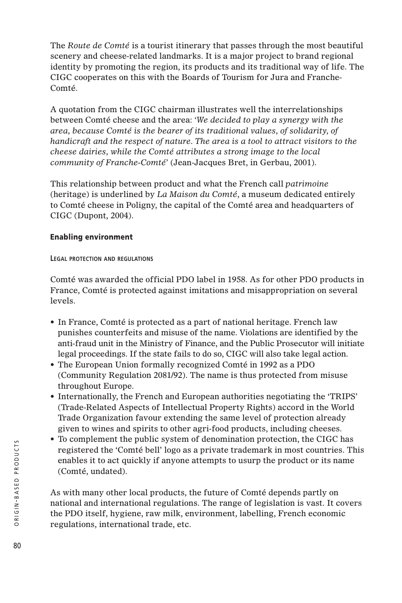The *Route de Comté* is a tourist itinerary that passes through the most beautiful scenery and cheese-related landmarks. It is a major project to brand regional identity by promoting the region, its products and its traditional way of life. The CIGC cooperates on this with the Boards of Tourism for Jura and Franche-Comté.

A quotation from the CIGC chairman illustrates well the interrelationships between Comté cheese and the area: *'We decided to play a synergy with the area, because Comté is the bearer of its traditional values, of solidarity, of handicraft and the respect of nature. The area is a tool to attract visitors to the cheese dairies, while the Comté attributes a strong image to the local community of Franche-Comté'* (Jean-Jacques Bret, in Gerbau, 2001).

This relationship between product and what the French call *patrimoine* (heritage) is underlined by *La Maison du Comté*, a museum dedicated entirely to Comté cheese in Poligny, the capital of the Comté area and headquarters of CIGC (Dupont, 2004).

# **Enabling environment**

**LEGAL PROTECTION AND REGULATIONS**

Comté was awarded the official PDO label in 1958. As for other PDO products in France, Comté is protected against imitations and misappropriation on several levels.

- In France, Comté is protected as a part of national heritage. French law punishes counterfeits and misuse of the name. Violations are identified by the anti-fraud unit in the Ministry of Finance, and the Public Prosecutor will initiate legal proceedings. If the state fails to do so, CIGC will also take legal action.
- The European Union formally recognized Comté in 1992 as a PDO (Community Regulation 2081/92). The name is thus protected from misuse throughout Europe.
- Internationally, the French and European authorities negotiating the 'TRIPS' (Trade-Related Aspects of Intellectual Property Rights) accord in the World Trade Organization favour extending the same level of protection already given to wines and spirits to other agri-food products, including cheeses.
- To complement the public system of denomination protection, the CIGC has registered the 'Comté bell' logo as a private trademark in most countries. This enables it to act quickly if anyone attempts to usurp the product or its name (Comté, undated).

As with many other local products, the future of Comté depends partly on national and international regulations. The range of legislation is vast. It covers the PDO itself, hygiene, raw milk, environment, labelling, French economic regulations, international trade, etc.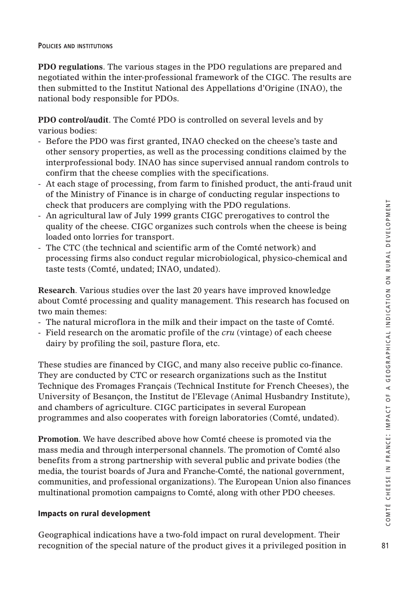#### **POLICIES AND INSTITUTIONS**

**PDO regulations**. The various stages in the PDO regulations are prepared and negotiated within the inter-professional framework of the CIGC. The results are then submitted to the Institut National des Appellations d'Origine (INAO), the national body responsible for PDOs.

**PDO control/audit**. The Comté PDO is controlled on several levels and by various bodies:

- Before the PDO was first granted, INAO checked on the cheese's taste and other sensory properties, as well as the processing conditions claimed by the interprofessional body. INAO has since supervised annual random controls to confirm that the cheese complies with the specifications.
- At each stage of processing, from farm to finished product, the anti-fraud unit of the Ministry of Finance is in charge of conducting regular inspections to check that producers are complying with the PDO regulations.
- An agricultural law of July 1999 grants CIGC prerogatives to control the quality of the cheese. CIGC organizes such controls when the cheese is being loaded onto lorries for transport.
- The CTC (the technical and scientific arm of the Comté network) and processing firms also conduct regular microbiological, physico-chemical and taste tests (Comté, undated; INAO, undated).

**Research**. Various studies over the last 20 years have improved knowledge about Comté processing and quality management. This research has focused on two main themes:

- The natural microflora in the milk and their impact on the taste of Comté.
- Field research on the aromatic profile of the *cru* (vintage) of each cheese dairy by profiling the soil, pasture flora, etc.

These studies are financed by CIGC, and many also receive public co-finance. They are conducted by CTC or research organizations such as the Institut Technique des Fromages Français (Technical Institute for French Cheeses), the University of Besançon, the Institut de l'Elevage (Animal Husbandry Institute), and chambers of agriculture. CIGC participates in several European programmes and also cooperates with foreign laboratories (Comté, undated).

**Promotion**. We have described above how Comté cheese is promoted via the mass media and through interpersonal channels. The promotion of Comté also benefits from a strong partnership with several public and private bodies (the media, the tourist boards of Jura and Franche-Comté, the national government, communities, and professional organizations). The European Union also finances multinational promotion campaigns to Comté, along with other PDO cheeses.

#### **Impacts on rural development**

Geographical indications have a two-fold impact on rural development. Their recognition of the special nature of the product gives it a privileged position in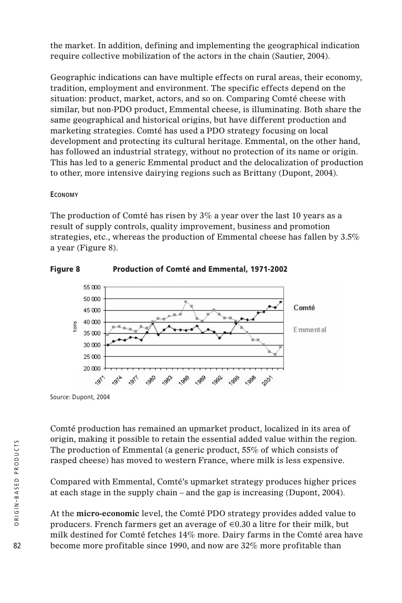the market. In addition, defining and implementing the geographical indication require collective mobilization of the actors in the chain (Sautier, 2004).

Geographic indications can have multiple effects on rural areas, their economy, tradition, employment and environment. The specific effects depend on the situation: product, market, actors, and so on. Comparing Comté cheese with similar, but non-PDO product, Emmental cheese, is illuminating. Both share the same geographical and historical origins, but have different production and marketing strategies. Comté has used a PDO strategy focusing on local development and protecting its cultural heritage. Emmental, on the other hand, has followed an industrial strategy, without no protection of its name or origin. This has led to a generic Emmental product and the delocalization of production to other, more intensive dairying regions such as Brittany (Dupont, 2004).

# **ECONOMY**

The production of Comté has risen by 3% a year over the last 10 years as a result of supply controls, quality improvement, business and promotion strategies, etc., whereas the production of Emmental cheese has fallen by 3.5% a year (Figure 8).



#### **Figure 8 Production of Comté and Emmental, 1971-2002**

Source: Dupont, 2004

Comté production has remained an upmarket product, localized in its area of origin, making it possible to retain the essential added value within the region. The production of Emmental (a generic product, 55% of which consists of rasped cheese) has moved to western France, where milk is less expensive.

Compared with Emmental, Comté's upmarket strategy produces higher prices at each stage in the supply chain – and the gap is increasing (Dupont, 2004).

At the **micro-economic** level, the Comté PDO strategy provides added value to producers. French farmers get an average of  $\in 0.30$  a litre for their milk, but milk destined for Comté fetches 14% more. Dairy farms in the Comté area have become more profitable since 1990, and now are 32% more profitable than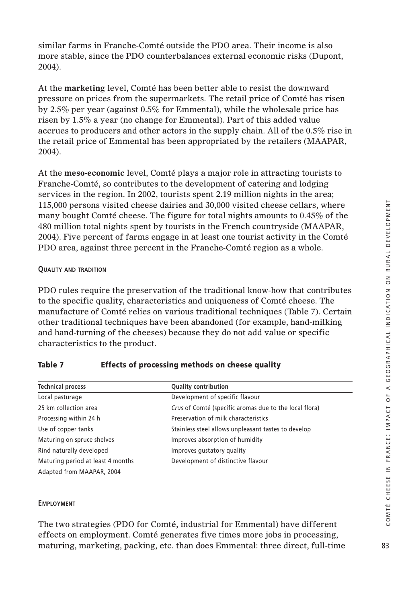similar farms in Franche-Comté outside the PDO area. Their income is also more stable, since the PDO counterbalances external economic risks (Dupont, 2004).

At the **marketing** level, Comté has been better able to resist the downward pressure on prices from the supermarkets. The retail price of Comté has risen by 2.5% per year (against 0.5% for Emmental), while the wholesale price has risen by 1.5% a year (no change for Emmental). Part of this added value accrues to producers and other actors in the supply chain. All of the 0.5% rise in the retail price of Emmental has been appropriated by the retailers (MAAPAR, 2004).

At the **meso-economic** level, Comté plays a major role in attracting tourists to Franche-Comté, so contributes to the development of catering and lodging services in the region. In 2002, tourists spent 2.19 million nights in the area; 115,000 persons visited cheese dairies and 30,000 visited cheese cellars, where many bought Comté cheese. The figure for total nights amounts to 0.45% of the 480 million total nights spent by tourists in the French countryside (MAAPAR, 2004). Five percent of farms engage in at least one tourist activity in the Comté PDO area, against three percent in the Franche-Comté region as a whole.

# **QUALITY AND TRADITION**

PDO rules require the preservation of the traditional know-how that contributes to the specific quality, characteristics and uniqueness of Comté cheese. The manufacture of Comté relies on various traditional techniques (Table 7). Certain other traditional techniques have been abandoned (for example, hand-milking and hand-turning of the cheeses) because they do not add value or specific characteristics to the product.

| <b>Quality contribution</b>                            |
|--------------------------------------------------------|
| Development of specific flavour                        |
| Crus of Comté (specific aromas due to the local flora) |
| Preservation of milk characteristics                   |
| Stainless steel allows unpleasant tastes to develop    |
| Improves absorption of humidity                        |
| Improves qustatory quality                             |
| Development of distinctive flavour                     |
|                                                        |

# **Table 7 Effects of processing methods on cheese quality**

Adapted from MAAPAR, 2004

#### **EMPLOYMENT**

The two strategies (PDO for Comté, industrial for Emmental) have different effects on employment. Comté generates five times more jobs in processing, maturing, marketing, packing, etc. than does Emmental: three direct, full-time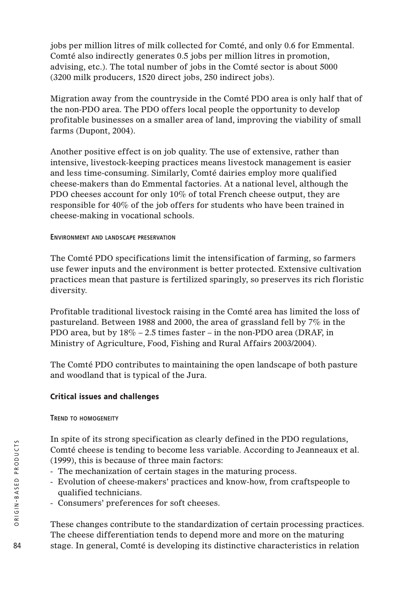jobs per million litres of milk collected for Comté, and only 0.6 for Emmental. Comté also indirectly generates 0.5 jobs per million litres in promotion, advising, etc.). The total number of jobs in the Comté sector is about 5000 (3200 milk producers, 1520 direct jobs, 250 indirect jobs).

Migration away from the countryside in the Comté PDO area is only half that of the non-PDO area. The PDO offers local people the opportunity to develop profitable businesses on a smaller area of land, improving the viability of small farms (Dupont, 2004).

Another positive effect is on job quality. The use of extensive, rather than intensive, livestock-keeping practices means livestock management is easier and less time-consuming. Similarly, Comté dairies employ more qualified cheese-makers than do Emmental factories. At a national level, although the PDO cheeses account for only 10% of total French cheese output, they are responsible for 40% of the job offers for students who have been trained in cheese-making in vocational schools.

# **ENVIRONMENT AND LANDSCAPE PRESERVATION**

The Comté PDO specifications limit the intensification of farming, so farmers use fewer inputs and the environment is better protected. Extensive cultivation practices mean that pasture is fertilized sparingly, so preserves its rich floristic diversity.

Profitable traditional livestock raising in the Comté area has limited the loss of pastureland. Between 1988 and 2000, the area of grassland fell by 7% in the PDO area, but by 18% – 2.5 times faster – in the non-PDO area (DRAF, in Ministry of Agriculture, Food, Fishing and Rural Affairs 2003/2004).

The Comté PDO contributes to maintaining the open landscape of both pasture and woodland that is typical of the Jura.

# **Critical issues and challenges**

**TREND TO HOMOGENEITY**

In spite of its strong specification as clearly defined in the PDO regulations, Comté cheese is tending to become less variable. According to Jeanneaux et al. (1999), this is because of three main factors:

- The mechanization of certain stages in the maturing process.
- Evolution of cheese-makers' practices and know-how, from craftspeople to qualified technicians.
- Consumers' preferences for soft cheeses.

These changes contribute to the standardization of certain processing practices. The cheese differentiation tends to depend more and more on the maturing stage. In general, Comté is developing its distinctive characteristics in relation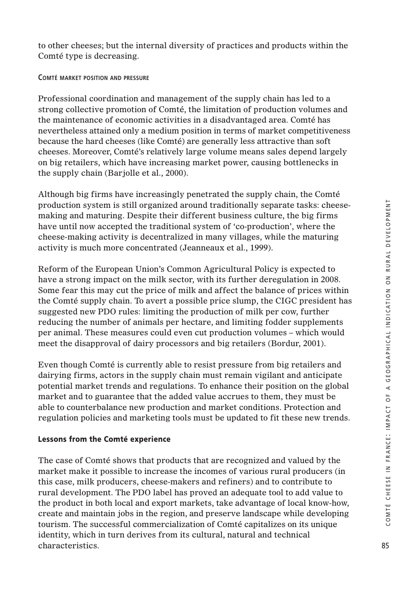to other cheeses; but the internal diversity of practices and products within the Comté type is decreasing.

**COMTÉ MARKET POSITION AND PRESSURE**

Professional coordination and management of the supply chain has led to a strong collective promotion of Comté, the limitation of production volumes and the maintenance of economic activities in a disadvantaged area. Comté has nevertheless attained only a medium position in terms of market competitiveness because the hard cheeses (like Comté) are generally less attractive than soft cheeses. Moreover, Comté's relatively large volume means sales depend largely on big retailers, which have increasing market power, causing bottlenecks in the supply chain (Barjolle et al., 2000).

Although big firms have increasingly penetrated the supply chain, the Comté production system is still organized around traditionally separate tasks: cheesemaking and maturing. Despite their different business culture, the big firms have until now accepted the traditional system of 'co-production', where the cheese-making activity is decentralized in many villages, while the maturing activity is much more concentrated (Jeanneaux et al., 1999).

Reform of the European Union's Common Agricultural Policy is expected to have a strong impact on the milk sector, with its further deregulation in 2008. Some fear this may cut the price of milk and affect the balance of prices within the Comté supply chain. To avert a possible price slump, the CIGC president has suggested new PDO rules: limiting the production of milk per cow, further reducing the number of animals per hectare, and limiting fodder supplements per animal. These measures could even cut production volumes – which would meet the disapproval of dairy processors and big retailers (Bordur, 2001).

Even though Comté is currently able to resist pressure from big retailers and dairying firms, actors in the supply chain must remain vigilant and anticipate potential market trends and regulations. To enhance their position on the global market and to guarantee that the added value accrues to them, they must be able to counterbalance new production and market conditions. Protection and regulation policies and marketing tools must be updated to fit these new trends.

# **Lessons from the Comté experience**

The case of Comté shows that products that are recognized and valued by the market make it possible to increase the incomes of various rural producers (in this case, milk producers, cheese-makers and refiners) and to contribute to rural development. The PDO label has proved an adequate tool to add value to the product in both local and export markets, take advantage of local know-how, create and maintain jobs in the region, and preserve landscape while developing tourism. The successful commercialization of Comté capitalizes on its unique identity, which in turn derives from its cultural, natural and technical characteristics.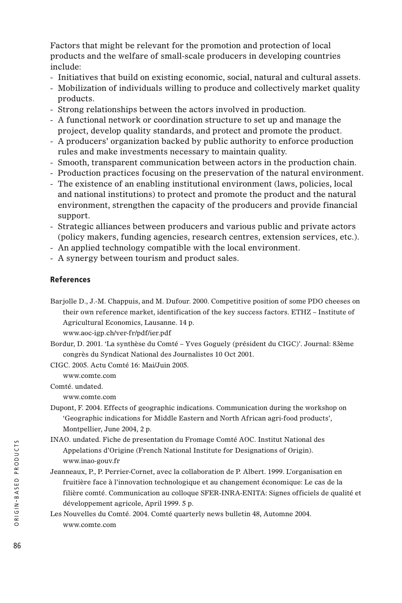Factors that might be relevant for the promotion and protection of local products and the welfare of small-scale producers in developing countries include:

- Initiatives that build on existing economic, social, natural and cultural assets.
- Mobilization of individuals willing to produce and collectively market quality products.
- Strong relationships between the actors involved in production.
- A functional network or coordination structure to set up and manage the project, develop quality standards, and protect and promote the product.
- A producers' organization backed by public authority to enforce production rules and make investments necessary to maintain quality.
- Smooth, transparent communication between actors in the production chain.
- Production practices focusing on the preservation of the natural environment.
- The existence of an enabling institutional environment (laws, policies, local and national institutions) to protect and promote the product and the natural environment, strengthen the capacity of the producers and provide financial support.
- Strategic alliances between producers and various public and private actors (policy makers, funding agencies, research centres, extension services, etc.).
- An applied technology compatible with the local environment.
- A synergy between tourism and product sales.

#### **References**

- Barjolle D., J.-M. Chappuis, and M. Dufour. 2000. Competitive position of some PDO cheeses on their own reference market, identification of the key success factors. ETHZ – Institute of Agricultural Economics, Lausanne. 14 p. www.aoc-igp.ch/ver-fr/pdf/ier.pdf
- Bordur, D. 2001. 'La synthèse du Comté Yves Goguely (président du CIGC)'. Journal: 83ème congrès du Syndicat National des Journalistes 10 Oct 2001.
- CIGC. 2005. Actu Comté 16: Mai/Juin 2005.

www.comte.com

Comté. undated.

www.comte.com

- Dupont, F. 2004. Effects of geographic indications. Communication during the workshop on 'Geographic indications for Middle Eastern and North African agri-food products', Montpellier, June 2004, 2 p.
- INAO. undated. Fiche de presentation du Fromage Comté AOC. Institut National des Appelations d'Origine (French National Institute for Designations of Origin). www.inao-gouv.fr
- Jeanneaux, P., P. Perrier-Cornet, avec la collaboration de P. Albert. 1999. L'organisation en fruitière face à l'innovation technologique et au changement économique: Le cas de la filière comté. Communication au colloque SFER-INRA-ENITA: Signes officiels de qualité et développement agricole, April 1999. 5 p.
- Les Nouvelles du Comté. 2004. Comté quarterly news bulletin 48, Automne 2004. www.comte.com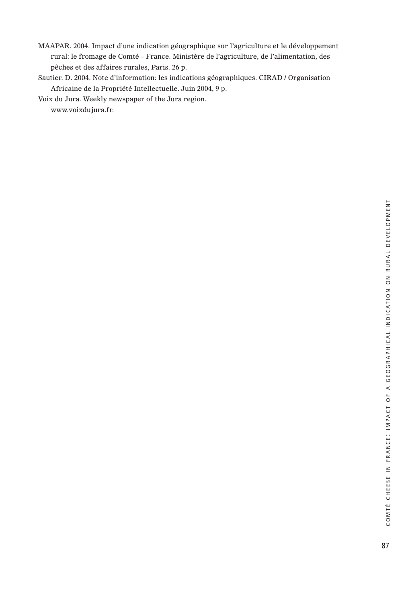- MAAPAR. 2004. Impact d'une indication géographique sur l'agriculture et le développement rural: le fromage de Comté – France. Ministère de l'agriculture, de l'alimentation, des pêches et des affaires rurales, Paris. 26 p.
- Sautier. D. 2004. Note d'information: les indications géographiques. CIRAD / Organisation Africaine de la Propriété Intellectuelle. Juin 2004, 9 p.

Voix du Jura. Weekly newspaper of the Jura region.

www.voixdujura.fr.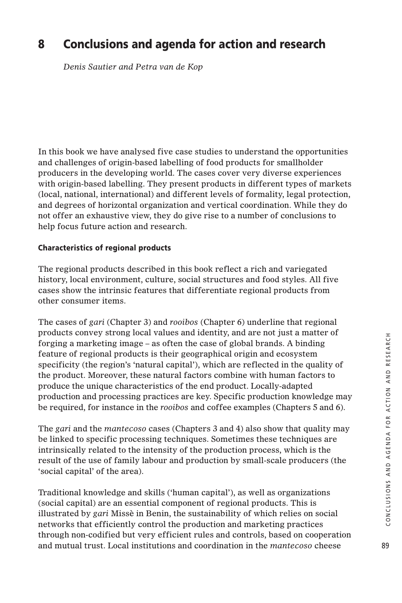# **8 Conclusions and agenda for action and research**

*Denis Sautier and Petra van de Kop* 

In this book we have analysed five case studies to understand the opportunities and challenges of origin-based labelling of food products for smallholder producers in the developing world. The cases cover very diverse experiences with origin-based labelling. They present products in different types of markets (local, national, international) and different levels of formality, legal protection, and degrees of horizontal organization and vertical coordination. While they do not offer an exhaustive view, they do give rise to a number of conclusions to help focus future action and research.

# **Characteristics of regional products**

The regional products described in this book reflect a rich and variegated history, local environment, culture, social structures and food styles. All five cases show the intrinsic features that differentiate regional products from other consumer items.

The cases of *gari* (Chapter 3) and *rooibos* (Chapter 6) underline that regional products convey strong local values and identity, and are not just a matter of forging a marketing image – as often the case of global brands. A binding feature of regional products is their geographical origin and ecosystem specificity (the region's 'natural capital'), which are reflected in the quality of the product. Moreover, these natural factors combine with human factors to produce the unique characteristics of the end product. Locally-adapted production and processing practices are key. Specific production knowledge may be required, for instance in the *rooibos* and coffee examples (Chapters 5 and 6).

The *gari* and the *mantecoso* cases (Chapters 3 and 4) also show that quality may be linked to specific processing techniques. Sometimes these techniques are intrinsically related to the intensity of the production process, which is the result of the use of family labour and production by small-scale producers (the 'social capital' of the area).

Traditional knowledge and skills ('human capital'), as well as organizations (social capital) are an essential component of regional products. This is illustrated by *gari* Missè in Benin, the sustainability of which relies on social networks that efficiently control the production and marketing practices through non-codified but very efficient rules and controls, based on cooperation and mutual trust. Local institutions and coordination in the *mantecoso* cheese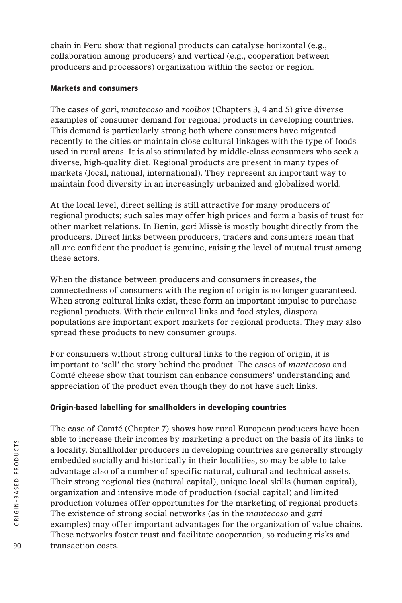chain in Peru show that regional products can catalyse horizontal (e.g., collaboration among producers) and vertical (e.g., cooperation between producers and processors) organization within the sector or region.

# **Markets and consumers**

The cases of *gari*, *mantecoso* and *rooibos* (Chapters 3, 4 and 5) give diverse examples of consumer demand for regional products in developing countries. This demand is particularly strong both where consumers have migrated recently to the cities or maintain close cultural linkages with the type of foods used in rural areas. It is also stimulated by middle-class consumers who seek a diverse, high-quality diet. Regional products are present in many types of markets (local, national, international). They represent an important way to maintain food diversity in an increasingly urbanized and globalized world.

At the local level, direct selling is still attractive for many producers of regional products; such sales may offer high prices and form a basis of trust for other market relations. In Benin, *gari* Missè is mostly bought directly from the producers. Direct links between producers, traders and consumers mean that all are confident the product is genuine, raising the level of mutual trust among these actors.

When the distance between producers and consumers increases, the connectedness of consumers with the region of origin is no longer guaranteed. When strong cultural links exist, these form an important impulse to purchase regional products. With their cultural links and food styles, diaspora populations are important export markets for regional products. They may also spread these products to new consumer groups.

For consumers without strong cultural links to the region of origin, it is important to 'sell' the story behind the product. The cases of *mantecoso* and Comté cheese show that tourism can enhance consumers' understanding and appreciation of the product even though they do not have such links.

# **Origin-based labelling for smallholders in developing countries**

The case of Comté (Chapter 7) shows how rural European producers have been able to increase their incomes by marketing a product on the basis of its links to a locality. Smallholder producers in developing countries are generally strongly embedded socially and historically in their localities, so may be able to take advantage also of a number of specific natural, cultural and technical assets. Their strong regional ties (natural capital), unique local skills (human capital), organization and intensive mode of production (social capital) and limited production volumes offer opportunities for the marketing of regional products. The existence of strong social networks (as in the *mantecoso* and *gari* examples) may offer important advantages for the organization of value chains. These networks foster trust and facilitate cooperation, so reducing risks and transaction costs.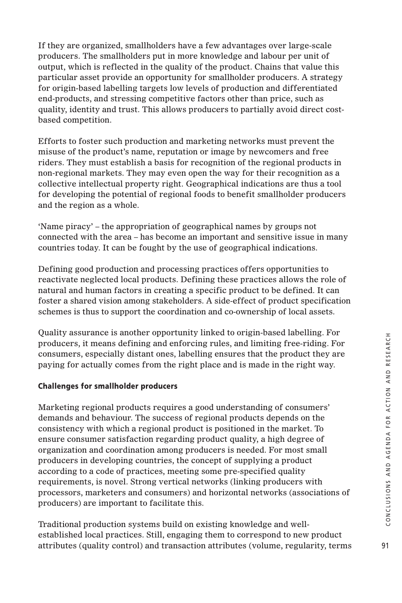If they are organized, smallholders have a few advantages over large-scale producers. The smallholders put in more knowledge and labour per unit of output, which is reflected in the quality of the product. Chains that value this particular asset provide an opportunity for smallholder producers. A strategy for origin-based labelling targets low levels of production and differentiated end-products, and stressing competitive factors other than price, such as quality, identity and trust. This allows producers to partially avoid direct costbased competition.

Efforts to foster such production and marketing networks must prevent the misuse of the product's name, reputation or image by newcomers and free riders. They must establish a basis for recognition of the regional products in non-regional markets. They may even open the way for their recognition as a collective intellectual property right. Geographical indications are thus a tool for developing the potential of regional foods to benefit smallholder producers and the region as a whole.

'Name piracy' – the appropriation of geographical names by groups not connected with the area – has become an important and sensitive issue in many countries today. It can be fought by the use of geographical indications.

Defining good production and processing practices offers opportunities to reactivate neglected local products. Defining these practices allows the role of natural and human factors in creating a specific product to be defined. It can foster a shared vision among stakeholders. A side-effect of product specification schemes is thus to support the coordination and co-ownership of local assets.

Quality assurance is another opportunity linked to origin-based labelling. For producers, it means defining and enforcing rules, and limiting free-riding. For consumers, especially distant ones, labelling ensures that the product they are paying for actually comes from the right place and is made in the right way.

# **Challenges for smallholder producers**

Marketing regional products requires a good understanding of consumers' demands and behaviour. The success of regional products depends on the consistency with which a regional product is positioned in the market. To ensure consumer satisfaction regarding product quality, a high degree of organization and coordination among producers is needed. For most small producers in developing countries, the concept of supplying a product according to a code of practices, meeting some pre-specified quality requirements, is novel. Strong vertical networks (linking producers with processors, marketers and consumers) and horizontal networks (associations of producers) are important to facilitate this.

Traditional production systems build on existing knowledge and wellestablished local practices. Still, engaging them to correspond to new product attributes (quality control) and transaction attributes (volume, regularity, terms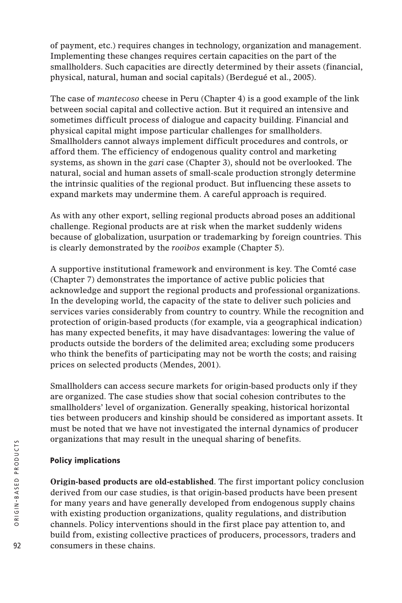of payment, etc.) requires changes in technology, organization and management. Implementing these changes requires certain capacities on the part of the smallholders. Such capacities are directly determined by their assets (financial, physical, natural, human and social capitals) (Berdegué et al., 2005).

The case of *mantecoso* cheese in Peru (Chapter 4) is a good example of the link between social capital and collective action. But it required an intensive and sometimes difficult process of dialogue and capacity building. Financial and physical capital might impose particular challenges for smallholders. Smallholders cannot always implement difficult procedures and controls, or afford them. The efficiency of endogenous quality control and marketing systems, as shown in the *gari* case (Chapter 3), should not be overlooked. The natural, social and human assets of small-scale production strongly determine the intrinsic qualities of the regional product. But influencing these assets to expand markets may undermine them. A careful approach is required.

As with any other export, selling regional products abroad poses an additional challenge. Regional products are at risk when the market suddenly widens because of globalization, usurpation or trademarking by foreign countries. This is clearly demonstrated by the *rooibos* example (Chapter 5).

A supportive institutional framework and environment is key. The Comté case (Chapter 7) demonstrates the importance of active public policies that acknowledge and support the regional products and professional organizations. In the developing world, the capacity of the state to deliver such policies and services varies considerably from country to country. While the recognition and protection of origin-based products (for example, via a geographical indication) has many expected benefits, it may have disadvantages: lowering the value of products outside the borders of the delimited area; excluding some producers who think the benefits of participating may not be worth the costs; and raising prices on selected products (Mendes, 2001).

Smallholders can access secure markets for origin-based products only if they are organized. The case studies show that social cohesion contributes to the smallholders' level of organization. Generally speaking, historical horizontal ties between producers and kinship should be considered as important assets. It must be noted that we have not investigated the internal dynamics of producer organizations that may result in the unequal sharing of benefits.

# **Policy implications**

**Origin-based products are old-established**. The first important policy conclusion derived from our case studies, is that origin-based products have been present for many years and have generally developed from endogenous supply chains with existing production organizations, quality regulations, and distribution channels. Policy interventions should in the first place pay attention to, and build from, existing collective practices of producers, processors, traders and consumers in these chains.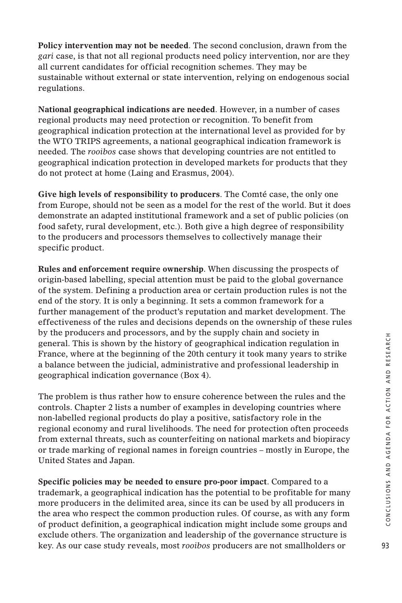**Policy intervention may not be needed**. The second conclusion, drawn from the *gari* case, is that not all regional products need policy intervention, nor are they all current candidates for official recognition schemes. They may be sustainable without external or state intervention, relying on endogenous social regulations.

**National geographical indications are needed**. However, in a number of cases regional products may need protection or recognition. To benefit from geographical indication protection at the international level as provided for by the WTO TRIPS agreements, a national geographical indication framework is needed. The *rooibos* case shows that developing countries are not entitled to geographical indication protection in developed markets for products that they do not protect at home (Laing and Erasmus, 2004).

**Give high levels of responsibility to producers**. The Comté case, the only one from Europe, should not be seen as a model for the rest of the world. But it does demonstrate an adapted institutional framework and a set of public policies (on food safety, rural development, etc.). Both give a high degree of responsibility to the producers and processors themselves to collectively manage their specific product.

**Rules and enforcement require ownership**. When discussing the prospects of origin-based labelling, special attention must be paid to the global governance of the system. Defining a production area or certain production rules is not the end of the story. It is only a beginning. It sets a common framework for a further management of the product's reputation and market development. The effectiveness of the rules and decisions depends on the ownership of these rules by the producers and processors, and by the supply chain and society in general. This is shown by the history of geographical indication regulation in France, where at the beginning of the 20th century it took many years to strike a balance between the judicial, administrative and professional leadership in geographical indication governance (Box 4).

The problem is thus rather how to ensure coherence between the rules and the controls. Chapter 2 lists a number of examples in developing countries where non-labelled regional products do play a positive, satisfactory role in the regional economy and rural livelihoods. The need for protection often proceeds from external threats, such as counterfeiting on national markets and biopiracy or trade marking of regional names in foreign countries – mostly in Europe, the United States and Japan.

**Specific policies may be needed to ensure pro-poor impact**. Compared to a trademark, a geographical indication has the potential to be profitable for many more producers in the delimited area, since its can be used by all producers in the area who respect the common production rules. Of course, as with any form of product definition, a geographical indication might include some groups and exclude others. The organization and leadership of the governance structure is key. As our case study reveals, most *rooibos* producers are not smallholders or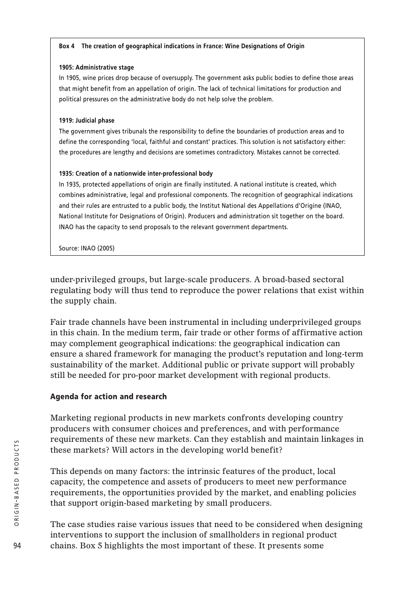#### **Box 4 The creation of geographical indications in France: Wine Designations of Origin**

#### **1905: Administrative stage**

In 1905, wine prices drop because of oversupply. The government asks public bodies to define those areas that might benefit from an appellation of origin. The lack of technical limitations for production and political pressures on the administrative body do not help solve the problem.

#### **1919: Judicial phase**

The government gives tribunals the responsibility to define the boundaries of production areas and to define the corresponding 'local, faithful and constant' practices. This solution is not satisfactory either: the procedures are lengthy and decisions are sometimes contradictory. Mistakes cannot be corrected.

### **1935: Creation of a nationwide inter-professional body**

In 1935, protected appellations of origin are finally instituted. A national institute is created, which combines administrative, legal and professional components. The recognition of geographical indications and their rules are entrusted to a public body, the Institut National des Appellations d'Origine (INAO, National Institute for Designations of Origin). Producers and administration sit together on the board. INAO has the capacity to send proposals to the relevant government departments.

Source: INAO (2005)

under-privileged groups, but large-scale producers. A broad-based sectoral regulating body will thus tend to reproduce the power relations that exist within the supply chain.

Fair trade channels have been instrumental in including underprivileged groups in this chain. In the medium term, fair trade or other forms of affirmative action may complement geographical indications: the geographical indication can ensure a shared framework for managing the product's reputation and long-term sustainability of the market. Additional public or private support will probably still be needed for pro-poor market development with regional products.

# **Agenda for action and research**

Marketing regional products in new markets confronts developing country producers with consumer choices and preferences, and with performance requirements of these new markets. Can they establish and maintain linkages in these markets? Will actors in the developing world benefit?

This depends on many factors: the intrinsic features of the product, local capacity, the competence and assets of producers to meet new performance requirements, the opportunities provided by the market, and enabling policies that support origin-based marketing by small producers.

The case studies raise various issues that need to be considered when designing interventions to support the inclusion of smallholders in regional product chains. Box 5 highlights the most important of these. It presents some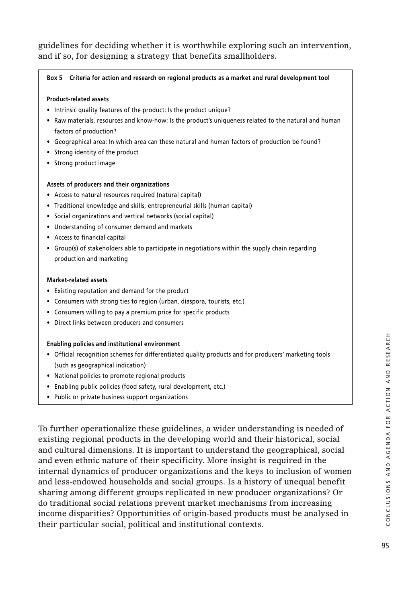guidelines for deciding whether it is worthwhile exploring such an intervention, and if so, for designing a strategy that benefits smallholders.

#### **Box 5 Criteria for action and research on regional products as a market and rural development tool**

#### **Product-related assets**

- Intrinsic quality features of the product: Is the product unique?
- Raw materials, resources and know-how: Is the product's uniqueness related to the natural and human factors of production?
- Geographical area: In which area can these natural and human factors of production be found?
- Strong identity of the product
- Strong product image

#### **Assets of producers and their organizations**

- Access to natural resources required (natural capital)
- Traditional knowledge and skills, entrepreneurial skills (human capital)
- Social organizations and vertical networks (social capital)
- Understanding of consumer demand and markets
- Access to financial capital
- Group(s) of stakeholders able to participate in negotiations within the supply chain regarding production and marketing

#### **Market-related assets**

- Existing reputation and demand for the product
- Consumers with strong ties to region (urban, diaspora, tourists, etc.)
- Consumers willing to pay a premium price for specific products
- Direct links between producers and consumers

#### **Enabling policies and institutional environment**

- Official recognition schemes for differentiated quality products and for producers' marketing tools (such as geographical indication)
- National policies to promote regional products
- Enabling public policies (food safety, rural development, etc.)
- Public or private business support organizations

To further operationalize these guidelines, a wider understanding is needed of existing regional products in the developing world and their historical, social and cultural dimensions. It is important to understand the geographical, social and even ethnic nature of their specificity. More insight is required in the internal dynamics of producer organizations and the keys to inclusion of women and less-endowed households and social groups. Is a history of unequal benefit sharing among different groups replicated in new producer organizations? Or do traditional social relations prevent market mechanisms from increasing income disparities? Opportunities of origin-based products must be analysed in their particular social, political and institutional contexts.